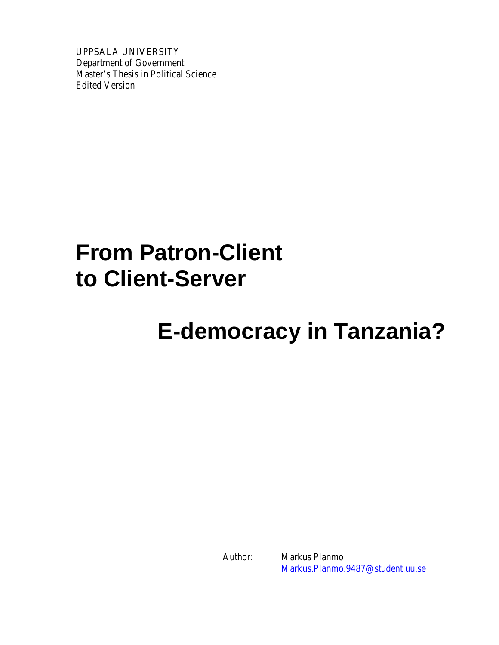UPPSALA UNIVERSITY Department of Government Master's Thesis in Political Science Edited Version

# **From Patron-Client to Client-Server**

# **E-democracy in Tanzania?**

Author: Markus Planmo Markus.Planmo.9487@student.uu.se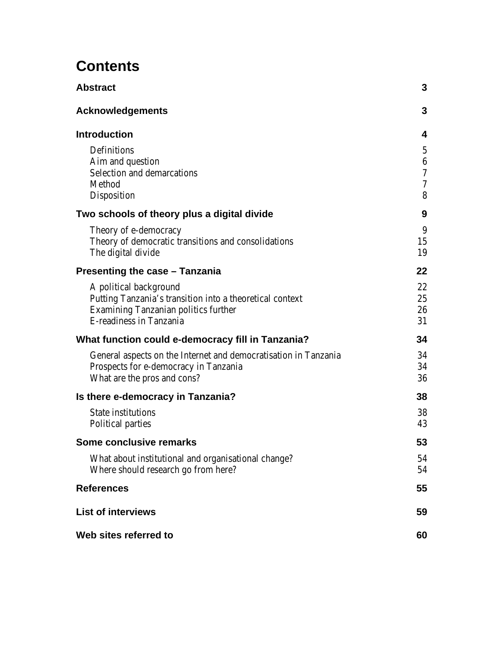# **Contents**

| Abstract                                                                                                                                                            | 3                                                             |
|---------------------------------------------------------------------------------------------------------------------------------------------------------------------|---------------------------------------------------------------|
| Acknowledgements                                                                                                                                                    | 3                                                             |
| <b>Introduction</b>                                                                                                                                                 | 4                                                             |
| <b>Definitions</b><br>Aim and question<br><b>Selection and demarcations</b><br><b>Method</b><br><b>Disposition</b>                                                  | $\mathbf 5$<br>$\boldsymbol{6}$<br>$\boldsymbol{7}$<br>7<br>8 |
| Two schools of theory plus a digital divide                                                                                                                         | 9                                                             |
| Theory of e-democracy<br>Theory of democratic transitions and consolidations<br>The digital divide                                                                  | 9<br>15<br>19                                                 |
| Presenting the case - Tanzania                                                                                                                                      | 22                                                            |
| A political background<br>Putting Tanzania's transition into a theoretical context<br><b>Examining Tanzanian politics further</b><br><b>E-readiness in Tanzania</b> | 22<br>25<br>26<br>31                                          |
| What function could e-democracy fill in Tanzania?                                                                                                                   | 34                                                            |
| General aspects on the Internet and democratisation in Tanzania<br>Prospects for e-democracy in Tanzania<br>What are the pros and cons?                             | 34<br>34<br>36                                                |
| Is there e-democracy in Tanzania?                                                                                                                                   | 38                                                            |
| <b>State institutions</b><br><b>Political parties</b>                                                                                                               | 38<br>43                                                      |
| Some conclusive remarks                                                                                                                                             | 53                                                            |
| What about institutional and organisational change?<br>Where should research go from here?                                                                          | 54<br>54                                                      |
| <b>References</b>                                                                                                                                                   | 55                                                            |
| List of interviews                                                                                                                                                  | 59                                                            |
| Web sites referred to                                                                                                                                               | 60                                                            |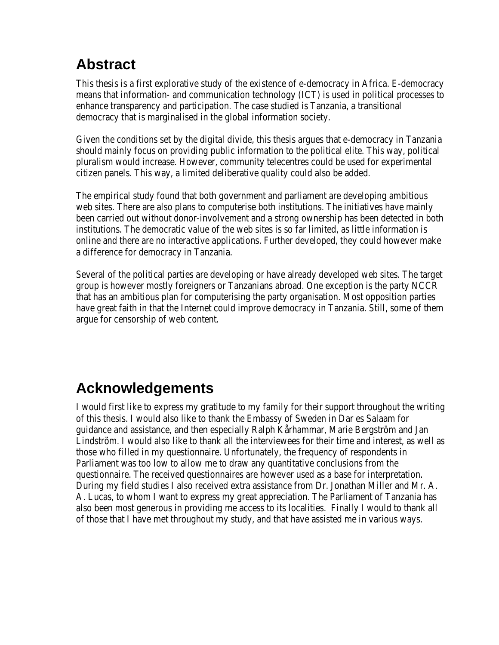# **Abstract**

This thesis is a first explorative study of the existence of e-democracy in Africa. E-democracy means that information- and communication technology (ICT) is used in political processes to enhance transparency and participation. The case studied is Tanzania, a transitional democracy that is marginalised in the global information society.

Given the conditions set by the digital divide, this thesis argues that e-democracy in Tanzania should mainly focus on providing public information to the political elite. This way, political pluralism would increase. However, community telecentres could be used for experimental citizen panels. This way, a limited deliberative quality could also be added.

The empirical study found that both government and parliament are developing ambitious web sites. There are also plans to computerise both institutions. The initiatives have mainly been carried out without donor-involvement and a strong ownership has been detected in both institutions. The democratic value of the web sites is so far limited, as little information is online and there are no interactive applications. Further developed, they could however make a difference for democracy in Tanzania.

Several of the political parties are developing or have already developed web sites. The target group is however mostly foreigners or Tanzanians abroad. One exception is the party NCCR that has an ambitious plan for computerising the party organisation. Most opposition parties have great faith in that the Internet could improve democracy in Tanzania. Still, some of them argue for censorship of web content.

# **Acknowledgements**

I would first like to express my gratitude to my family for their support throughout the writing of this thesis. I would also like to thank the Embassy of Sweden in Dar es Salaam for guidance and assistance, and then especially Ralph Kårhammar, Marie Bergström and Jan Lindström. I would also like to thank all the interviewees for their time and interest, as well as those who filled in my questionnaire. Unfortunately, the frequency of respondents in Parliament was too low to allow me to draw any quantitative conclusions from the questionnaire. The received questionnaires are however used as a base for interpretation. During my field studies I also received extra assistance from Dr. Jonathan Miller and Mr. A. A. Lucas, to whom I want to express my great appreciation. The Parliament of Tanzania has also been most generous in providing me access to its localities. Finally I would to thank all of those that I have met throughout my study, and that have assisted me in various ways.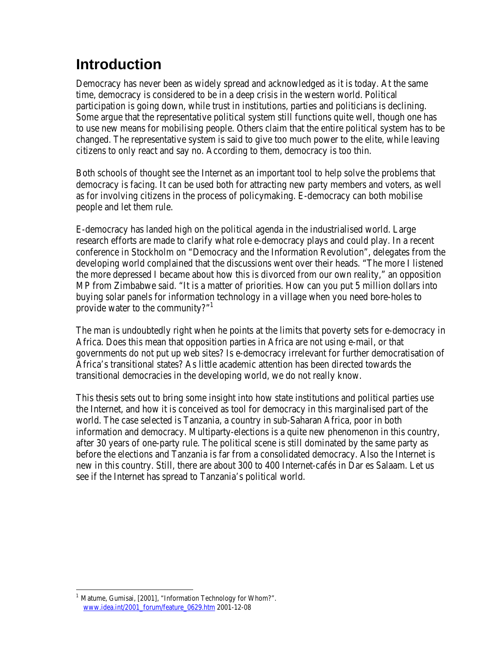# **Introduction**

Democracy has never been as widely spread and acknowledged as it is today. At the same time, democracy is considered to be in a deep crisis in the western world. Political participation is going down, while trust in institutions, parties and politicians is declining. Some argue that the representative political system still functions quite well, though one has to use new means for mobilising people. Others claim that the entire political system has to be changed. The representative system is said to give too much power to the elite, while leaving citizens to only react and say no. According to them, democracy is too thin.

Both schools of thought see the Internet as an important tool to help solve the problems that democracy is facing. It can be used both for attracting new party members and voters, as well as for involving citizens in the process of policymaking. E-democracy can both mobilise people and let them rule.

E-democracy has landed high on the political agenda in the industrialised world. Large research efforts are made to clarify what role e-democracy plays and could play. In a recent conference in Stockholm on "Democracy and the Information Revolution", delegates from the developing world complained that the discussions went over their heads. "The more I listened the more depressed I became about how this is divorced from our own reality," an opposition MP from Zimbabwe said. "It is a matter of priorities. How can you put 5 million dollars into buying solar panels for information technology in a village when you need bore-holes to provide water to the community?"<sup>1</sup>

The man is undoubtedly right when he points at the limits that poverty sets for e-democracy in Africa. Does this mean that opposition parties in Africa are not using e-mail, or that governments do not put up web sites? Is e-democracy irrelevant for further democratisation of Africa's transitional states? As little academic attention has been directed towards the transitional democracies in the developing world, we do not really know.

This thesis sets out to bring some insight into how state institutions and political parties use the Internet, and how it is conceived as tool for democracy in this marginalised part of the world. The case selected is Tanzania, a country in sub-Saharan Africa, poor in both information and democracy. Multiparty-elections is a quite new phenomenon in this country, after 30 years of one-party rule. The political scene is still dominated by the same party as before the elections and Tanzania is far from a consolidated democracy. Also the Internet is new in this country. Still, there are about 300 to 400 Internet-cafés in Dar es Salaam. Let us see if the Internet has spread to Tanzania's political world.

 $\overline{a}$ <sup>1</sup> Matume, Gumisai, [2001], "Information Technology for Whom?". www.idea.int/2001\_forum/feature\_0629.htm 2001-12-08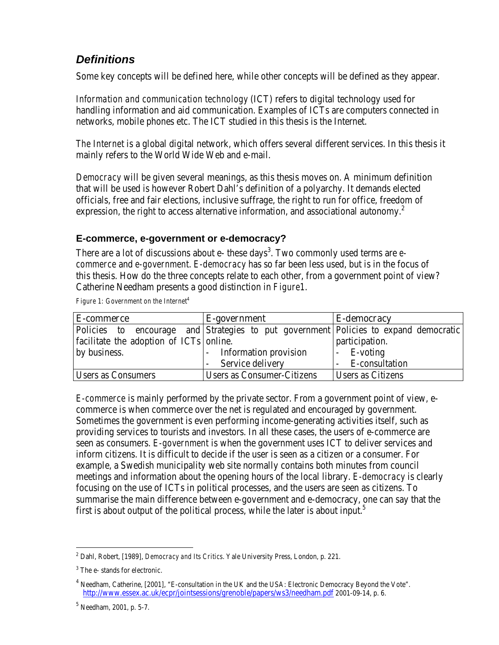### *Definitions*

Some key concepts will be defined here, while other concepts will be defined as they appear.

*Information and communication technology* (ICT) refers to digital technology used for handling information and aid communication. Examples of ICTs are computers connected in networks, mobile phones etc. The ICT studied in this thesis is the Internet.

*The Internet* is a global digital network, which offers several different services. In this thesis it mainly refers to the World Wide Web and e-mail.

*Democracy* will be given several meanings, as this thesis moves on. A minimum definition that will be used is however Robert Dahl's definition of a polyarchy. It demands elected officials, free and fair elections, inclusive suffrage, the right to run for office, freedom of expression, the right to access alternative information, and associational autonomy.<sup>2</sup>

### **E-commerce, e-government or e-democracy?**

There are a lot of discussions about e- these days<sup>3</sup>. Two commonly used terms are  $e$ *commerce* and *e-government*. *E-democracy* has so far been less used, but is in the focus of this thesis. How do the three concepts relate to each other, from a government point of view? Catherine Needham presents a good distinction in *Figure1*.

*Figure 1: Government on the Internet<sup>4</sup>*

| <b>E-commerce</b>                                                                    | <b>E-government</b>               | <b>E-democracy</b>       |
|--------------------------------------------------------------------------------------|-----------------------------------|--------------------------|
| Policies to encourage and Strategies to put government Policies to expand democratic |                                   |                          |
| facilitate the adoption of ICTs online.                                              |                                   | participation.           |
| by business.                                                                         | - Information provision           | - E-voting               |
|                                                                                      | - Service delivery                | - E-consultation         |
| <b>Users as Consumers</b>                                                            | <b>Users as Consumer-Citizens</b> | <b>Users as Citizens</b> |

*E-commerce* is mainly performed by the private sector. From a government point of view, ecommerce is when commerce over the net is regulated and encouraged by government. Sometimes the government is even performing income-generating activities itself, such as providing services to tourists and investors. In all these cases, the users of e-commerce are seen as consumers. *E-government* is when the government uses ICT to deliver services and inform citizens. It is difficult to decide if the user is seen as a citizen or a consumer. For example, a Swedish municipality web site normally contains both minutes from council meetings and information about the opening hours of the local library. *E-democracy* is clearly focusing on the use of ICTs in political processes, and the users are seen as citizens. To summarise the main difference between e-government and e-democracy, one can say that the first is about output of the political process, while the later is about input. $5$ 

<sup>2</sup> Dahl, Robert, [1989], *Democracy and Its Critics*. Yale University Press, London, p. 221.

<sup>&</sup>lt;sup>3</sup> The e- stands for electronic.

<sup>&</sup>lt;sup>4</sup> Needham, Catherine, [2001], "E-consultation in the UK and the USA: Electronic Democracy Beyond the Vote". http://www.essex.ac.uk/ecpr/jointsessions/grenoble/papers/ws3/needham.pdf 2001-09-14, p. 6.

<sup>&</sup>lt;sup>5</sup> Needham, 2001, p. 5-7.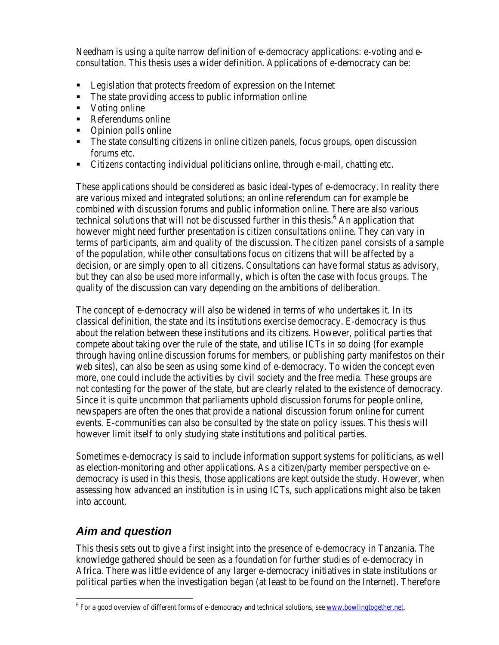Needham is using a quite narrow definition of e-democracy applications: e-voting and econsultation. This thesis uses a wider definition. Applications of e-democracy can be:

- **EXECUTE:** Legislation that protects freedom of expression on the Internet
- $\blacksquare$  The state providing access to public information online
- Voting online
- Referendums online
- Opinion polls online
- The state consulting citizens in online citizen panels, focus groups, open discussion forums etc.
- **EXECT** Citizens contacting individual politicians online, through e-mail, chatting etc.

These applications should be considered as basic ideal-types of e-democracy. In reality there are various mixed and integrated solutions; an online referendum can for example be combined with discussion forums and public information online. There are also various technical solutions that will not be discussed further in this thesis.<sup>6</sup> An application that however might need further presentation is *citizen consultations* online. They can vary in terms of participants, aim and quality of the discussion. The *citizen panel* consists of a sample of the population, while other consultations focus on citizens that will be affected by a decision, or are simply open to all citizens. Consultations can have formal status as advisory, but they can also be used more informally, which is often the case with *focus groups*. The quality of the discussion can vary depending on the ambitions of deliberation.

The concept of e-democracy will also be widened in terms of who undertakes it. In its classical definition, the state and its institutions exercise democracy. E-democracy is thus about the relation between these institutions and its citizens. However, political parties that compete about taking over the rule of the state, and utilise ICTs in so doing (for example through having online discussion forums for members, or publishing party manifestos on their web sites), can also be seen as using some kind of e-democracy. To widen the concept even more, one could include the activities by civil society and the free media. These groups are not contesting for the power of the state, but are clearly related to the existence of democracy. Since it is quite uncommon that parliaments uphold discussion forums for people online, newspapers are often the ones that provide a national discussion forum online for current events. E-communities can also be consulted by the state on policy issues. This thesis will however limit itself to only studying state institutions and political parties.

Sometimes e-democracy is said to include information support systems for politicians, as well as election-monitoring and other applications. As a citizen/party member perspective on edemocracy is used in this thesis, those applications are kept outside the study. However, when assessing how advanced an institution is in using ICTs, such applications might also be taken into account.

### *Aim and question*

 $\overline{a}$ 

This thesis sets out to give a first insight into the presence of e-democracy in Tanzania. The knowledge gathered should be seen as a foundation for further studies of e-democracy in Africa. There was little evidence of any larger e-democracy initiatives in state institutions or political parties when the investigation began (at least to be found on the Internet). Therefore

<sup>&</sup>lt;sup>6</sup> For a good overview of different forms of e-democracy and technical solutions, see <u>www.bowlingtogether.net</u>.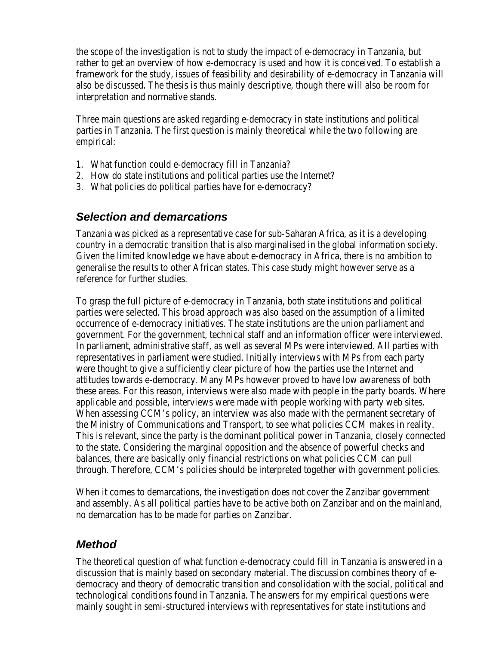the scope of the investigation is not to study the impact of e-democracy in Tanzania, but rather to get an overview of how e-democracy is used and how it is conceived. To establish a framework for the study, issues of feasibility and desirability of e-democracy in Tanzania will also be discussed. The thesis is thus mainly descriptive, though there will also be room for interpretation and normative stands.

Three main questions are asked regarding e-democracy in state institutions and political parties in Tanzania. The first question is mainly theoretical while the two following are empirical:

- 1. What function could e-democracy fill in Tanzania?
- 2. How do state institutions and political parties use the Internet?
- 3. What policies do political parties have for e-democracy?

### *Selection and demarcations*

Tanzania was picked as a representative case for sub-Saharan Africa, as it is a developing country in a democratic transition that is also marginalised in the global information society. Given the limited knowledge we have about e-democracy in Africa, there is no ambition to generalise the results to other African states. This case study might however serve as a reference for further studies.

To grasp the full picture of e-democracy in Tanzania, both state institutions and political parties were selected. This broad approach was also based on the assumption of a limited occurrence of e-democracy initiatives. The state institutions are the union parliament and government. For the government, technical staff and an information officer were interviewed. In parliament, administrative staff, as well as several MPs were interviewed. All parties with representatives in parliament were studied. Initially interviews with MPs from each party were thought to give a sufficiently clear picture of how the parties use the Internet and attitudes towards e-democracy. Many MPs however proved to have low awareness of both these areas. For this reason, interviews were also made with people in the party boards. Where applicable and possible, interviews were made with people working with party web sites. When assessing CCM's policy, an interview was also made with the permanent secretary of the Ministry of Communications and Transport, to see what policies CCM makes in reality. This is relevant, since the party is the dominant political power in Tanzania, closely connected to the state. Considering the marginal opposition and the absence of powerful checks and balances, there are basically only financial restrictions on what policies CCM can pull through. Therefore, CCM's policies should be interpreted together with government policies.

When it comes to demarcations, the investigation does not cover the Zanzibar government and assembly. As all political parties have to be active both on Zanzibar and on the mainland, no demarcation has to be made for parties on Zanzibar.

### *Method*

The theoretical question of what function e-democracy could fill in Tanzania is answered in a discussion that is mainly based on secondary material. The discussion combines theory of edemocracy and theory of democratic transition and consolidation with the social, political and technological conditions found in Tanzania. The answers for my empirical questions were mainly sought in semi-structured interviews with representatives for state institutions and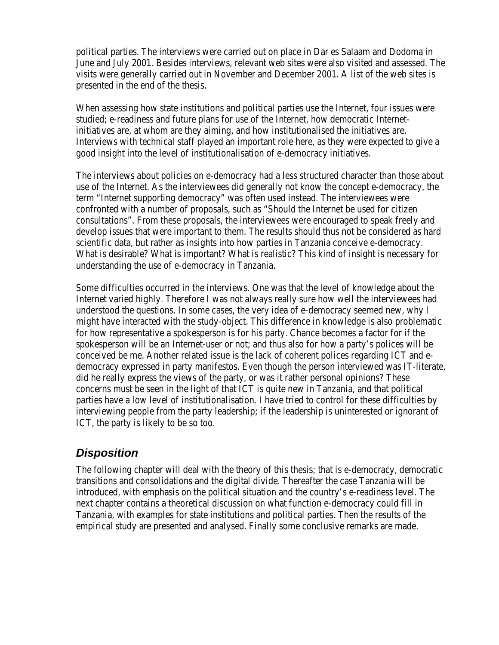political parties. The interviews were carried out on place in Dar es Salaam and Dodoma in June and July 2001. Besides interviews, relevant web sites were also visited and assessed. The visits were generally carried out in November and December 2001. A list of the web sites is presented in the end of the thesis.

When assessing how state institutions and political parties use the Internet, four issues were studied; e-readiness and future plans for use of the Internet, how democratic Internetinitiatives are, at whom are they aiming, and how institutionalised the initiatives are. Interviews with technical staff played an important role here, as they were expected to give a good insight into the level of institutionalisation of e-democracy initiatives.

The interviews about policies on e-democracy had a less structured character than those about use of the Internet. As the interviewees did generally not know the concept e-democracy, the term "Internet supporting democracy" was often used instead. The interviewees were confronted with a number of proposals, such as "Should the Internet be used for citizen consultations". From these proposals, the interviewees were encouraged to speak freely and develop issues that were important to them. The results should thus not be considered as hard scientific data, but rather as insights into how parties in Tanzania conceive e-democracy. What is desirable? What is important? What is realistic? This kind of insight is necessary for understanding the use of e-democracy in Tanzania.

Some difficulties occurred in the interviews. One was that the level of knowledge about the Internet varied highly. Therefore I was not always really sure how well the interviewees had understood the questions. In some cases, the very idea of e-democracy seemed new, why I might have interacted with the study-object. This difference in knowledge is also problematic for how representative a spokesperson is for his party. Chance becomes a factor for if the spokesperson will be an Internet-user or not; and thus also for how a party's polices will be conceived be me. Another related issue is the lack of coherent polices regarding ICT and edemocracy expressed in party manifestos. Even though the person interviewed was IT-literate, did he really express the views of the party, or was it rather personal opinions? These concerns must be seen in the light of that ICT is quite new in Tanzania, and that political parties have a low level of institutionalisation. I have tried to control for these difficulties by interviewing people from the party leadership; if the leadership is uninterested or ignorant of ICT, the party is likely to be so too.

### *Disposition*

The following chapter will deal with the theory of this thesis; that is e-democracy, democratic transitions and consolidations and the digital divide. Thereafter the case Tanzania will be introduced, with emphasis on the political situation and the country's e-readiness level. The next chapter contains a theoretical discussion on what function e-democracy could fill in Tanzania, with examples for state institutions and political parties. Then the results of the empirical study are presented and analysed. Finally some conclusive remarks are made.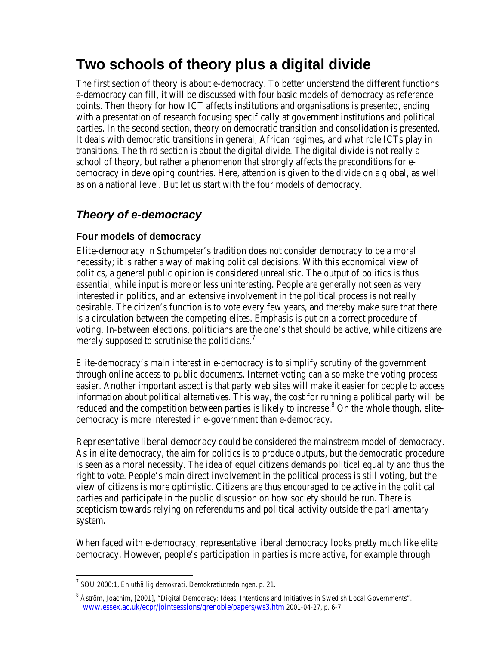# **Two schools of theory plus a digital divide**

The first section of theory is about e-democracy. To better understand the different functions e-democracy can fill, it will be discussed with four basic models of democracy as reference points. Then theory for how ICT affects institutions and organisations is presented, ending with a presentation of research focusing specifically at government institutions and political parties. In the second section, theory on democratic transition and consolidation is presented. It deals with democratic transitions in general, African regimes, and what role ICTs play in transitions. The third section is about the digital divide. The digital divide is not really a school of theory, but rather a phenomenon that strongly affects the preconditions for edemocracy in developing countries. Here, attention is given to the divide on a global, as well as on a national level. But let us start with the four models of democracy.

## *Theory of e-democracy*

### **Four models of democracy**

Elite-democracy in Schumpeter's tradition does not consider democracy to be a moral necessity; it is rather a way of making political decisions. With this economical view of politics, a general public opinion is considered unrealistic. The output of politics is thus essential, while input is more or less uninteresting. People are generally not seen as very interested in politics, and an extensive involvement in the political process is not really desirable. The citizen's function is to vote every few years, and thereby make sure that there is a circulation between the competing elites. Emphasis is put on a correct procedure of voting. In-between elections, politicians are the one's that should be active, while citizens are merely supposed to scrutinise the politicians.<sup>7</sup>

Elite-democracy's main interest in e-democracy is to simplify scrutiny of the government through online access to public documents. Internet-voting can also make the voting process easier. Another important aspect is that party web sites will make it easier for people to access information about political alternatives. This way, the cost for running a political party will be reduced and the competition between parties is likely to increase.<sup>8</sup> On the whole though, elitedemocracy is more interested in e-government than e-democracy.

Representative liberal democracy could be considered the mainstream model of democracy. As in elite democracy, the aim for politics is to produce outputs, but the democratic procedure is seen as a moral necessity. The idea of equal citizens demands political equality and thus the right to vote. People's main direct involvement in the political process is still voting, but the view of citizens is more optimistic. Citizens are thus encouraged to be active in the political parties and participate in the public discussion on how society should be run. There is scepticism towards relying on referendums and political activity outside the parliamentary system.

When faced with e-democracy, representative liberal democracy looks pretty much like elite democracy. However, people's participation in parties is more active, for example through

<sup>7</sup> SOU 2000:1, *En uthållig demokrati,* Demokratiutredningen, p. 21.

 $^8$  Åström, Joachim, [2001], "Digital Democracy: Ideas, Intentions and Initiatives in Swedish Local Governments". www.essex.ac.uk/ecpr/jointsessions/grenoble/papers/ws3.htm 2001-04-27, p. 6-7.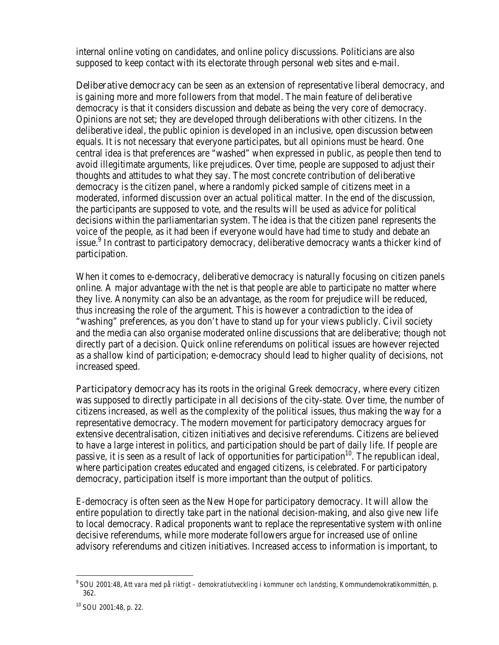internal online voting on candidates, and online policy discussions. Politicians are also supposed to keep contact with its electorate through personal web sites and e-mail.

**Deliberative democracy** can be seen as an extension of representative liberal democracy, and is gaining more and more followers from that model. The main feature of deliberative democracy is that it considers discussion and debate as being the very core of democracy. Opinions are not set; they are developed through deliberations with other citizens. In the deliberative ideal, the public opinion is developed in an inclusive, open discussion between equals. It is not necessary that everyone participates, but all opinions must be heard. One central idea is that preferences are "washed" when expressed in public, as people then tend to avoid illegitimate arguments, like prejudices. Over time, people are supposed to adjust their thoughts and attitudes to what they say. The most concrete contribution of deliberative democracy is the citizen panel, where a randomly picked sample of citizens meet in a moderated, informed discussion over an actual political matter. In the end of the discussion, the participants are supposed to vote, and the results will be used as advice for political decisions within the parliamentarian system. The idea is that the citizen panel represents the voice of the people, as it had been if everyone would have had time to study and debate an issue.<sup>9</sup> In contrast to participatory democracy, deliberative democracy wants a thicker kind of participation.

When it comes to e-democracy, deliberative democracy is naturally focusing on citizen panels online. A major advantage with the net is that people are able to participate no matter where they live. Anonymity can also be an advantage, as the room for prejudice will be reduced, thus increasing the role of the argument. This is however a contradiction to the idea of "washing" preferences, as you don't have to stand up for your views publicly. Civil society and the media can also organise moderated online discussions that are deliberative; though not directly part of a decision. Quick online referendums on political issues are however rejected as a shallow kind of participation; e-democracy should lead to higher quality of decisions, not increased speed.

Participatory democracy has its roots in the original Greek democracy, where every citizen was supposed to directly participate in all decisions of the city-state. Over time, the number of citizens increased, as well as the complexity of the political issues, thus making the way for a representative democracy. The modern movement for participatory democracy argues for extensive decentralisation, citizen initiatives and decisive referendums. Citizens are believed to have a large interest in politics, and participation should be part of daily life. If people are passive, it is seen as a result of lack of opportunities for participation<sup>10</sup>. The republican ideal, where participation creates educated and engaged citizens, is celebrated. For participatory democracy, participation itself is more important than the output of politics.

E-democracy is often seen as the New Hope for participatory democracy. It will allow the entire population to directly take part in the national decision-making, and also give new life to local democracy. Radical proponents want to replace the representative system with online decisive referendums, while more moderate followers argue for increased use of online advisory referendums and citizen initiatives. Increased access to information is important, to

<sup>9</sup>SOU 2001:48, *Att vara med på riktigt – demokratiutveckling i kommuner och landsting*, Kommundemokratikommittén, p. 362.

<sup>10</sup> SOU 2001:48, p. 22.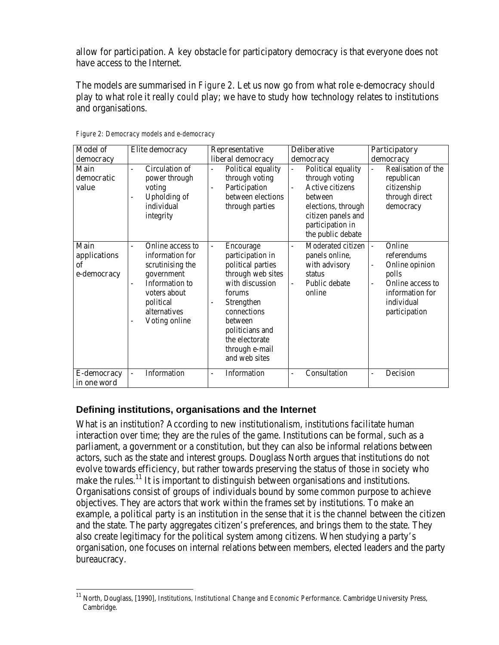allow for participation. A key obstacle for participatory democracy is that everyone does not have access to the Internet.

The models are summarised in *Figure 2*. Let us now go from what role e-democracy *should* play to what role it really *could* play; we have to study how technology relates to institutions and organisations.

| <b>Model of</b>                                  | <b>Elite</b> democracy                                                                                                                                                                          | <b>Representative</b>                                                                                                                                                                                                                                                  | <b>Deliberative</b>                                                                                                                                                                                       | <b>Participatory</b>                                                                                                                                                        |
|--------------------------------------------------|-------------------------------------------------------------------------------------------------------------------------------------------------------------------------------------------------|------------------------------------------------------------------------------------------------------------------------------------------------------------------------------------------------------------------------------------------------------------------------|-----------------------------------------------------------------------------------------------------------------------------------------------------------------------------------------------------------|-----------------------------------------------------------------------------------------------------------------------------------------------------------------------------|
| democracy                                        |                                                                                                                                                                                                 | liberal democracy                                                                                                                                                                                                                                                      | democracy                                                                                                                                                                                                 | democracy                                                                                                                                                                   |
| <b>Main</b><br>democratic<br>value               | <b>Circulation of</b><br>٠<br>power through<br>voting<br><b>Upholding of</b><br>$\overline{a}$<br>individual<br>integrity                                                                       | <b>Political equality</b><br>$\overline{a}$<br>through voting<br>Participation<br>$\overline{a}$<br>between elections<br>through parties                                                                                                                               | <b>Political equality</b><br>$\overline{a}$<br>through voting<br><b>Active citizens</b><br>$\overline{a}$<br>between<br>elections, through<br>citizen panels and<br>participation in<br>the public debate | <b>Realisation of the</b><br>republican<br>citizenship<br>through direct<br>democracy                                                                                       |
| <b>Main</b><br>applications<br>of<br>e-democracy | Online access to<br>information for<br>scrutinising the<br>government<br><b>Information</b> to<br>voters about<br>political<br>alternatives<br><b>Voting online</b><br>$\overline{\phantom{0}}$ | <b>Encourage</b><br>$\overline{a}$<br>participation in<br>political parties<br>through web sites<br>with discussion<br>forums<br><b>Strengthen</b><br>$\overline{a}$<br>connections<br>between<br>politicians and<br>the electorate<br>through e-mail<br>and web sites | <b>Moderated citizen</b><br>$\overline{a}$<br>panels online,<br>with advisory<br><b>status</b><br><b>Public debate</b><br>online                                                                          | Online<br>$\overline{a}$<br>referendums<br><b>Online opinion</b><br>$\overline{\phantom{a}}$<br>polls<br>Online access to<br>information for<br>individual<br>participation |
| <b>E-democracy</b><br>in one word                | <b>Information</b><br>$\overline{\phantom{a}}$                                                                                                                                                  | <b>Information</b><br>$\overline{\phantom{a}}$                                                                                                                                                                                                                         | <b>Consultation</b><br>$\overline{\phantom{m}}$                                                                                                                                                           | <b>Decision</b><br>$\overline{\phantom{a}}$                                                                                                                                 |

*Figure 2: Democracy models and e-democracy*

### **Defining institutions, organisations and the Internet**

 $\overline{a}$ 

What is an institution? According to new institutionalism, institutions facilitate human interaction over time; they are the rules of the game. Institutions can be formal, such as a parliament, a government or a constitution, but they can also be informal relations between actors, such as the state and interest groups. Douglass North argues that institutions do not evolve towards efficiency, but rather towards preserving the status of those in society who make the rules.<sup>11</sup> It is important to distinguish between organisations and institutions. Organisations consist of groups of individuals bound by some common purpose to achieve objectives. They are actors that work within the frames set by institutions. To make an example, a political party is an institution in the sense that it is the channel between the citizen and the state. The party aggregates citizen's preferences, and brings them to the state. They also create legitimacy for the political system among citizens. When studying a party's organisation, one focuses on internal relations between members, elected leaders and the party bureaucracy.

<sup>11</sup> North, Douglass, [1990], *Institutions, Institutional Change and Economic Performance*. Cambridge University Press, Cambridge.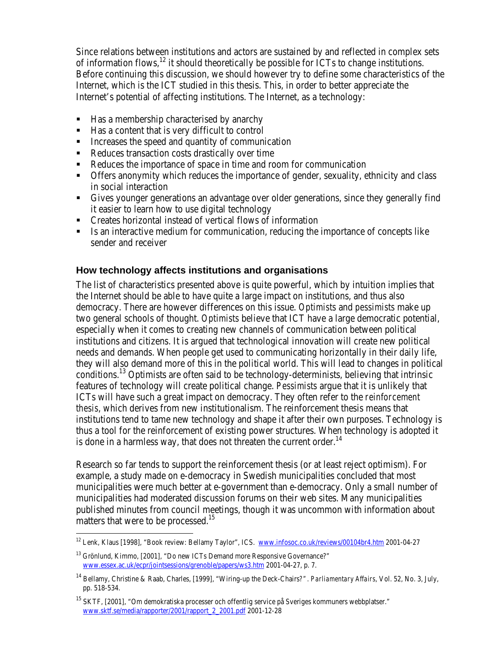Since relations between institutions and actors are sustained by and reflected in complex sets of information flows,  $^{12}$  it should theoretically be possible for  $\overline{ICTs}$  to change institutions. Before continuing this discussion, we should however try to define some characteristics of the Internet, which is the ICT studied in this thesis. This, in order to better appreciate the Internet's potential of affecting institutions. The Internet, as a technology:

- $\blacksquare$  Has a membership characterised by anarchy
- Has a content that is very difficult to control
- $\blacksquare$  Increases the speed and quantity of communication
- Reduces transaction costs drastically over time
- Reduces the importance of space in time and room for communication
- **SECT** Offers anonymity which reduces the importance of gender, sexuality, ethnicity and class in social interaction
- ß Gives younger generations an advantage over older generations, since they generally find it easier to learn how to use digital technology
- ß Creates horizontal instead of vertical flows of information
- ß Is an interactive medium for communication, reducing the importance of concepts like sender and receiver

### **How technology affects institutions and organisations**

The list of characteristics presented above is quite powerful, which by intuition implies that the Internet should be able to have quite a large impact on institutions, and thus also democracy. There are however differences on this issue. *Optimists* and *pessimists* make up two general schools of thought. *Optimists* believe that ICT have a large democratic potential, especially when it comes to creating new channels of communication between political institutions and citizens. It is argued that technological innovation will create new political needs and demands. When people get used to communicating horizontally in their daily life, they will also demand more of this in the political world. This will lead to changes in political conditions.<sup>13</sup> Optimists are often said to be technology-determinists, believing that intrinsic features of technology will create political change. *Pessimists* argue that it is unlikely that ICTs will have such a great impact on democracy. They often refer to the *reinforcement thesis*, which derives from new institutionalism. The reinforcement thesis means that institutions tend to tame new technology and shape it after their own purposes. Technology is thus a tool for the reinforcement of existing power structures. When technology is adopted it is done in a harmless way, that does not threaten the current order.<sup>14</sup>

Research so far tends to support the reinforcement thesis (or at least reject optimism). For example, a study made on e-democracy in Swedish municipalities concluded that most municipalities were much better at e-government than e-democracy. Only a small number of municipalities had moderated discussion forums on their web sites. Many municipalities published minutes from council meetings, though it was uncommon with information about matters that were to be processed.<sup>15</sup>

<sup>&</sup>lt;sup>12</sup> Lenk, Klaus [1998], "Book review: Bellamy Taylor", ICS. www.infosoc.co.uk/reviews/00104br4.htm 2001-04-27

<sup>&</sup>lt;sup>13</sup> Grönlund, Kimmo, [2001], "Do new ICTs Demand more Responsive Governance?" www.essex.ac.uk/ecpr/jointsessions/grenoble/papers/ws3.htm 2001-04-27, p. 7.

<sup>14</sup> Bellamy, Christine & Raab, Charles, [1999], "Wiring-up the Deck-Chairs*?". Parliamentary Affairs*, Vol. 52, No. 3, July, pp. 518-534.

<sup>&</sup>lt;sup>15</sup> SKTF, [2001], "Om demokratiska processer och offentlig service på Sveriges kommuners webbplatser." www.sktf.se/media/rapporter/2001/rapport\_2\_2001.pdf 2001-12-28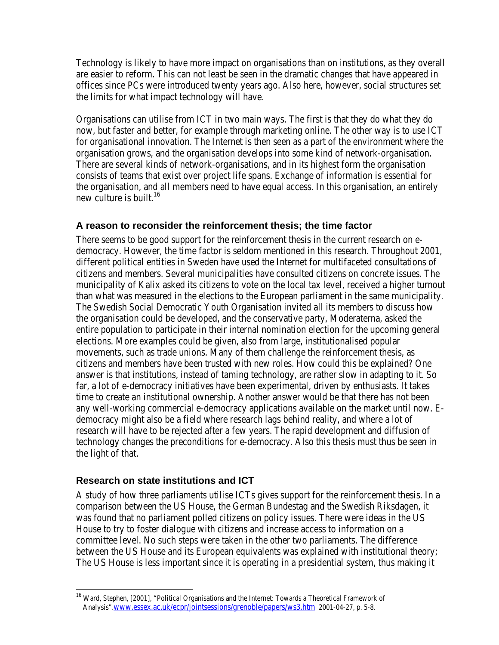Technology is likely to have more impact on organisations than on institutions, as they overall are easier to reform. This can not least be seen in the dramatic changes that have appeared in offices since PCs were introduced twenty years ago. Also here, however, social structures set the limits for what impact technology will have.

Organisations can utilise from ICT in two main ways. The first is that they do what they do now, but faster and better, for example through marketing online. The other way is to use ICT for organisational innovation. The Internet is then seen as a part of the environment where the organisation grows, and the organisation develops into some kind of network-organisation. There are several kinds of network-organisations, and in its highest form the organisation consists of teams that exist over project life spans. Exchange of information is essential for the organisation, and all members need to have equal access. In this organisation, an entirely new culture is built.<sup>16</sup>

### **A reason to reconsider the reinforcement thesis; the time factor**

There seems to be good support for the reinforcement thesis in the current research on edemocracy. However, the time factor is seldom mentioned in this research. Throughout 2001, different political entities in Sweden have used the Internet for multifaceted consultations of citizens and members. Several municipalities have consulted citizens on concrete issues. The municipality of Kalix asked its citizens to vote on the local tax level, received a higher turnout than what was measured in the elections to the European parliament in the same municipality. The Swedish Social Democratic Youth Organisation invited all its members to discuss how the organisation could be developed, and the conservative party, Moderaterna, asked the entire population to participate in their internal nomination election for the upcoming general elections. More examples could be given, also from large, institutionalised popular movements, such as trade unions. Many of them challenge the reinforcement thesis, as citizens and members have been trusted with new roles. How could this be explained? One answer is that institutions, instead of taming technology, are rather slow in adapting to it. So far, a lot of e-democracy initiatives have been experimental, driven by enthusiasts. It takes time to create an institutional ownership. Another answer would be that there has not been any well-working commercial e-democracy applications available on the market until now. Edemocracy might also be a field where research lags behind reality, and where a lot of research will have to be rejected after a few years. The rapid development and diffusion of technology changes the preconditions for e-democracy. Also this thesis must thus be seen in the light of that.

### **Research on state institutions and ICT**

 $\overline{a}$ 

A study of how three parliaments utilise ICTs gives support for the reinforcement thesis. In a comparison between the US House, the German Bundestag and the Swedish Riksdagen, it was found that no parliament polled citizens on policy issues. There were ideas in the US House to try to foster dialogue with citizens and increase access to information on a committee level. No such steps were taken in the other two parliaments. The difference between the US House and its European equivalents was explained with institutional theory; The US House is less important since it is operating in a presidential system, thus making it

<sup>&</sup>lt;sup>16</sup> Ward, Stephen, [2001], "Political Organisations and the Internet: Towards a Theoretical Framework of Analysis".www.essex.ac.uk/ecpr/jointsessions/grenoble/papers/ws3.htm 2001-04-27, p. 5-8.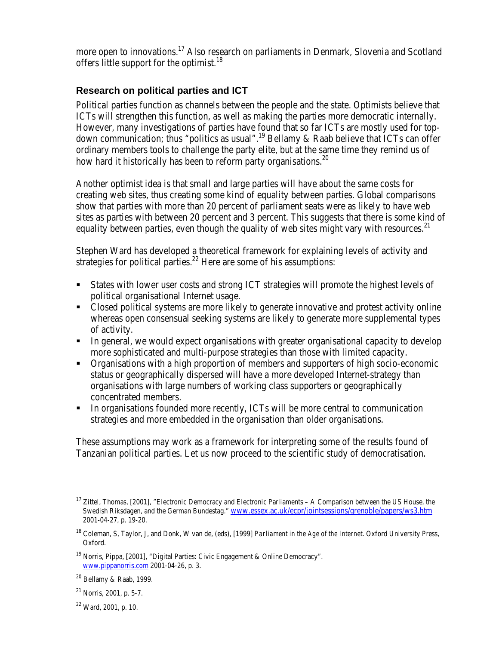more open to innovations.<sup>17</sup> Also research on parliaments in Denmark, Slovenia and Scotland offers little support for the optimist.<sup>18</sup>

### **Research on political parties and ICT**

Political parties function as channels between the people and the state. Optimists believe that ICTs will strengthen this function, as well as making the parties more democratic internally. However, many investigations of parties have found that so far ICTs are mostly used for topdown communication; thus "politics as usual".<sup>19</sup> Bellamy & Raab believe that ICTs can offer ordinary members tools to challenge the party elite, but at the same time they remind us of how hard it historically has been to reform party organisations.<sup>20</sup>

Another optimist idea is that small and large parties will have about the same costs for creating web sites, thus creating some kind of equality between parties. Global comparisons show that parties with more than 20 percent of parliament seats were as likely to have web sites as parties with between 20 percent and 3 percent. This suggests that there is some kind of equality between parties, even though the quality of web sites might vary with resources.<sup>21</sup>

Stephen Ward has developed a theoretical framework for explaining levels of activity and strategies for political parties.<sup>22</sup> Here are some of his assumptions:

- ß States with lower user costs and strong ICT strategies will promote the highest levels of political organisational Internet usage.
- ß Closed political systems are more likely to generate innovative and protest activity online whereas open consensual seeking systems are likely to generate more supplemental types of activity.
- In general, we would expect organisations with greater organisational capacity to develop more sophisticated and multi-purpose strategies than those with limited capacity.
- **Organisations with a high proportion of members and supporters of high socio-economic** status or geographically dispersed will have a more developed Internet-strategy than organisations with large numbers of working class supporters or geographically concentrated members.
- In organisations founded more recently, ICTs will be more central to communication strategies and more embedded in the organisation than older organisations.

These assumptions may work as a framework for interpreting some of the results found of Tanzanian political parties. Let us now proceed to the scientific study of democratisation.

 $\overline{a}$ <sup>17</sup> Zittel, Thomas, [2001], "Electronic Democracy and Electronic Parliaments – A Comparison between the US House, the Swedish Riksdagen, and the German Bundestag." www.essex.ac.uk/ecpr/jointsessions/grenoble/papers/ws3.htm 2001-04-27, p. 19-20.

<sup>18</sup> Coleman, S, Taylor, J, and Donk, W van de, (eds), [1999] *Parliament in the Age of the Internet*. Oxford University Press, Oxford.

<sup>&</sup>lt;sup>19</sup> Norris, Pippa, [2001], "Digital Parties: Civic Engagement & Online Democracy". www.pippanorris.com 2001-04-26, p. 3.

 $20$  Bellamy & Raab, 1999.

 $21$  Norris, 2001, p. 5-7.

<sup>22</sup> Ward, 2001, p. 10.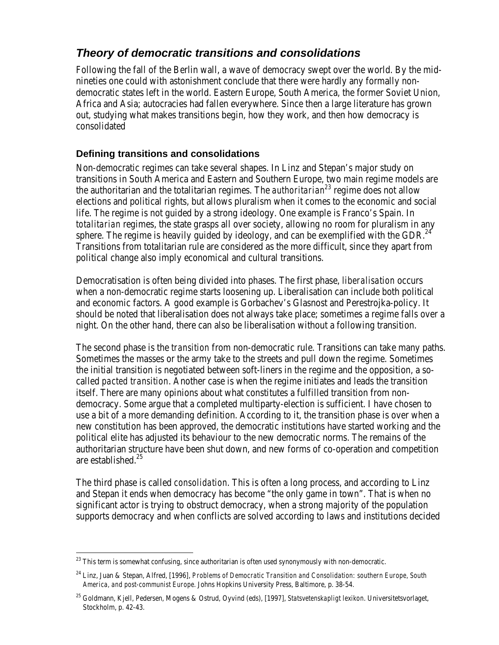## *Theory of democratic transitions and consolidations*

Following the fall of the Berlin wall, a wave of democracy swept over the world. By the midnineties one could with astonishment conclude that there were hardly any formally nondemocratic states left in the world. Eastern Europe, South America, the former Soviet Union, Africa and Asia; autocracies had fallen everywhere. Since then a large literature has grown out, studying what makes transitions begin, how they work, and then how democracy is consolidated

### **Defining transitions and consolidations**

Non-democratic regimes can take several shapes. In Linz and Stepan's major study on transitions in South America and Eastern and Southern Europe, two main regime models are the authoritarian and the totalitarian regimes. The *authoritarian<sup>23</sup>* regime does not allow elections and political rights, but allows pluralism when it comes to the economic and social life. The regime is not guided by a strong ideology. One example is Franco's Spain. In *totalitarian* regimes, the state grasps all over society, allowing no room for pluralism in any sphere. The regime is heavily guided by ideology, and can be exemplified with the GDR.<sup>24</sup> Transitions from totalitarian rule are considered as the more difficult, since they apart from political change also imply economical and cultural transitions.

Democratisation is often being divided into phases. The first phase, *liberalisation* occurs when a non-democratic regime starts loosening up. Liberalisation can include both political and economic factors. A good example is Gorbachev's Glasnost and Perestrojka-policy. It should be noted that liberalisation does not always take place; sometimes a regime falls over a night. On the other hand, there can also be liberalisation without a following transition.

The second phase is the *transition* from non-democratic rule. Transitions can take many paths. Sometimes the masses or the army take to the streets and pull down the regime. Sometimes the initial transition is negotiated between soft-liners in the regime and the opposition, a socalled *pacted transition*. Another case is when the regime initiates and leads the transition itself. There are many opinions about what constitutes a fulfilled transition from nondemocracy. Some argue that a completed multiparty-election is sufficient. I have chosen to use a bit of a more demanding definition. According to it, the transition phase is over when a new constitution has been approved, the democratic institutions have started working and the political elite has adjusted its behaviour to the new democratic norms. The remains of the authoritarian structure have been shut down, and new forms of co-operation and competition are established.<sup>25</sup>

The third phase is called *consolidation*. This is often a long process, and according to Linz and Stepan it ends when democracy has become "the only game in town". That is when no significant actor is trying to obstruct democracy, when a strong majority of the population supports democracy and when conflicts are solved according to laws and institutions decided

<sup>&</sup>lt;sup>23</sup> This term is somewhat confusing, since authoritarian is often used synonymously with non-democratic.

<sup>24</sup> Linz, Juan & Stepan, Alfred, [1996], *Problems of Democratic Transition and Consolidation: southern Europe, South America, and post-communist Europe.* Johns Hopkins University Press, Baltimore, p. 38-54.

<sup>25</sup> Goldmann, Kjell, Pedersen, Mogens & Ostrud, Oyvind (eds), [1997], *Statsvetenskapligt lexikon*. Universitetsvorlaget, Stockholm, p. 42-43.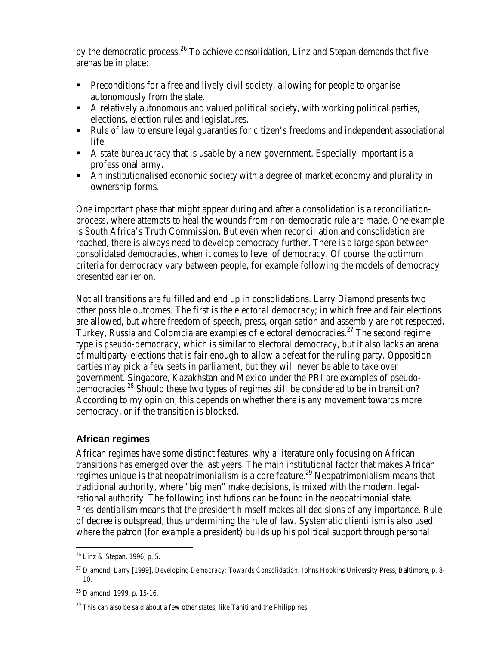by the democratic process.<sup>26</sup> To achieve consolidation, Linz and Stepan demands that five arenas be in place:

- **•** Preconditions for a free and lively *civil society*, allowing for people to organise autonomously from the state.
- A relatively autonomous and valued *political society*, with working political parties, elections, election rules and legislatures.
- **Rule of law to ensure legal guaranties for citizen's freedoms and independent associational** life.
- ß A *state bureaucracy* that is usable by a new government. Especially important is a professional army.
- ß An institutionalised *economic society* with a degree of market economy and plurality in ownership forms.

One important phase that might appear during and after a consolidation is a *reconciliationprocess*, where attempts to heal the wounds from non-democratic rule are made. One example is South Africa's Truth Commission. But even when reconciliation and consolidation are reached, there is always need to develop democracy further. There is a large span between consolidated democracies, when it comes to level of democracy. Of course, the optimum criteria for democracy vary between people, for example following the models of democracy presented earlier on.

Not all transitions are fulfilled and end up in consolidations. Larry Diamond presents two other possible outcomes. The first is the *electoral democracy*; in which free and fair elections are allowed, but where freedom of speech, press, organisation and assembly are not respected. Turkey, Russia and Colombia are examples of electoral democracies.<sup>27</sup> The second regime type is *pseudo-democracy*, which is similar to electoral democracy, but it also lacks an arena of multiparty-elections that is fair enough to allow a defeat for the ruling party. Opposition parties may pick a few seats in parliament, but they will never be able to take over government. Singapore, Kazakhstan and Mexico under the PRI are examples of pseudodemocracies.<sup>28</sup> Should these two types of regimes still be considered to be in transition? According to my opinion, this depends on whether there is any movement towards more democracy, or if the transition is blocked.

### **African regimes**

African regimes have some distinct features, why a literature only focusing on African transitions has emerged over the last years. The main institutional factor that makes African regimes unique is that *neopatrimonialism* is a core feature.<sup>29</sup> Neopatrimonialism means that traditional authority, where "big men" make decisions, is mixed with the modern, legalrational authority. The following institutions can be found in the neopatrimonial state. *Presidentialism* means that the president himself makes all decisions of any importance. Rule of decree is outspread, thus undermining the rule of law. Systematic *clientilism* is also used, where the patron (for example a president) builds up his political support through personal

<sup>26</sup> Linz & Stepan, 1996, p. 5.

<sup>27</sup> Diamond, Larry [1999], *Developing Democracy: Towards Consolidation*. Johns Hopkins University Press, Baltimore, p. 8- 10.

<sup>28</sup> Diamond, 1999, p. 15-16.

 $29$  This can also be said about a few other states, like Tahiti and the Philippines.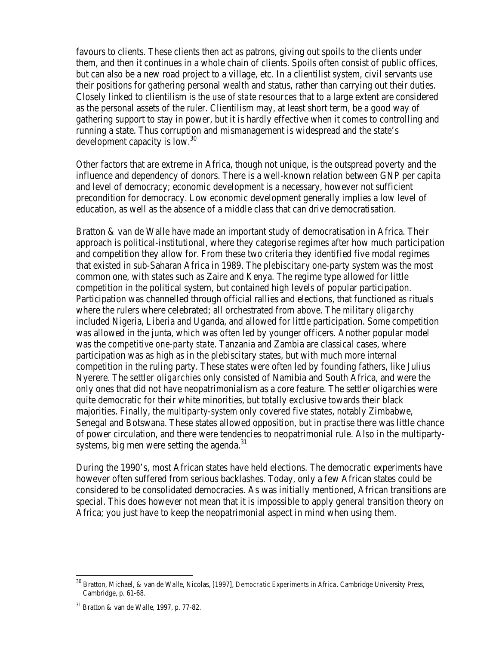favours to clients. These clients then act as patrons, giving out spoils to the clients under them, and then it continues in a whole chain of clients. Spoils often consist of public offices, but can also be a new road project to a village, etc. In a clientilist system, civil servants use their positions for gathering personal wealth and status, rather than carrying out their duties. Closely linked to clientilism is *the use of state resources* that to a large extent are considered as the personal assets of the ruler. Clientilism may, at least short term, be a good way of gathering support to stay in power, but it is hardly effective when it comes to controlling and running a state. Thus corruption and mismanagement is widespread and the state's development capacity is low.<sup>30</sup>

Other factors that are extreme in Africa, though not unique, is the outspread poverty and the influence and dependency of donors. There is a well-known relation between GNP per capita and level of democracy; economic development is a necessary, however not sufficient precondition for democracy. Low economic development generally implies a low level of education, as well as the absence of a middle class that can drive democratisation.

Bratton & van de Walle have made an important study of democratisation in Africa. Their approach is political-institutional, where they categorise regimes after how much participation and competition they allow for. From these two criteria they identified five modal regimes that existed in sub-Saharan Africa in 1989. The *plebiscitary* one-party system was the most common one, with states such as Zaire and Kenya. The regime type allowed for little competition in the political system, but contained high levels of popular participation. Participation was channelled through official rallies and elections, that functioned as rituals where the rulers where celebrated; all orchestrated from above. The *military oligarchy* included Nigeria, Liberia and Uganda, and allowed for little participation. Some competition was allowed in the junta, which was often led by younger officers. Another popular model was the *competitive one-party state*. Tanzania and Zambia are classical cases, where participation was as high as in the plebiscitary states, but with much more internal competition in the ruling party. These states were often led by founding fathers, like Julius Nyerere. The *settler oligarchies* only consisted of Namibia and South Africa, and were the only ones that did not have neopatrimonialism as a core feature. The settler oligarchies were quite democratic for their white minorities, but totally exclusive towards their black majorities. Finally, the *multiparty-system* only covered five states, notably Zimbabwe, Senegal and Botswana. These states allowed opposition, but in practise there was little chance of power circulation, and there were tendencies to neopatrimonial rule. Also in the multipartysystems, big men were setting the agenda.<sup>31</sup>

During the 1990's, most African states have held elections. The democratic experiments have however often suffered from serious backlashes. Today, only a few African states could be considered to be consolidated democracies. As was initially mentioned, African transitions are special. This does however not mean that it is impossible to apply general transition theory on Africa; you just have to keep the neopatrimonial aspect in mind when using them.

<sup>30</sup> Bratton, Michael, & van de Walle, Nicolas, [1997], *Democratic Experiments in Africa*. Cambridge University Press, Cambridge, p. 61-68.

<sup>31</sup> Bratton & van de Walle, 1997, p. 77-82.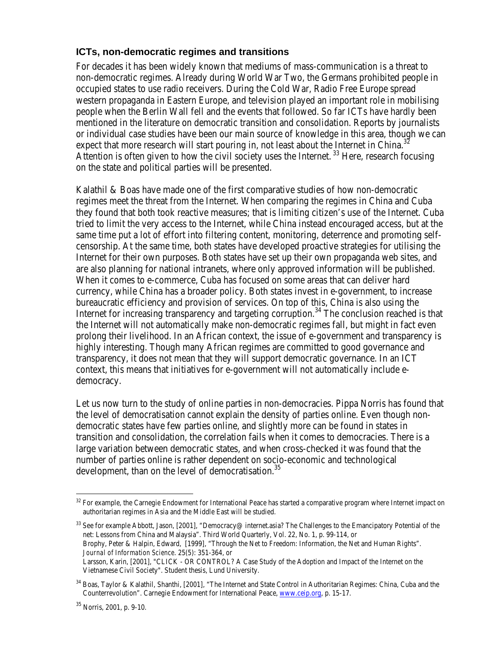#### **ICTs, non-democratic regimes and transitions**

For decades it has been widely known that mediums of mass-communication is a threat to non-democratic regimes. Already during World War Two, the Germans prohibited people in occupied states to use radio receivers. During the Cold War, Radio Free Europe spread western propaganda in Eastern Europe, and television played an important role in mobilising people when the Berlin Wall fell and the events that followed. So far ICTs have hardly been mentioned in the literature on democratic transition and consolidation. Reports by journalists or individual case studies have been our main source of knowledge in this area, though we can expect that more research will start pouring in, not least about the Internet in China.<sup>32</sup> Attention is often given to how the civil society uses the Internet.<sup>33</sup> Here, research focusing on the state and political parties will be presented.

Kalathil & Boas have made one of the first comparative studies of how non-democratic regimes meet the threat from the Internet. When comparing the regimes in China and Cuba they found that both took reactive measures; that is limiting citizen's use of the Internet. Cuba tried to limit the very access to the Internet, while China instead encouraged access, but at the same time put a lot of effort into filtering content, monitoring, deterrence and promoting selfcensorship. At the same time, both states have developed proactive strategies for utilising the Internet for their own purposes. Both states have set up their own propaganda web sites, and are also planning for national intranets, where only approved information will be published. When it comes to e-commerce, Cuba has focused on some areas that can deliver hard currency, while China has a broader policy. Both states invest in e-government, to increase bureaucratic efficiency and provision of services. On top of this, China is also using the Internet for increasing transparency and targeting corruption.<sup>34</sup> The conclusion reached is that the Internet will not automatically make non-democratic regimes fall, but might in fact even prolong their livelihood. In an African context, the issue of e-government and transparency is highly interesting. Though many African regimes are committed to good governance and transparency, it does not mean that they will support democratic governance. In an ICT context, this means that initiatives for e-government will not automatically include edemocracy.

Let us now turn to the study of online parties in non-democracies. Pippa Norris has found that the level of democratisation cannot explain the density of parties online. Even though nondemocratic states have few parties online, and slightly more can be found in states in transition and consolidation, the correlation fails when it comes to democracies. There is a large variation between democratic states, and when cross-checked it was found that the number of parties online is rather dependent on socio-economic and technological development, than on the level of democratisation.<sup>35</sup>

<sup>&</sup>lt;sup>32</sup> For example, the Carnegie Endowment for International Peace has started a comparative program where Internet impact on authoritarian regimes in Asia and the Middle East will be studied.

 $33$  See for example Abbott, Jason, [2001], "Democracy@ internet.asia? The Challenges to the Emancipatory Potential of the net: Lessons from China and Malaysia". Third World Quarterly, Vol. 22, No. 1, p. 99-114, or Brophy, Peter & Halpin, Edward, [1999], "Through the Net to Freedom: Information, the Net and Human Rights". *Journal of Information Science*. 25(5): 351-364, or Larsson, Karin, [2001], "CLICK - OR CONTROL? A Case Study of the Adoption and Impact of the Internet on the Vietnamese Civil Society". Student thesis, Lund University.

<sup>34</sup> Boas, Taylor & Kalathil, Shanthi, [2001], "The Internet and State Control in Authoritarian Regimes: China, Cuba and the Counterrevolution". Carnegie Endowment for International Peace, www.ceip.org, p. 15-17.

<sup>35</sup> Norris, 2001, p. 9-10.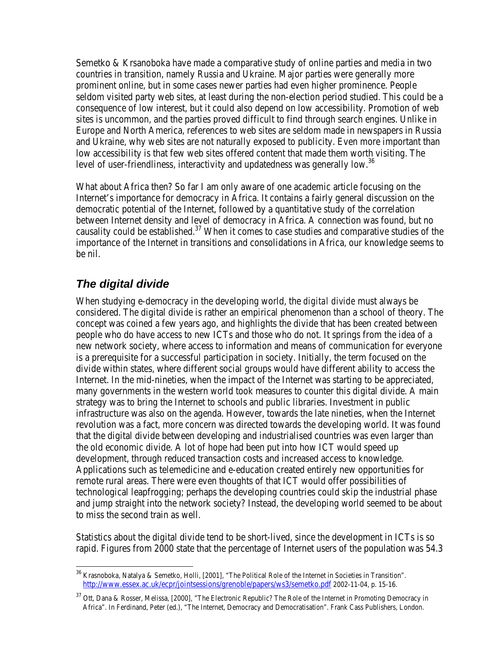Semetko & Krsanoboka have made a comparative study of online parties and media in two countries in transition, namely Russia and Ukraine. Major parties were generally more prominent online, but in some cases newer parties had even higher prominence. People seldom visited party web sites, at least during the non-election period studied. This could be a consequence of low interest, but it could also depend on low accessibility. Promotion of web sites is uncommon, and the parties proved difficult to find through search engines. Unlike in Europe and North America, references to web sites are seldom made in newspapers in Russia and Ukraine, why web sites are not naturally exposed to publicity. Even more important than low accessibility is that few web sites offered content that made them worth visiting. The level of user-friendliness, interactivity and updatedness was generally low.<sup>36</sup>

What about Africa then? So far I am only aware of one academic article focusing on the Internet's importance for democracy in Africa. It contains a fairly general discussion on the democratic potential of the Internet, followed by a quantitative study of the correlation between Internet density and level of democracy in Africa. A connection was found, but no causality could be established.<sup>37</sup> When it comes to case studies and comparative studies of the importance of the Internet in transitions and consolidations in Africa, our knowledge seems to be nil.

# *The digital divide*

When studying e-democracy in the developing world, the *digital divide* must always be considered. The digital divide is rather an empirical phenomenon than a school of theory. The concept was coined a few years ago, and highlights the divide that has been created between people who do have access to new ICTs and those who do not. It springs from the idea of a new network society, where access to information and means of communication for everyone is a prerequisite for a successful participation in society. Initially, the term focused on the divide within states, where different social groups would have different ability to access the Internet. In the mid-nineties, when the impact of the Internet was starting to be appreciated, many governments in the western world took measures to counter this digital divide. A main strategy was to bring the Internet to schools and public libraries. Investment in public infrastructure was also on the agenda. However, towards the late nineties, when the Internet revolution was a fact, more concern was directed towards the developing world. It was found that the digital divide between developing and industrialised countries was even larger than the old economic divide. A lot of hope had been put into how ICT would speed up development, through reduced transaction costs and increased access to knowledge. Applications such as telemedicine and e-education created entirely new opportunities for remote rural areas. There were even thoughts of that ICT would offer possibilities of technological leapfrogging; perhaps the developing countries could skip the industrial phase and jump straight into the network society? Instead, the developing world seemed to be about to miss the second train as well.

Statistics about the digital divide tend to be short-lived, since the development in ICTs is so rapid. Figures from 2000 state that the percentage of Internet users of the population was 54.3

 $\overline{a}$ <sup>36</sup> Krasnoboka, Natalya & Semetko, Holli, [2001], "The Political Role of the Internet in Societies in Transition". http://www.essex.ac.uk/ecpr/jointsessions/grenoble/papers/ws3/semetko.pdf 2002-11-04, p. 15-16.

<sup>&</sup>lt;sup>37</sup> Ott, Dana & Rosser, Melissa, [2000], "The Electronic Republic? The Role of the Internet in Promoting Democracy in Africa". In Ferdinand, Peter (ed.), "The Internet, Democracy and Democratisation". Frank Cass Publishers, London.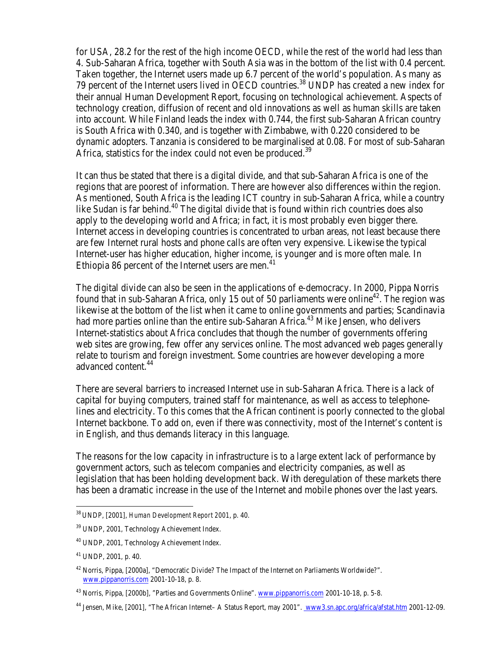for USA, 28.2 for the rest of the high income OECD, while the rest of the world had less than 4. Sub-Saharan Africa, together with South Asia was in the bottom of the list with 0.4 percent. Taken together, the Internet users made up 6.7 percent of the world's population. As many as 79 percent of the Internet users lived in OECD countries.<sup>38</sup> UNDP has created a new index for their annual Human Development Report, focusing on technological achievement. Aspects of technology creation, diffusion of recent and old innovations as well as human skills are taken into account. While Finland leads the index with 0.744, the first sub-Saharan African country is South Africa with 0.340, and is together with Zimbabwe, with 0.220 considered to be dynamic adopters. Tanzania is considered to be marginalised at 0.08. For most of sub-Saharan Africa, statistics for the index could not even be produced.<sup>39</sup>

It can thus be stated that there is a digital divide, and that sub-Saharan Africa is one of the regions that are poorest of information. There are however also differences within the region. As mentioned, South Africa is the leading ICT country in sub-Saharan Africa, while a country like Sudan is far behind.<sup>40</sup> The digital divide that is found within rich countries does also apply to the developing world and Africa; in fact, it is most probably even bigger there. Internet access in developing countries is concentrated to urban areas, not least because there are few Internet rural hosts and phone calls are often very expensive. Likewise the typical Internet-user has higher education, higher income, is younger and is more often male. In Ethiopia 86 percent of the Internet users are men. $41$ 

The digital divide can also be seen in the applications of e-democracy. In 2000, Pippa Norris found that in sub-Saharan Africa, only 15 out of 50 parliaments were online<sup>42</sup>. The region was likewise at the bottom of the list when it came to online governments and parties; Scandinavia had more parties online than the entire sub-Saharan Africa.<sup>43</sup> Mike Jensen, who delivers Internet-statistics about Africa concludes that though the number of governments offering web sites are growing, few offer any services online. The most advanced web pages generally relate to tourism and foreign investment. Some countries are however developing a more advanced content.<sup>44</sup>

There are several barriers to increased Internet use in sub-Saharan Africa. There is a lack of capital for buying computers, trained staff for maintenance, as well as access to telephonelines and electricity. To this comes that the African continent is poorly connected to the global Internet backbone. To add on, even if there was connectivity, most of the Internet's content is in English, and thus demands literacy in this language.

The reasons for the low capacity in infrastructure is to a large extent lack of performance by government actors, such as telecom companies and electricity companies, as well as legislation that has been holding development back. With deregulation of these markets there has been a dramatic increase in the use of the Internet and mobile phones over the last years.

<sup>38</sup>UNDP, [2001], *Human Development Report 2001*, p. 40.

<sup>39</sup> UNDP, 2001, Technology Achievement Index.

<sup>40</sup> UNDP, 2001, Technology Achievement Index.

<sup>41</sup> UNDP, 2001, p. 40.

<sup>42</sup> Norris, Pippa, [2000a], "Democratic Divide? The Impact of the Internet on Parliaments Worldwide?". www.pippanorris.com 2001-10-18, p. 8.

<sup>&</sup>lt;sup>43</sup> Norris, Pippa, [2000b], "Parties and Governments Online". www.pippanorris.com 2001-10-18, p. 5-8.

<sup>44</sup> Jensen, Mike, [2001], "The African Internet– A Status Report, may 2001". www3.sn.apc.org/africa/afstat.htm 2001-12-09.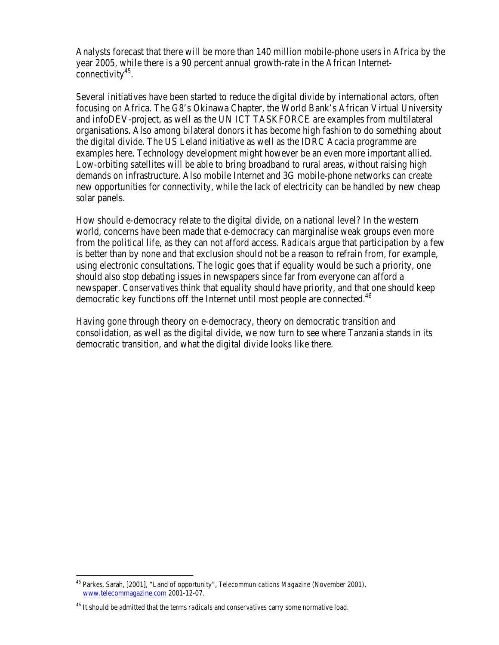Analysts forecast that there will be more than 140 million mobile-phone users in Africa by the year 2005, while there is a 90 percent annual growth-rate in the African Internet- $\check{\rm{connectivity}}^{45}.$ 

Several initiatives have been started to reduce the digital divide by international actors, often focusing on Africa. The G8's Okinawa Chapter, the World Bank's African Virtual University and infoDEV-project, as well as the UN ICT TASKFORCE are examples from multilateral organisations. Also among bilateral donors it has become high fashion to do something about the digital divide. The US Leland initiative as well as the IDRC Acacia programme are examples here. Technology development might however be an even more important allied. Low-orbiting satellites will be able to bring broadband to rural areas, without raising high demands on infrastructure. Also mobile Internet and 3G mobile-phone networks can create new opportunities for connectivity, while the lack of electricity can be handled by new cheap solar panels.

How should e-democracy relate to the digital divide, on a national level? In the western world, concerns have been made that e-democracy can marginalise weak groups even more from the political life, as they can not afford access. *Radicals* argue that participation by a few is better than by none and that exclusion should not be a reason to refrain from, for example, using electronic consultations. The logic goes that if equality would be such a priority, one should also stop debating issues in newspapers since far from everyone can afford a newspaper. *Conservatives* think that equality should have priority, and that one should keep democratic key functions off the Internet until most people are connected.<sup>46</sup>

Having gone through theory on e-democracy, theory on democratic transition and consolidation, as well as the digital divide, we now turn to see where Tanzania stands in its democratic transition, and what the digital divide looks like there.

<sup>45</sup> Parkes, Sarah, [2001], "Land of opportunity", *Telecommunications Magazine* (November 2001), www.telecommagazine.com 2001-12-07.

<sup>46</sup> It should be admitted that the terms *radicals* and *conservatives* carry some normative load.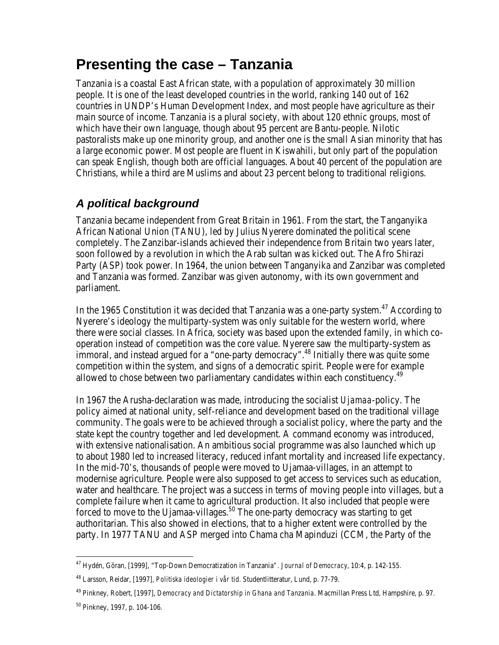# **Presenting the case – Tanzania**

Tanzania is a coastal East African state, with a population of approximately 30 million people. It is one of the least developed countries in the world, ranking 140 out of 162 countries in UNDP's Human Development Index, and most people have agriculture as their main source of income. Tanzania is a plural society, with about 120 ethnic groups, most of which have their own language, though about 95 percent are Bantu-people. Nilotic pastoralists make up one minority group, and another one is the small Asian minority that has a large economic power. Most people are fluent in Kiswahili, but only part of the population can speak English, though both are official languages. About 40 percent of the population are Christians, while a third are Muslims and about 23 percent belong to traditional religions.

# *A political background*

Tanzania became independent from Great Britain in 1961. From the start, the Tanganyika African National Union (TANU), led by Julius Nyerere dominated the political scene completely. The Zanzibar-islands achieved their independence from Britain two years later, soon followed by a revolution in which the Arab sultan was kicked out. The Afro Shirazi Party (ASP) took power. In 1964, the union between Tanganyika and Zanzibar was completed and Tanzania was formed. Zanzibar was given autonomy, with its own government and parliament.

In the 1965 Constitution it was decided that Tanzania was a one-party system.<sup>47</sup> According to Nyerere's ideology the multiparty-system was only suitable for the western world, where there were social classes. In Africa, society was based upon the extended family, in which cooperation instead of competition was the core value. Nyerere saw the multiparty-system as immoral, and instead argued for a "one-party democracy".<sup>48</sup> Initially there was quite some competition within the system, and signs of a democratic spirit. People were for example allowed to chose between two parliamentary candidates within each constituency.<sup>49</sup>

In 1967 the Arusha-declaration was made, introducing the socialist *Ujamaa*-policy. The policy aimed at national unity, self-reliance and development based on the traditional village community. The goals were to be achieved through a socialist policy, where the party and the state kept the country together and led development. A command economy was introduced, with extensive nationalisation. An ambitious social programme was also launched which up to about 1980 led to increased literacy, reduced infant mortality and increased life expectancy. In the mid-70's, thousands of people were moved to Ujamaa-villages, in an attempt to modernise agriculture. People were also supposed to get access to services such as education, water and healthcare. The project was a success in terms of moving people into villages, but a complete failure when it came to agricultural production. It also included that people were forced to move to the Ujamaa-villages.<sup>50</sup> The one-party democracy was starting to get authoritarian. This also showed in elections, that to a higher extent were controlled by the party. In 1977 TANU and ASP merged into Chama cha Mapinduzi (CCM, the Party of the

 $\overline{a}$ <sup>47</sup> Hydén, Göran, [1999], "Top-Down Democratization in Tanzania*". Journal of Democracy*, 10:4, p. 142-155.

<sup>48</sup> Larsson, Reidar, [1997], *Politiska ideologier i vår tid*. Studentlitteratur, Lund, p. 77-79.

<sup>49</sup> Pinkney, Robert, [1997], *Democracy and Dictatorship in Ghana and Tanzania*. Macmillan Press Ltd, Hampshire, p. 97.

<sup>50</sup> Pinkney, 1997, p. 104-106.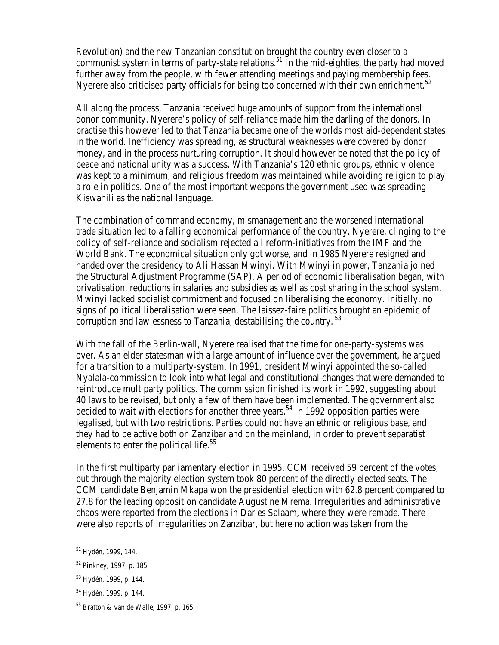Revolution) and the new Tanzanian constitution brought the country even closer to a communist system in terms of party-state relations.<sup>51</sup> In the mid-eighties, the party had moved further away from the people, with fewer attending meetings and paying membership fees. Nyerere also criticised party officials for being too concerned with their own enrichment.<sup>52</sup>

All along the process, Tanzania received huge amounts of support from the international donor community. Nyerere's policy of self-reliance made him the darling of the donors. In practise this however led to that Tanzania became one of the worlds most aid-dependent states in the world. Inefficiency was spreading, as structural weaknesses were covered by donor money, and in the process nurturing corruption. It should however be noted that the policy of peace and national unity was a success. With Tanzania's 120 ethnic groups, ethnic violence was kept to a minimum, and religious freedom was maintained while avoiding religion to play a role in politics. One of the most important weapons the government used was spreading Kiswahili as the national language.

The combination of command economy, mismanagement and the worsened international trade situation led to a falling economical performance of the country. Nyerere, clinging to the policy of self-reliance and socialism rejected all reform-initiatives from the IMF and the World Bank. The economical situation only got worse, and in 1985 Nyerere resigned and handed over the presidency to Ali Hassan Mwinyi. With Mwinyi in power, Tanzania joined the Structural Adjustment Programme (SAP). A period of economic liberalisation began, with privatisation, reductions in salaries and subsidies as well as cost sharing in the school system. Mwinyi lacked socialist commitment and focused on liberalising the economy. Initially, no signs of political liberalisation were seen. The laissez-faire politics brought an epidemic of corruption and lawlessness to Tanzania, destabilising the country.<sup>53</sup>

With the fall of the Berlin-wall, Nyerere realised that the time for one-party-systems was over. As an elder statesman with a large amount of influence over the government, he argued for a transition to a multiparty-system. In 1991, president Mwinyi appointed the so-called Nyalala-commission to look into what legal and constitutional changes that were demanded to reintroduce multiparty politics. The commission finished its work in 1992, suggesting about 40 laws to be revised, but only a few of them have been implemented. The government also decided to wait with elections for another three years.<sup>54</sup> In 1992 opposition parties were legalised, but with two restrictions. Parties could not have an ethnic or religious base, and they had to be active both on Zanzibar and on the mainland, in order to prevent separatist elements to enter the political life.<sup>55</sup>

In the first multiparty parliamentary election in 1995, CCM received 59 percent of the votes, but through the majority election system took 80 percent of the directly elected seats. The CCM candidate Benjamin Mkapa won the presidential election with 62.8 percent compared to 27.8 for the leading opposition candidate Augustine Mrema. Irregularities and administrative chaos were reported from the elections in Dar es Salaam, where they were remade. There were also reports of irregularities on Zanzibar, but here no action was taken from the

<sup>&</sup>lt;sup>51</sup> Hydén, 1999, 144.

<sup>52</sup> Pinkney, 1997, p. 185.

<sup>53</sup> Hydén, 1999, p. 144.

<sup>54</sup> Hydén, 1999, p. 144.

<sup>55</sup> Bratton & van de Walle, 1997, p. 165.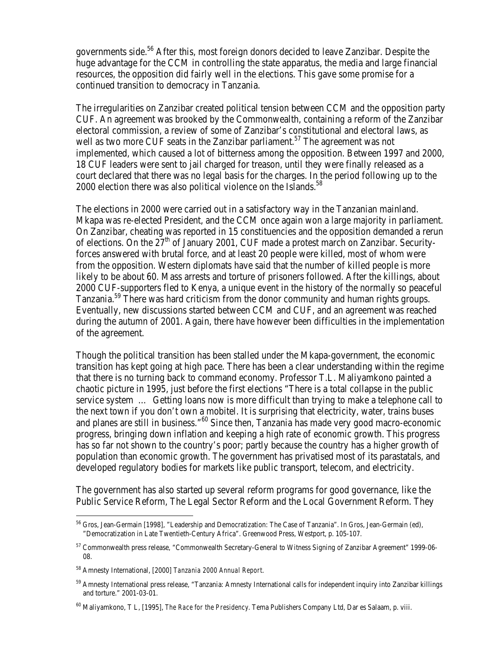governments side.<sup>56</sup> After this, most foreign donors decided to leave Zanzibar. Despite the huge advantage for the CCM in controlling the state apparatus, the media and large financial resources, the opposition did fairly well in the elections. This gave some promise for a continued transition to democracy in Tanzania.

The irregularities on Zanzibar created political tension between CCM and the opposition party CUF. An agreement was brooked by the Commonwealth, containing a reform of the Zanzibar electoral commission, a review of some of Zanzibar's constitutional and electoral laws, as well as two more CUF seats in the Zanzibar parliament.<sup>57</sup> The agreement was not implemented, which caused a lot of bitterness among the opposition. Between 1997 and 2000, 18 CUF leaders were sent to jail charged for treason, until they were finally released as a court declared that there was no legal basis for the charges. In the period following up to the 2000 election there was also political violence on the Islands.<sup>58</sup>

The elections in 2000 were carried out in a satisfactory way in the Tanzanian mainland. Mkapa was re-elected President, and the CCM once again won a large majority in parliament. On Zanzibar, cheating was reported in 15 constituencies and the opposition demanded a rerun of elections. On the  $27<sup>th</sup>$  of January 2001, CUF made a protest march on Zanzibar. Securityforces answered with brutal force, and at least 20 people were killed, most of whom were from the opposition. Western diplomats have said that the number of killed people is more likely to be about 60. Mass arrests and torture of prisoners followed. After the killings, about 2000 CUF-supporters fled to Kenya, a unique event in the history of the normally so peaceful Tanzania.<sup>59</sup> There was hard criticism from the donor community and human rights groups. Eventually, new discussions started between CCM and CUF, and an agreement was reached during the autumn of 2001. Again, there have however been difficulties in the implementation of the agreement.

Though the political transition has been stalled under the Mkapa-government, the economic transition has kept going at high pace. There has been a clear understanding within the regime that there is no turning back to command economy. Professor T.L. Maliyamkono painted a chaotic picture in 1995, just before the first elections "There is a total collapse in the public service system … Getting loans now is more difficult than trying to make a telephone call to the next town if you don't own a mobitel. It is surprising that electricity, water, trains buses and planes are still in business."<sup>60</sup> Since then, Tanzania has made very good macro-economic progress, bringing down inflation and keeping a high rate of economic growth. This progress has so far not shown to the country's poor; partly because the country has a higher growth of population than economic growth. The government has privatised most of its parastatals, and developed regulatory bodies for markets like public transport, telecom, and electricity.

The government has also started up several reform programs for good governance, like the Public Service Reform, The Legal Sector Reform and the Local Government Reform. They

<sup>56</sup> Gros, Jean-Germain [1998], "Leadership and Democratization: The Case of Tanzania". In Gros, Jean-Germain (ed), "Democratization in Late Twentieth-Century Africa". Greenwood Press, Westport, p. 105-107.

<sup>57</sup> Commonwealth press release, "Commonwealth Secretary-General to Witness Signing of Zanzibar Agreement" 1999-06- 08.

<sup>58</sup> Amnesty International, [2000] *Tanzania 2000 Annual Report*.

<sup>59</sup> Amnesty International press release, "Tanzania: Amnesty International calls for independent inquiry into Zanzibar killings and torture." 2001-03-01.

<sup>60</sup> Maliyamkono, T L, [1995], *The Race for the Presidency*. Tema Publishers Company Ltd, Dar es Salaam, p. viii.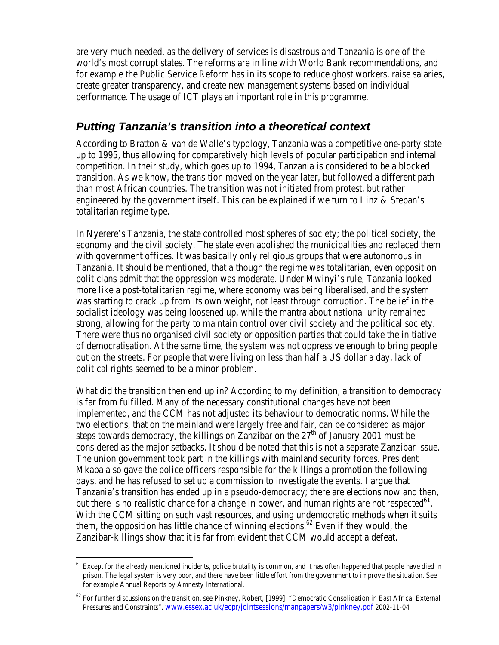are very much needed, as the delivery of services is disastrous and Tanzania is one of the world's most corrupt states. The reforms are in line with World Bank recommendations, and for example the Public Service Reform has in its scope to reduce ghost workers, raise salaries, create greater transparency, and create new management systems based on individual performance. The usage of ICT plays an important role in this programme.

### *Putting Tanzania's transition into a theoretical context*

According to Bratton & van de Walle's typology, Tanzania was a competitive one-party state up to 1995, thus allowing for comparatively high levels of popular participation and internal competition. In their study, which goes up to 1994, Tanzania is considered to be a blocked transition. As we know, the transition moved on the year later, but followed a different path than most African countries. The transition was not initiated from protest, but rather engineered by the government itself. This can be explained if we turn to Linz & Stepan's totalitarian regime type.

In Nyerere's Tanzania, the state controlled most spheres of society; the political society, the economy and the civil society. The state even abolished the municipalities and replaced them with government offices. It was basically only religious groups that were autonomous in Tanzania. It should be mentioned, that although the regime was totalitarian, even opposition politicians admit that the oppression was moderate. Under Mwinyi's rule, Tanzania looked more like a post-totalitarian regime, where economy was being liberalised, and the system was starting to crack up from its own weight, not least through corruption. The belief in the socialist ideology was being loosened up, while the mantra about national unity remained strong, allowing for the party to maintain control over civil society and the political society. There were thus no organised civil society or opposition parties that could take the initiative of democratisation. At the same time, the system was not oppressive enough to bring people out on the streets. For people that were living on less than half a US dollar a day, lack of political rights seemed to be a minor problem.

What did the transition then end up in? According to my definition, a transition to democracy is far from fulfilled. Many of the necessary constitutional changes have not been implemented, and the CCM has not adjusted its behaviour to democratic norms. While the two elections, that on the mainland were largely free and fair, can be considered as major steps towards democracy, the killings on Zanzibar on the  $27<sup>th</sup>$  of January 2001 must be considered as the major setbacks. It should be noted that this is not a separate Zanzibar issue. The union government took part in the killings with mainland security forces. President Mkapa also gave the police officers responsible for the killings a promotion the following days, and he has refused to set up a commission to investigate the events. I argue that Tanzania's transition has ended up in a *pseudo-democracy*; there are elections now and then, but there is no realistic chance for a change in power, and human rights are not respected  $61$ . With the CCM sitting on such vast resources, and using undemocratic methods when it suits them, the opposition has little chance of winning elections.<sup>62</sup> Even if they would, the Zanzibar-killings show that it is far from evident that CCM would accept a defeat.

<sup>&</sup>lt;sup>61</sup> Except for the already mentioned incidents, police brutality is common, and it has often happened that people have died in prison. The legal system is very poor, and there have been little effort from the government to improve the situation. See for example Annual Reports by Amnesty International.

 $62$  For further discussions on the transition, see Pinkney, Robert, [1999], "Democratic Consolidation in East Africa: External Pressures and Constraints". www.essex.ac.uk/ecpr/jointsessions/manpapers/w3/pinkney.pdf 2002-11-04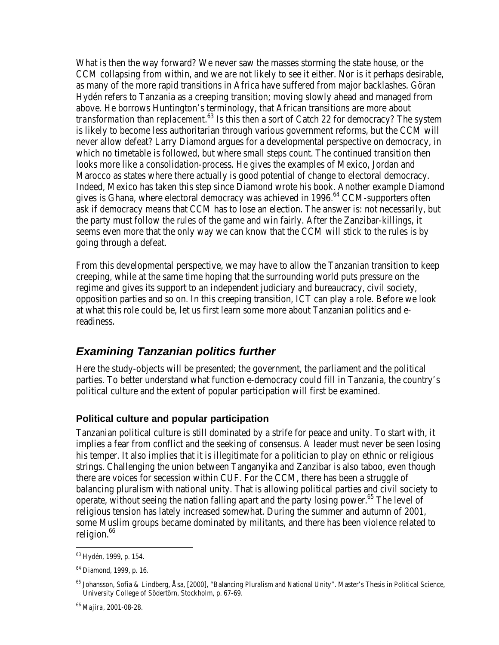What is then the way forward? We never saw the masses storming the state house, or the CCM collapsing from within, and we are not likely to see it either. Nor is it perhaps desirable, as many of the more rapid transitions in Africa have suffered from major backlashes. Göran Hydén refers to Tanzania as a creeping transition; moving slowly ahead and managed from above. He borrows Huntington's terminology, that African transitions are more about *transformation* than *replacement*. <sup>63</sup> Is this then a sort of Catch 22 for democracy? The system is likely to become less authoritarian through various government reforms, but the CCM will never allow defeat? Larry Diamond argues for a developmental perspective on democracy, in which no timetable is followed, but where small steps count. The continued transition then looks more like a consolidation-process. He gives the examples of Mexico, Jordan and Marocco as states where there actually is good potential of change to electoral democracy. Indeed, Mexico has taken this step since Diamond wrote his book. Another example Diamond gives is Ghana, where electoral democracy was achieved in 1996.<sup>64</sup> CCM-supporters often ask if democracy means that CCM has to lose an election. The answer is: not necessarily, but the party must follow the rules of the game and win fairly. After the Zanzibar-killings, it seems even more that the only way we can know that the CCM will stick to the rules is by going through a defeat.

From this developmental perspective, we may have to allow the Tanzanian transition to keep creeping, while at the same time hoping that the surrounding world puts pressure on the regime and gives its support to an independent judiciary and bureaucracy, civil society, opposition parties and so on. In this creeping transition, ICT can play a role. Before we look at what this role could be, let us first learn some more about Tanzanian politics and ereadiness.

### *Examining Tanzanian politics further*

Here the study-objects will be presented; the government, the parliament and the political parties. To better understand what function e-democracy could fill in Tanzania, the country's political culture and the extent of popular participation will first be examined.

### **Political culture and popular participation**

Tanzanian political culture is still dominated by a strife for peace and unity. To start with, it implies a fear from conflict and the seeking of consensus. A leader must never be seen losing his temper. It also implies that it is illegitimate for a politician to play on ethnic or religious strings. Challenging the union between Tanganyika and Zanzibar is also taboo, even though there are voices for secession within CUF. For the CCM, there has been a struggle of balancing pluralism with national unity. That is allowing political parties and civil society to operate, without seeing the nation falling apart and the party losing power.<sup>65</sup> The level of religious tension has lately increased somewhat. During the summer and autumn of 2001, some Muslim groups became dominated by militants, and there has been violence related to religion.<sup>66</sup>

<sup>63</sup> Hydén, 1999, p. 154.

<sup>64</sup> Diamond, 1999, p. 16.

<sup>65</sup> Johansson, Sofia & Lindberg, Åsa, [2000], "Balancing Pluralism and National Unity". Master's Thesis in Political Science, University College of Södertörn, Stockholm, p. 67-69.

<sup>66</sup> *Majira*, 2001-08-28.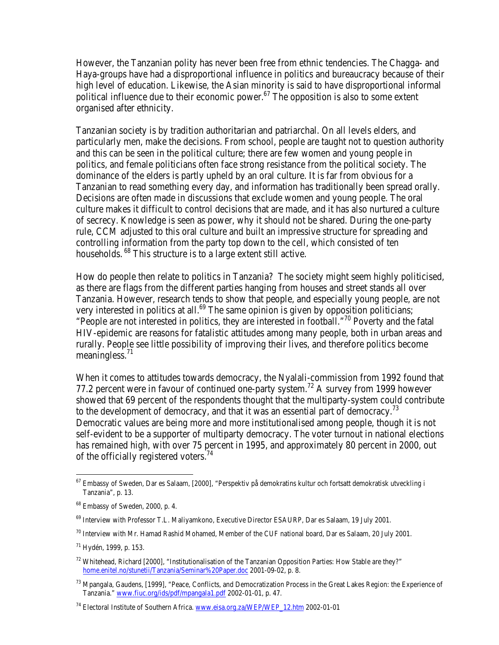However, the Tanzanian polity has never been free from ethnic tendencies. The Chagga- and Haya-groups have had a disproportional influence in politics and bureaucracy because of their high level of education. Likewise, the Asian minority is said to have disproportional informal political influence due to their economic power.<sup>67</sup> The opposition is also to some extent organised after ethnicity.

Tanzanian society is by tradition authoritarian and patriarchal. On all levels elders, and particularly men, make the decisions. From school, people are taught not to question authority and this can be seen in the political culture; there are few women and young people in politics, and female politicians often face strong resistance from the political society. The dominance of the elders is partly upheld by an oral culture. It is far from obvious for a Tanzanian to read something every day, and information has traditionally been spread orally. Decisions are often made in discussions that exclude women and young people. The oral culture makes it difficult to control decisions that are made, and it has also nurtured a culture of secrecy. Knowledge is seen as power, why it should not be shared. During the one-party rule, CCM adjusted to this oral culture and built an impressive structure for spreading and controlling information from the party top down to the cell, which consisted of ten households.<sup>68</sup> This structure is to a large extent still active.

How do people then relate to politics in Tanzania? The society might seem highly politicised, as there are flags from the different parties hanging from houses and street stands all over Tanzania. However, research tends to show that people, and especially young people, are not very interested in politics at all.<sup>69</sup> The same opinion is given by opposition politicians; "People are not interested in politics, they are interested in football."<sup>70</sup> Poverty and the fatal HIV-epidemic are reasons for fatalistic attitudes among many people, both in urban areas and rurally. People see little possibility of improving their lives, and therefore politics become meaningless.<sup>71</sup>

When it comes to attitudes towards democracy, the Nyalali-commission from 1992 found that 77.2 percent were in favour of continued one-party system.<sup>72</sup> A survey from 1999 however showed that 69 percent of the respondents thought that the multiparty-system could contribute to the development of democracy, and that it was an essential part of democracy.<sup>73</sup> Democratic values are being more and more institutionalised among people, though it is not self-evident to be a supporter of multiparty democracy. The voter turnout in national elections has remained high, with over 75 percent in 1995, and approximately 80 percent in 2000, out of the officially registered voters.<sup>74</sup>

 $^{70}$  Interview with Mr. Hamad Rashid Mohamed, Member of the CUF national board, Dar es Salaam, 20 July 2001.

<sup>67</sup> Embassy of Sweden, Dar es Salaam, [2000], "Perspektiv på demokratins kultur och fortsatt demokratisk utveckling i Tanzania", p. 13.

<sup>68</sup> Embassy of Sweden, 2000, p. 4.

<sup>&</sup>lt;sup>69</sup> Interview with Professor T.L. Maliyamkono, Executive Director ESAURP, Dar es Salaam, 19 July 2001.

<sup>71</sup> Hydén, 1999, p. 153.

<sup>72</sup> Whitehead, Richard [2000], "Institutionalisation of the Tanzanian Opposition Parties: How Stable are they?" home.enitel.no/stunetii/Tanzania/Seminar%20Paper.doc 2001-09-02, p. 8.

<sup>73</sup> Mpangala, Gaudens, [1999], "Peace, Conflicts, and Democratization Process in the Great Lakes Region: the Experience of Tanzania." www.fiuc.org/ids/pdf/mpangala1.pdf 2002-01-01, p. 47.

<sup>&</sup>lt;sup>74</sup> Electoral Institute of Southern Africa. www.eisa.org.za/WEP/WEP\_12.htm 2002-01-01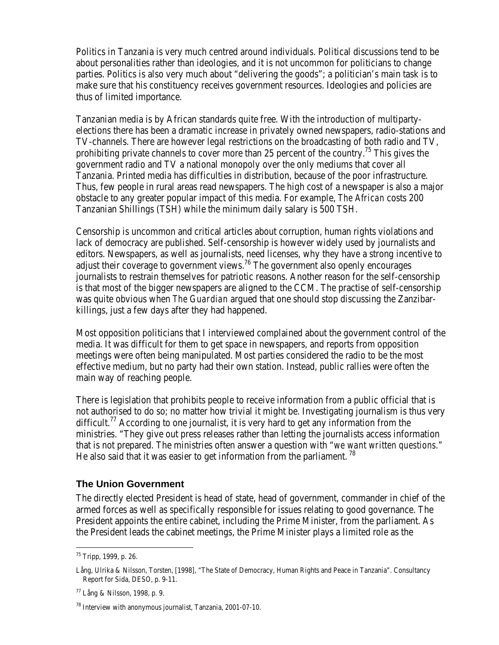Politics in Tanzania is very much centred around individuals. Political discussions tend to be about personalities rather than ideologies, and it is not uncommon for politicians to change parties. Politics is also very much about "delivering the goods"; a politician's main task is to make sure that his constituency receives government resources. Ideologies and policies are thus of limited importance.

Tanzanian media is by African standards quite free. With the introduction of multipartyelections there has been a dramatic increase in privately owned newspapers, radio-stations and TV-channels. There are however legal restrictions on the broadcasting of both radio and TV, prohibiting private channels to cover more than 25 percent of the country.<sup>75</sup> This gives the government radio and TV a national monopoly over the only mediums that cover all Tanzania. Printed media has difficulties in distribution, because of the poor infrastructure. Thus, few people in rural areas read newspapers. The high cost of a newspaper is also a major obstacle to any greater popular impact of this media. For example, *The African* costs 200 Tanzanian Shillings (TSH) while the minimum daily salary is 500 TSH.

Censorship is uncommon and critical articles about corruption, human rights violations and lack of democracy are published. Self-censorship is however widely used by journalists and editors. Newspapers, as well as journalists, need licenses, why they have a strong incentive to adjust their coverage to government views.<sup>76</sup> The government also openly encourages journalists to restrain themselves for patriotic reasons. Another reason for the self-censorship is that most of the bigger newspapers are aligned to the CCM. The practise of self-censorship was quite obvious when *The Guardian* argued that one should stop discussing the Zanzibarkillings, just a few days after they had happened.

Most opposition politicians that I interviewed complained about the government control of the media. It was difficult for them to get space in newspapers, and reports from opposition meetings were often being manipulated. Most parties considered the radio to be the most effective medium, but no party had their own station. Instead, public rallies were often the main way of reaching people.

There is legislation that prohibits people to receive information from a public official that is not authorised to do so; no matter how trivial it might be. Investigating journalism is thus very difficult.<sup>77</sup> According to one journalist, it is very hard to get any information from the ministries. "They give out press releases rather than letting the journalists access information that is not prepared. The ministries often answer a question with "*we want written questions.*" He also said that it was easier to get information from the parliament.<sup>78</sup>

### **The Union Government**

The directly elected President is head of state, head of government, commander in chief of the armed forces as well as specifically responsible for issues relating to good governance. The President appoints the entire cabinet, including the Prime Minister, from the parliament. As the President leads the cabinet meetings, the Prime Minister plays a limited role as the

<sup>75</sup> Tripp, 1999, p. 26.

Lång, Ulrika & Nilsson, Torsten, [1998], "The State of Democracy, Human Rights and Peace in Tanzania". Consultancy Report for Sida, DESO, p. 9-11.

<sup>77</sup> Lång & Nilsson, 1998, p. 9.

<sup>78</sup> Interview with anonymous journalist, Tanzania, 2001-07-10.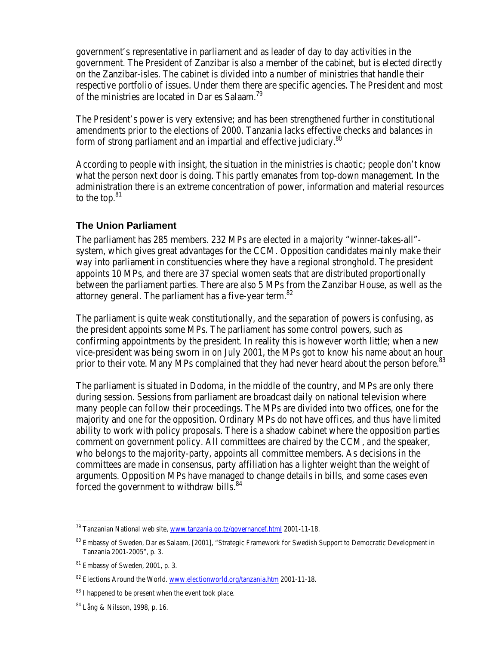government's representative in parliament and as leader of day to day activities in the government. The President of Zanzibar is also a member of the cabinet, but is elected directly on the Zanzibar-isles. The cabinet is divided into a number of ministries that handle their respective portfolio of issues. Under them there are specific agencies. The President and most of the ministries are located in Dar es Salaam.<sup>79</sup>

The President's power is very extensive; and has been strengthened further in constitutional amendments prior to the elections of 2000. Tanzania lacks effective checks and balances in form of strong parliament and an impartial and effective judiciary.<sup>80</sup>

According to people with insight, the situation in the ministries is chaotic; people don't know what the person next door is doing. This partly emanates from top-down management. In the administration there is an extreme concentration of power, information and material resources to the top.<sup>81</sup>

#### **The Union Parliament**

The parliament has 285 members. 232 MPs are elected in a majority "winner-takes-all" system, which gives great advantages for the CCM. Opposition candidates mainly make their way into parliament in constituencies where they have a regional stronghold. The president appoints 10 MPs, and there are 37 special women seats that are distributed proportionally between the parliament parties. There are also 5 MPs from the Zanzibar House, as well as the attorney general. The parliament has a five-vear term.<sup>82</sup>

The parliament is quite weak constitutionally, and the separation of powers is confusing, as the president appoints some MPs. The parliament has some control powers, such as confirming appointments by the president. In reality this is however worth little; when a new vice-president was being sworn in on July 2001, the MPs got to know his name about an hour prior to their vote. Many MPs complained that they had never heard about the person before.<sup>83</sup>

The parliament is situated in Dodoma, in the middle of the country, and MPs are only there during session. Sessions from parliament are broadcast daily on national television where many people can follow their proceedings. The MPs are divided into two offices, one for the majority and one for the opposition. Ordinary MPs do not have offices, and thus have limited ability to work with policy proposals. There is a shadow cabinet where the opposition parties comment on government policy. All committees are chaired by the CCM, and the speaker, who belongs to the majority-party, appoints all committee members. As decisions in the committees are made in consensus, party affiliation has a lighter weight than the weight of arguments. Opposition MPs have managed to change details in bills, and some cases even forced the government to withdraw bills.<sup>84</sup>

 $79$  Tanzanian National web site, www.tanzania.go.tz/governancef.html 2001-11-18.

<sup>80</sup> Embassy of Sweden, Dar es Salaam, [2001], "Strategic Framework for Swedish Support to Democratic Development in Tanzania 2001-2005", p. 3.

<sup>81</sup> Embassy of Sweden, 2001, p. 3.

<sup>82</sup> Elections Around the World. www.electionworld.org/tanzania.htm 2001-11-18.

<sup>&</sup>lt;sup>83</sup> I happened to be present when the event took place.

<sup>84</sup> Lång & Nilsson, 1998, p. 16.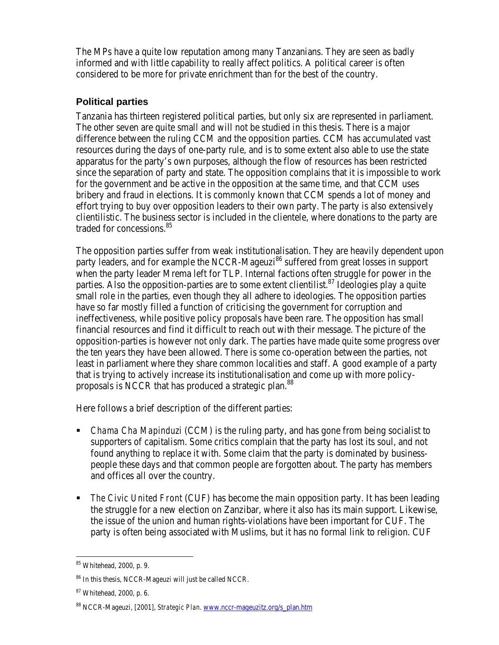The MPs have a quite low reputation among many Tanzanians. They are seen as badly informed and with little capability to really affect politics. A political career is often considered to be more for private enrichment than for the best of the country.

### **Political parties**

Tanzania has thirteen registered political parties, but only six are represented in parliament. The other seven are quite small and will not be studied in this thesis. There is a major difference between the ruling CCM and the opposition parties. CCM has accumulated vast resources during the days of one-party rule, and is to some extent also able to use the state apparatus for the party's own purposes, although the flow of resources has been restricted since the separation of party and state. The opposition complains that it is impossible to work for the government and be active in the opposition at the same time, and that CCM uses bribery and fraud in elections. It is commonly known that CCM spends a lot of money and effort trying to buy over opposition leaders to their own party. The party is also extensively clientilistic. The business sector is included in the clientele, where donations to the party are traded for concessions.<sup>85</sup>

The opposition parties suffer from weak institutionalisation. They are heavily dependent upon party leaders, and for example the NCCR-Mageuzi<sup>86</sup> suffered from great losses in support when the party leader Mrema left for TLP. Internal factions often struggle for power in the parties. Also the opposition-parties are to some extent clientilist.<sup>87</sup> Ideologies play a quite small role in the parties, even though they all adhere to ideologies. The opposition parties have so far mostly filled a function of criticising the government for corruption and ineffectiveness, while positive policy proposals have been rare. The opposition has small financial resources and find it difficult to reach out with their message. The picture of the opposition-parties is however not only dark. The parties have made quite some progress over the ten years they have been allowed. There is some co-operation between the parties, not least in parliament where they share common localities and staff. A good example of a party that is trying to actively increase its institutionalisation and come up with more policyproposals is NCCR that has produced a strategic plan.<sup>88</sup>

Here follows a brief description of the different parties:

- ß *Chama Cha Mapinduzi* (CCM) is the ruling party, and has gone from being socialist to supporters of capitalism. Some critics complain that the party has lost its soul, and not found anything to replace it with. Some claim that the party is dominated by businesspeople these days and that common people are forgotten about. The party has members and offices all over the country.
- ß *The Civic United Front* (CUF) has become the main opposition party. It has been leading the struggle for a new election on Zanzibar, where it also has its main support. Likewise, the issue of the union and human rights-violations have been important for CUF. The party is often being associated with Muslims, but it has no formal link to religion. CUF

 $\overline{a}$ <sup>85</sup> Whitehead, 2000, p. 9.

<sup>86</sup> In this thesis, NCCR-Mageuzi will just be called NCCR.

<sup>87</sup> Whitehead, 2000, p. 6.

<sup>88</sup> NCCR-Mageuzi, [2001], *Strategic Plan*. www.nccr-mageuzitz.org/s\_plan.htm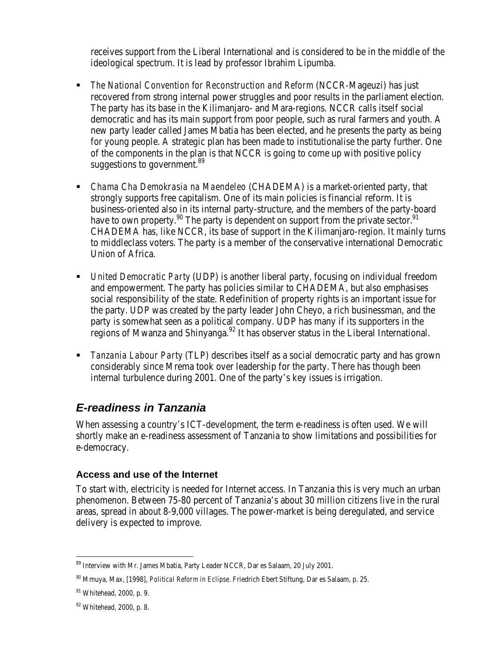receives support from the Liberal International and is considered to be in the middle of the ideological spectrum. It is lead by professor Ibrahim Lipumba.

- ß *The National Convention for Reconstruction and Reform* (NCCR-Mageuzi) has just recovered from strong internal power struggles and poor results in the parliament election. The party has its base in the Kilimanjaro- and Mara-regions. NCCR calls itself social democratic and has its main support from poor people, such as rural farmers and youth. A new party leader called James Mbatia has been elected, and he presents the party as being for young people. A strategic plan has been made to institutionalise the party further. One of the components in the plan is that NCCR is going to come up with positive policy suggestions to government.<sup>89</sup>
- *Chama Cha Demokrasia na Maendeleo* (CHADEMA) is a market-oriented party, that strongly supports free capitalism. One of its main policies is financial reform. It is business-oriented also in its internal party-structure, and the members of the party-board have to own property.<sup>90</sup> The party is dependent on support from the private sector.<sup>91</sup> CHADEMA has, like NCCR, its base of support in the Kilimanjaro-region. It mainly turns to middleclass voters. The party is a member of the conservative international Democratic Union of Africa.
- **•** *United Democratic Party* (UDP) is another liberal party, focusing on individual freedom and empowerment. The party has policies similar to CHADEMA, but also emphasises social responsibility of the state. Redefinition of property rights is an important issue for the party. UDP was created by the party leader John Cheyo, a rich businessman, and the party is somewhat seen as a political company. UDP has many if its supporters in the regions of Mwanza and Shinyanga.<sup>92</sup> It has observer status in the Liberal International.
- ß *Tanzania Labour Party* (TLP) describes itself as a social democratic party and has grown considerably since Mrema took over leadership for the party. There has though been internal turbulence during 2001. One of the party's key issues is irrigation.

### *E-readiness in Tanzania*

When assessing a country's ICT-development, the term e-readiness is often used. We will shortly make an e-readiness assessment of Tanzania to show limitations and possibilities for e-democracy.

### **Access and use of the Internet**

To start with, electricity is needed for Internet access. In Tanzania this is very much an urban phenomenon. Between 75-80 percent of Tanzania's about 30 million citizens live in the rural areas, spread in about 8-9,000 villages. The power-market is being deregulated, and service delivery is expected to improve.

<sup>89</sup> Interview with Mr. James Mbatia, Party Leader NCCR, Dar es Salaam, 20 July 2001.

<sup>90</sup> Mmuya, Max, [1998], *Political Reform in Eclipse*. Friedrich Ebert Stiftung, Dar es Salaam, p. 25.

<sup>91</sup> Whitehead, 2000, p. 9.

<sup>92</sup> Whitehead, 2000, p. 8.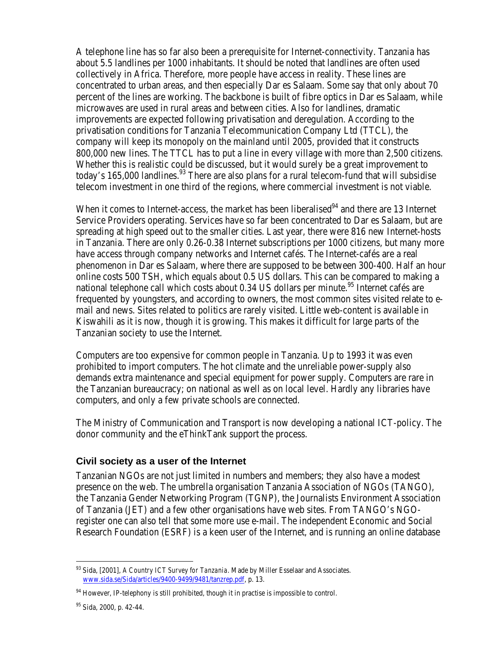A telephone line has so far also been a prerequisite for Internet-connectivity. Tanzania has about 5.5 landlines per 1000 inhabitants. It should be noted that landlines are often used collectively in Africa. Therefore, more people have access in reality. These lines are concentrated to urban areas, and then especially Dar es Salaam. Some say that only about 70 percent of the lines are working. The backbone is built of fibre optics in Dar es Salaam, while microwaves are used in rural areas and between cities. Also for landlines, dramatic improvements are expected following privatisation and deregulation. According to the privatisation conditions for Tanzania Telecommunication Company Ltd (TTCL), the company will keep its monopoly on the mainland until 2005, provided that it constructs 800,000 new lines. The TTCL has to put a line in every village with more than 2,500 citizens. Whether this is realistic could be discussed, but it would surely be a great improvement to today's 165,000 landlines.<sup>93</sup> There are also plans for a rural telecom-fund that will subsidise telecom investment in one third of the regions, where commercial investment is not viable.

When it comes to Internet-access, the market has been liberalised $^{94}$  and there are 13 Internet Service Providers operating. Services have so far been concentrated to Dar es Salaam, but are spreading at high speed out to the smaller cities. Last year, there were 816 new Internet-hosts in Tanzania. There are only 0.26-0.38 Internet subscriptions per 1000 citizens, but many more have access through company networks and Internet cafés. The Internet-cafés are a real phenomenon in Dar es Salaam, where there are supposed to be between 300-400. Half an hour online costs 500 TSH, which equals about 0.5 US dollars. This can be compared to making a national telephone call which costs about  $0.34$  US dollars per minute.<sup>95</sup> Internet cafés are frequented by youngsters, and according to owners, the most common sites visited relate to email and news. Sites related to politics are rarely visited. Little web-content is available in Kiswahili as it is now, though it is growing. This makes it difficult for large parts of the Tanzanian society to use the Internet.

Computers are too expensive for common people in Tanzania. Up to 1993 it was even prohibited to import computers. The hot climate and the unreliable power-supply also demands extra maintenance and special equipment for power supply. Computers are rare in the Tanzanian bureaucracy; on national as well as on local level. Hardly any libraries have computers, and only a few private schools are connected.

The Ministry of Communication and Transport is now developing a national ICT-policy. The donor community and the eThinkTank support the process.

### **Civil society as a user of the Internet**

Tanzanian NGOs are not just limited in numbers and members; they also have a modest presence on the web. The umbrella organisation Tanzania Association of NGOs (TANGO), the Tanzania Gender Networking Program (TGNP), the Journalists Environment Association of Tanzania (JET) and a few other organisations have web sites. From TANGO's NGOregister one can also tell that some more use e-mail. The independent Economic and Social Research Foundation (ESRF) is a keen user of the Internet, and is running an online database

<sup>93</sup> Sida, [2001], *A Country ICT Survey for Tanzania*. Made by Miller Esselaar and Associates. www.sida.se/Sida/articles/9400-9499/9481/tanzrep.pdf, p. 13.

<sup>&</sup>lt;sup>94</sup> However, IP-telephony is still prohibited, though it in practise is impossible to control.

<sup>95</sup> Sida, 2000, p. 42-44.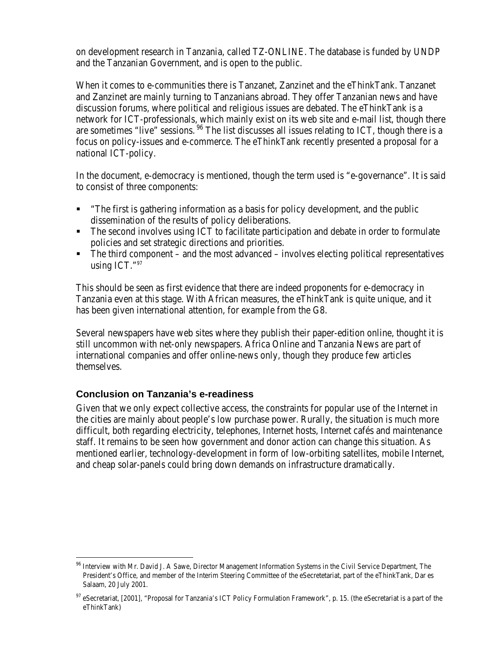on development research in Tanzania, called TZ-ONLINE. The database is funded by UNDP and the Tanzanian Government, and is open to the public.

When it comes to e-communities there is Tanzanet, Zanzinet and the eThinkTank. Tanzanet and Zanzinet are mainly turning to Tanzanians abroad. They offer Tanzanian news and have discussion forums, where political and religious issues are debated. The eThinkTank is a network for ICT-professionals, which mainly exist on its web site and e-mail list, though there are sometimes "live" sessions.  $96$  The list discusses all issues relating to ICT, though there is a focus on policy-issues and e-commerce. The eThinkTank recently presented a proposal for a national ICT-policy.

In the document, e-democracy is mentioned, though the term used is "e-governance". It is said to consist of three components:

- "The first is gathering information as a basis for policy development, and the public dissemination of the results of policy deliberations.
- The second involves using ICT to facilitate participation and debate in order to formulate policies and set strategic directions and priorities.
- The third component and the most advanced involves electing political representatives using ICT."<sup>97</sup>

This should be seen as first evidence that there are indeed proponents for e-democracy in Tanzania even at this stage. With African measures, the eThinkTank is quite unique, and it has been given international attention, for example from the G8.

Several newspapers have web sites where they publish their paper-edition online, thought it is still uncommon with net-only newspapers. Africa Online and Tanzania News are part of international companies and offer online-news only, though they produce few articles themselves.

### **Conclusion on Tanzania's e-readiness**

 $\overline{a}$ 

Given that we only expect collective access, the constraints for popular use of the Internet in the cities are mainly about people's low purchase power. Rurally, the situation is much more difficult, both regarding electricity, telephones, Internet hosts, Internet cafés and maintenance staff. It remains to be seen how government and donor action can change this situation. As mentioned earlier, technology-development in form of low-orbiting satellites, mobile Internet, and cheap solar-panels could bring down demands on infrastructure dramatically.

<sup>96</sup> Interview with Mr. David J. A Sawe, Director Management Information Systems in the Civil Service Department, The President's Office, and member of the Interim Steering Committee of the eSecretetariat, part of the eThinkTank, Dar es Salaam, 20 July 2001.

<sup>&</sup>lt;sup>97</sup> eSecretariat, [2001], "Proposal for Tanzania's ICT Policy Formulation Framework", p. 15. (the eSecretariat is a part of the eThinkTank)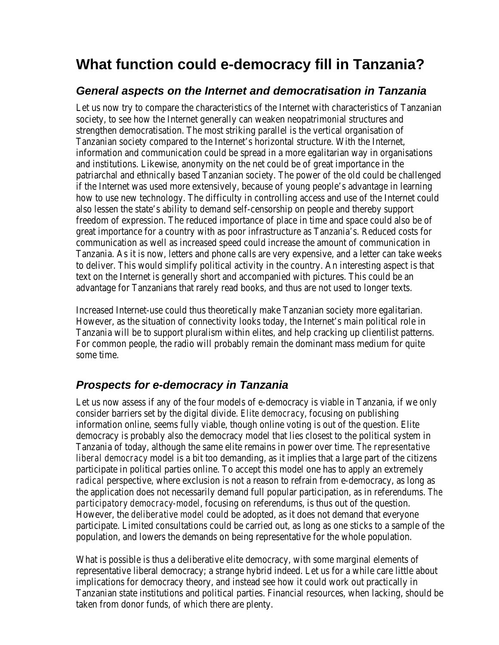# **What function could e-democracy fill in Tanzania?**

## *General aspects on the Internet and democratisation in Tanzania*

Let us now try to compare the characteristics of the Internet with characteristics of Tanzanian society, to see how the Internet generally can weaken neopatrimonial structures and strengthen democratisation. The most striking parallel is the vertical organisation of Tanzanian society compared to the Internet's horizontal structure. With the Internet, information and communication could be spread in a more egalitarian way in organisations and institutions. Likewise, anonymity on the net could be of great importance in the patriarchal and ethnically based Tanzanian society. The power of the old could be challenged if the Internet was used more extensively, because of young people's advantage in learning how to use new technology. The difficulty in controlling access and use of the Internet could also lessen the state's ability to demand self-censorship on people and thereby support freedom of expression. The reduced importance of place in time and space could also be of great importance for a country with as poor infrastructure as Tanzania's. Reduced costs for communication as well as increased speed could increase the amount of communication in Tanzania. As it is now, letters and phone calls are very expensive, and a letter can take weeks to deliver. This would simplify political activity in the country. An interesting aspect is that text on the Internet is generally short and accompanied with pictures. This could be an advantage for Tanzanians that rarely read books, and thus are not used to longer texts.

Increased Internet-use could thus theoretically make Tanzanian society more egalitarian. However, as the situation of connectivity looks today, the Internet's main political role in Tanzania will be to support pluralism within elites, and help cracking up clientilist patterns. For common people, the radio will probably remain the dominant mass medium for quite some time.

# *Prospects for e-democracy in Tanzania*

Let us now assess if any of the four models of e-democracy is viable in Tanzania, if we only consider barriers set by the digital divide. *Elite democracy*, focusing on publishing information online, seems fully viable, though online voting is out of the question. Elite democracy is probably also the democracy model that lies closest to the political system in Tanzania of today, although the same elite remains in power over time. *The representative liberal democracy* model is a bit too demanding, as it implies that a large part of the citizens participate in political parties online. To accept this model one has to apply an extremely *radical* perspective, where exclusion is not a reason to refrain from e-democracy, as long as the application does not necessarily demand full popular participation, as in referendums. *The participatory democracy-model*, focusing on referendums, is thus out of the question. However, the *deliberative model* could be adopted, as it does not demand that everyone participate. Limited consultations could be carried out, as long as one sticks to a sample of the population, and lowers the demands on being representative for the whole population.

What is possible is thus a deliberative elite democracy, with some marginal elements of representative liberal democracy; a strange hybrid indeed. Let us for a while care little about implications for democracy theory, and instead see how it could work out practically in Tanzanian state institutions and political parties. Financial resources, when lacking, should be taken from donor funds, of which there are plenty.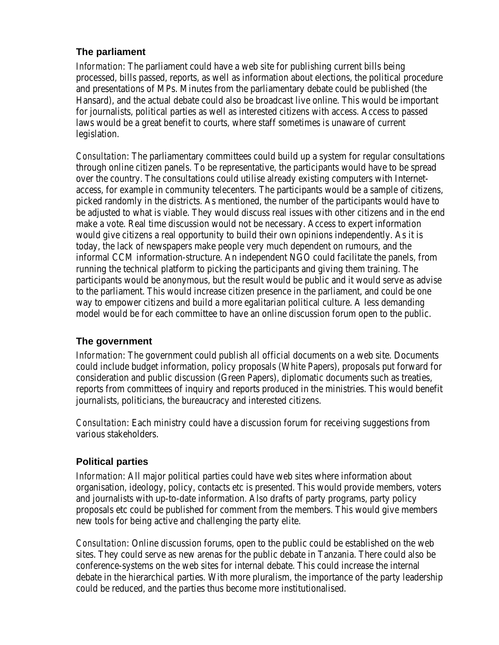### **The parliament**

*Information*: The parliament could have a web site for publishing current bills being processed, bills passed, reports, as well as information about elections, the political procedure and presentations of MPs. Minutes from the parliamentary debate could be published (the Hansard), and the actual debate could also be broadcast live online. This would be important for journalists, political parties as well as interested citizens with access. Access to passed laws would be a great benefit to courts, where staff sometimes is unaware of current legislation.

*Consultation*: The parliamentary committees could build up a system for regular consultations through online citizen panels. To be representative, the participants would have to be spread over the country. The consultations could utilise already existing computers with Internetaccess, for example in community telecenters. The participants would be a sample of citizens, picked randomly in the districts. As mentioned, the number of the participants would have to be adjusted to what is viable. They would discuss real issues with other citizens and in the end make a vote. Real time discussion would not be necessary. Access to expert information would give citizens a real opportunity to build their own opinions independently. As it is today, the lack of newspapers make people very much dependent on rumours, and the informal CCM information-structure. An independent NGO could facilitate the panels, from running the technical platform to picking the participants and giving them training. The participants would be anonymous, but the result would be public and it would serve as advise to the parliament. This would increase citizen presence in the parliament, and could be one way to empower citizens and build a more egalitarian political culture. A less demanding model would be for each committee to have an online discussion forum open to the public.

### **The government**

*Information*: The government could publish all official documents on a web site. Documents could include budget information, policy proposals (White Papers), proposals put forward for consideration and public discussion (Green Papers), diplomatic documents such as treaties, reports from committees of inquiry and reports produced in the ministries. This would benefit journalists, politicians, the bureaucracy and interested citizens.

*Consultation*: Each ministry could have a discussion forum for receiving suggestions from various stakeholders.

### **Political parties**

*Information*: All major political parties could have web sites where information about organisation, ideology, policy, contacts etc is presented. This would provide members, voters and journalists with up-to-date information. Also drafts of party programs, party policy proposals etc could be published for comment from the members. This would give members new tools for being active and challenging the party elite.

*Consultation*: Online discussion forums, open to the public could be established on the web sites. They could serve as new arenas for the public debate in Tanzania. There could also be conference-systems on the web sites for internal debate. This could increase the internal debate in the hierarchical parties. With more pluralism, the importance of the party leadership could be reduced, and the parties thus become more institutionalised.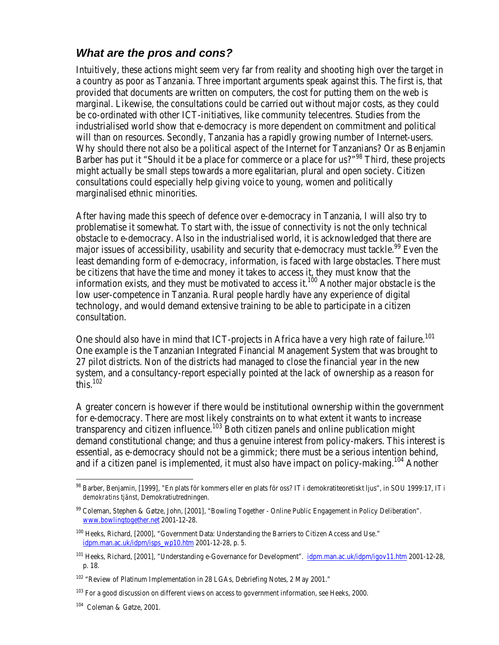### *What are the pros and cons?*

Intuitively, these actions might seem very far from reality and shooting high over the target in a country as poor as Tanzania. Three important arguments speak against this. The first is, that provided that documents are written on computers, the cost for putting them on the web is marginal. Likewise, the consultations could be carried out without major costs, as they could be co-ordinated with other ICT-initiatives, like community telecentres. Studies from the industrialised world show that e-democracy is more dependent on commitment and political will than on resources. Secondly, Tanzania has a rapidly growing number of Internet-users. Why should there not also be a political aspect of the Internet for Tanzanians? Or as Benjamin Barber has put it "Should it be a place for commerce or a place for us?"<sup>98</sup> Third, these projects might actually be small steps towards a more egalitarian, plural and open society. Citizen consultations could especially help giving voice to young, women and politically marginalised ethnic minorities.

After having made this speech of defence over e-democracy in Tanzania, I will also try to problematise it somewhat. To start with, the issue of connectivity is not the only technical obstacle to e-democracy. Also in the industrialised world, it is acknowledged that there are major issues of accessibility, usability and security that e-democracy must tackle.<sup>99</sup> Even the least demanding form of e-democracy, information, is faced with large obstacles. There must be citizens that have the time and money it takes to access it, they must know that the information exists, and they must be motivated to access it.<sup>100</sup> Another major obstacle is the low user-competence in Tanzania. Rural people hardly have any experience of digital technology, and would demand extensive training to be able to participate in a citizen consultation.

One should also have in mind that ICT-projects in Africa have a very high rate of failure.<sup>101</sup> One example is the Tanzanian Integrated Financial Management System that was brought to 27 pilot districts. Non of the districts had managed to close the financial year in the new system, and a consultancy-report especially pointed at the lack of ownership as a reason for this. $102$ 

A greater concern is however if there would be institutional ownership within the government for e-democracy. There are most likely constraints on to what extent it wants to increase transparency and citizen influence.<sup>103</sup> Both citizen panels and online publication might demand constitutional change; and thus a genuine interest from policy-makers. This interest is essential, as e-democracy should not be a gimmick; there must be a serious intention behind, and if a citizen panel is implemented, it must also have impact on policy-making.<sup>104</sup> Another

<sup>98</sup> Barber, Benjamin, [1999], "En plats för kommers eller en plats för oss? IT i demokratiteoretiskt ljus", in SOU 1999:17, *IT i demokratins tjänst*, Demokratiutredningen.

<sup>99</sup> Coleman, Stephen & Gøtze, John, [2001], "Bowling Together - Online Public Engagement in Policy Deliberation". www.bowlingtogether.net 2001-12-28.

<sup>&</sup>lt;sup>100</sup> Heeks. Richard, [2000], "Government Data: Understanding the Barriers to Citizen Access and Use." idpm.man.ac.uk/idpm/isps\_wp10.htm 2001-12-28, p. 5.

<sup>&</sup>lt;sup>101</sup> Heeks, Richard, [2001], "Understanding e-Governance for Development". idpm.man.ac.uk/idpm/igov11.htm 2001-12-28, p. 18.

<sup>&</sup>lt;sup>102</sup> "Review of Platinum Implementation in 28 LGAs, Debriefing Notes, 2 May 2001."

<sup>&</sup>lt;sup>103</sup> For a good discussion on different views on access to government information, see Heeks, 2000.

<sup>104</sup> Coleman & Gøtze, 2001.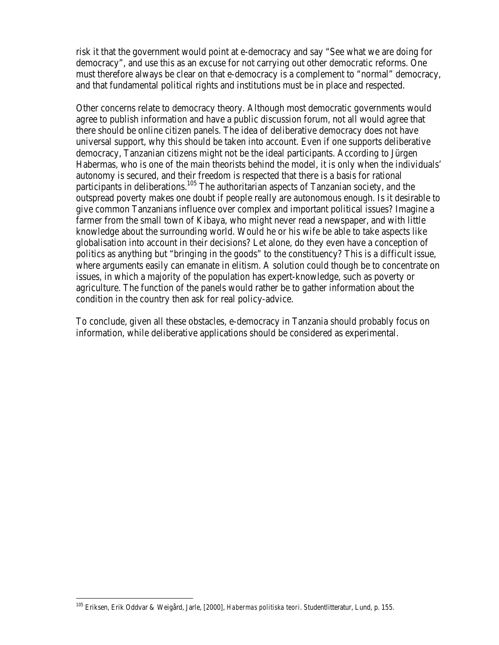risk it that the government would point at e-democracy and say "See what we are doing for democracy", and use this as an excuse for not carrying out other democratic reforms. One must therefore always be clear on that e-democracy is a complement to "normal" democracy, and that fundamental political rights and institutions must be in place and respected.

Other concerns relate to democracy theory. Although most democratic governments would agree to publish information and have a public discussion forum, not all would agree that there should be online citizen panels. The idea of deliberative democracy does not have universal support, why this should be taken into account. Even if one supports deliberative democracy, Tanzanian citizens might not be the ideal participants. According to Jürgen Habermas, who is one of the main theorists behind the model, it is only when the individuals' autonomy is secured, and their freedom is respected that there is a basis for rational participants in deliberations.<sup>105</sup> The authoritarian aspects of Tanzanian society, and the outspread poverty makes one doubt if people really are autonomous enough. Is it desirable to give common Tanzanians influence over complex and important political issues? Imagine a farmer from the small town of Kibaya, who might never read a newspaper, and with little knowledge about the surrounding world. Would he or his wife be able to take aspects like globalisation into account in their decisions? Let alone, do they even have a conception of politics as anything but "bringing in the goods" to the constituency? This is a difficult issue, where arguments easily can emanate in elitism. A solution could though be to concentrate on issues, in which a majority of the population has expert-knowledge, such as poverty or agriculture. The function of the panels would rather be to gather information about the condition in the country then ask for real policy-advice.

To conclude, given all these obstacles, e-democracy in Tanzania should probably focus on information, while deliberative applications should be considered as experimental.

 $\overline{a}$ <sup>105</sup> Eriksen, Erik Oddvar & Weigård, Jarle, [2000], *Habermas politiska teori*. Studentlitteratur, Lund, p. 155.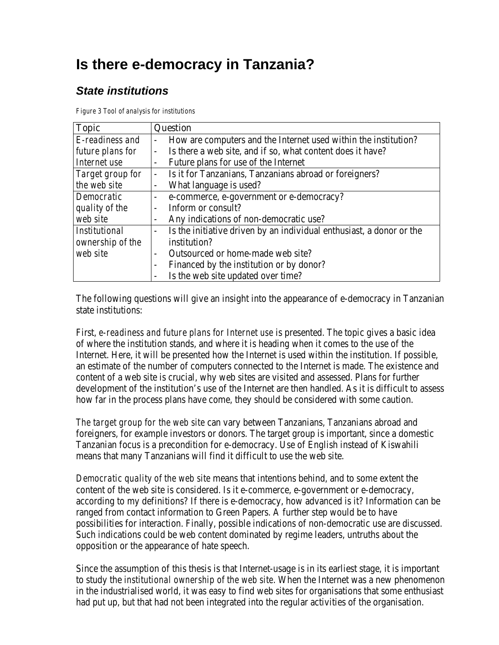# **Is there e-democracy in Tanzania?**

# *State institutions*

*Figure 3 Tool of analysis for institutions*

| <b>Topic</b>         | <b>Question</b>                                                                        |  |
|----------------------|----------------------------------------------------------------------------------------|--|
| E-readiness and      | How are computers and the Internet used within the institution?                        |  |
| future plans for     | Is there a web site, and if so, what content does it have?<br>$\overline{\phantom{a}}$ |  |
| Internet use         | Future plans for use of the Internet<br>$\overline{\phantom{a}}$                       |  |
| Target group for     | Is it for Tanzanians, Tanzanians abroad or foreigners?                                 |  |
| the web site         | What language is used?<br>$\overline{\phantom{a}}$                                     |  |
| Democratic           | e-commerce, e-government or e-democracy?<br>$\overline{\phantom{a}}$                   |  |
| quality of the       | Inform or consult?                                                                     |  |
| web site             | Any indications of non-democratic use?                                                 |  |
| <b>Institutional</b> | Is the initiative driven by an individual enthusiast, a donor or the<br>$\sim$         |  |
| ownership of the     | institution?                                                                           |  |
| web site             | Outsourced or home-made web site?<br>$\blacksquare$                                    |  |
|                      | Financed by the institution or by donor?                                               |  |
|                      | Is the web site updated over time?                                                     |  |

The following questions will give an insight into the appearance of e-democracy in Tanzanian state institutions:

First, *e-readiness and future plans for Internet use* is presented. The topic gives a basic idea of where the institution stands, and where it is heading when it comes to the use of the Internet. Here, it will be presented how the Internet is used within the institution. If possible, an estimate of the number of computers connected to the Internet is made. The existence and content of a web site is crucial, why web sites are visited and assessed. Plans for further development of the institution's use of the Internet are then handled. As it is difficult to assess how far in the process plans have come, they should be considered with some caution.

*The target group for the web site* can vary between Tanzanians, Tanzanians abroad and foreigners, for example investors or donors. The target group is important, since a domestic Tanzanian focus is a precondition for e-democracy. Use of English instead of Kiswahili means that many Tanzanians will find it difficult to use the web site.

*Democratic quality of the web site* means that intentions behind, and to some extent the content of the web site is considered. Is it e-commerce, e-government or e-democracy, according to my definitions? If there is e-democracy, how advanced is it? Information can be ranged from contact information to Green Papers. A further step would be to have possibilities for interaction. Finally, possible indications of non-democratic use are discussed. Such indications could be web content dominated by regime leaders, untruths about the opposition or the appearance of hate speech.

Since the assumption of this thesis is that Internet-usage is in its earliest stage, it is important to study the *institutional ownership of the web site*. When the Internet was a new phenomenon in the industrialised world, it was easy to find web sites for organisations that some enthusiast had put up, but that had not been integrated into the regular activities of the organisation.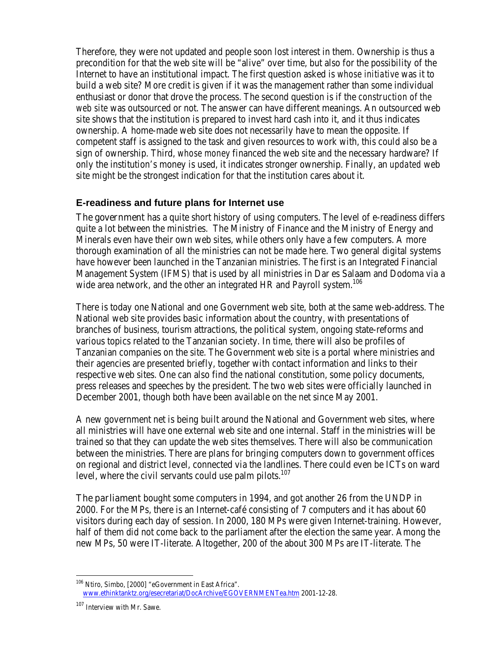Therefore, they were not updated and people soon lost interest in them. Ownership is thus a precondition for that the web site will be "alive" over time, but also for the possibility of the Internet to have an institutional impact. The first question asked is *whose initiative* was it to build a web site? More credit is given if it was the management rather than some individual enthusiast or donor that drove the process. The second question is if the *construction of the web site* was outsourced or not. The answer can have different meanings. An outsourced web site shows that the institution is prepared to invest hard cash into it, and it thus indicates ownership. A home-made web site does not necessarily have to mean the opposite. If competent staff is assigned to the task and given resources to work with, this could also be a sign of ownership. Third, *whose money* financed the web site and the necessary hardware? If only the institution's money is used, it indicates stronger ownership. Finally, an *updated* web site might be the strongest indication for that the institution cares about it.

### **E-readiness and future plans for Internet use**

**The government** has a quite short history of using computers. The level of e-readiness differs quite a lot between the ministries. The Ministry of Finance and the Ministry of Energy and Minerals even have their own web sites, while others only have a few computers. A more thorough examination of all the ministries can not be made here. Two general digital systems have however been launched in the Tanzanian ministries. The first is an Integrated Financial Management System (IFMS) that is used by all ministries in Dar es Salaam and Dodoma via a wide area network, and the other an integrated HR and Payroll system.<sup>106</sup>

There is today one National and one Government web site, both at the same web-address. The National web site provides basic information about the country, with presentations of branches of business, tourism attractions, the political system, ongoing state-reforms and various topics related to the Tanzanian society. In time, there will also be profiles of Tanzanian companies on the site. The Government web site is a portal where ministries and their agencies are presented briefly, together with contact information and links to their respective web sites. One can also find the national constitution, some policy documents, press releases and speeches by the president. The two web sites were officially launched in December 2001, though both have been available on the net since May 2001.

A new government net is being built around the National and Government web sites, where all ministries will have one external web site and one internal. Staff in the ministries will be trained so that they can update the web sites themselves. There will also be communication between the ministries. There are plans for bringing computers down to government offices on regional and district level, connected via the landlines. There could even be ICTs on ward level, where the civil servants could use palm pilots.<sup>107</sup>

The parliament bought some computers in 1994, and got another 26 from the UNDP in 2000. For the MPs, there is an Internet-café consisting of 7 computers and it has about 60 visitors during each day of session. In 2000, 180 MPs were given Internet-training. However, half of them did not come back to the parliament after the election the same year. Among the new MPs, 50 were IT-literate. Altogether, 200 of the about 300 MPs are IT-literate. The

 $\overline{a}$ <sup>106</sup> Ntiro, Simbo, [2000] "eGovernment in East Africa". www.ethinktanktz.org/esecretariat/DocArchive/EGOVERNMENTea.htm 2001-12-28.

<sup>107</sup> Interview with Mr. Sawe.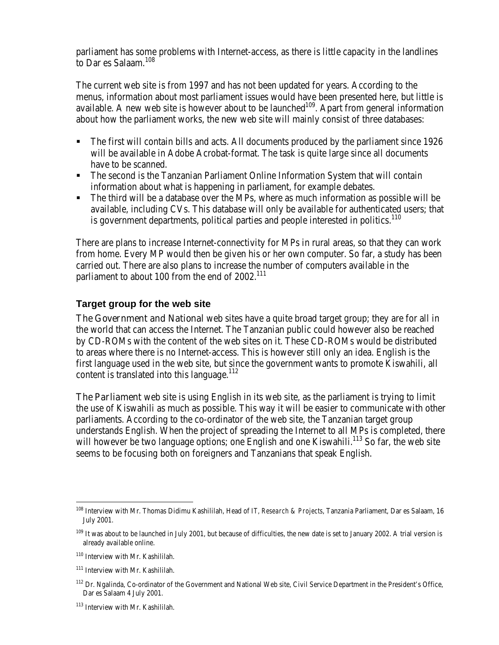parliament has some problems with Internet-access, as there is little capacity in the landlines to Dar es Salaam.<sup>108</sup>

The current web site is from 1997 and has not been updated for years. According to the menus, information about most parliament issues would have been presented here, but little is available. A new web site is however about to be launched<sup>109</sup>. Apart from general information about how the parliament works, the new web site will mainly consist of three databases:

- The first will contain bills and acts. All documents produced by the parliament since 1926 will be available in Adobe Acrobat-format. The task is quite large since all documents have to be scanned.
- ß The second is the Tanzanian Parliament Online Information System that will contain information about what is happening in parliament, for example debates.
- $\blacksquare$  The third will be a database over the MPs, where as much information as possible will be available, including CVs. This database will only be available for authenticated users; that is government departments, political parties and people interested in politics.<sup>110</sup>

There are plans to increase Internet-connectivity for MPs in rural areas, so that they can work from home. Every MP would then be given his or her own computer. So far, a study has been carried out. There are also plans to increase the number of computers available in the parliament to about 100 from the end of 2002.<sup>111</sup>

#### **Target group for the web site**

The Government and National web sites have a quite broad target group; they are for all in the world that can access the Internet. The Tanzanian public could however also be reached by CD-ROMs with the content of the web sites on it. These CD-ROMs would be distributed to areas where there is no Internet-access. This is however still only an idea. English is the first language used in the web site, but since the government wants to promote Kiswahili, all content is translated into this language. $112$ 

The Parliament web site is using English in its web site, as the parliament is trying to limit the use of Kiswahili as much as possible. This way it will be easier to communicate with other parliaments. According to the co-ordinator of the web site, the Tanzanian target group understands English. When the project of spreading the Internet to all MPs is completed, there will however be two language options; one English and one Kiswahili.<sup>113</sup> So far, the web site seems to be focusing both on foreigners and Tanzanians that speak English.

<sup>108</sup> Interview with Mr. Thomas Didimu Kashililah, Head of *IT, Research & Projects*, Tanzania Parliament, Dar es Salaam, 16 July 2001.

<sup>&</sup>lt;sup>109</sup> It was about to be launched in July 2001, but because of difficulties, the new date is set to January 2002. A trial version is already available online.

<sup>110</sup> Interview with Mr. Kashililah.

<sup>111</sup> Interview with Mr. Kashililah.

<sup>&</sup>lt;sup>112</sup> Dr. Ngalinda, Co-ordinator of the Government and National Web site, Civil Service Department in the President's Office, Dar es Salaam 4 July 2001.

<sup>113</sup> Interview with Mr. Kashililah.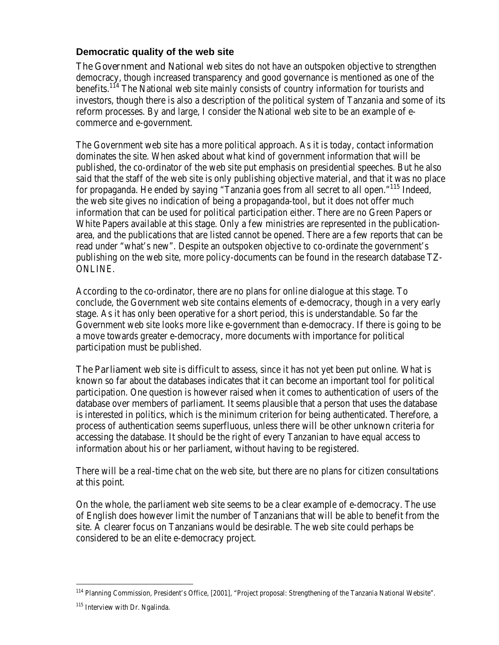**Democratic quality of the web site**

**The Government and National** web sites do not have an outspoken objective to strengthen democracy, though increased transparency and good governance is mentioned as one of the benefits.<sup>114</sup> The National web site mainly consists of country information for tourists and investors, though there is also a description of the political system of Tanzania and some of its reform processes. By and large, I consider the National web site to be an example of ecommerce and e-government.

The Government web site has a more political approach. As it is today, contact information dominates the site. When asked about what kind of government information that will be published, the co-ordinator of the web site put emphasis on presidential speeches. But he also said that the staff of the web site is only publishing objective material, and that it was no place for propaganda. He ended by saying "Tanzania goes from all secret to all open."<sup>115</sup> Indeed, the web site gives no indication of being a propaganda-tool, but it does not offer much information that can be used for political participation either. There are no Green Papers or White Papers available at this stage. Only a few ministries are represented in the publicationarea, and the publications that are listed cannot be opened. There are a few reports that can be read under "what's new". Despite an outspoken objective to co-ordinate the government's publishing on the web site, more policy-documents can be found in the research database TZ-ONLINE.

According to the co-ordinator, there are no plans for online dialogue at this stage. To conclude, the Government web site contains elements of e-democracy, though in a very early stage. As it has only been operative for a short period, this is understandable. So far the Government web site looks more like e-government than e-democracy. If there is going to be a move towards greater e-democracy, more documents with importance for political participation must be published.

**The Parliament** web site is difficult to assess, since it has not yet been put online. What is known so far about the databases indicates that it can become an important tool for political participation. One question is however raised when it comes to authentication of users of the database over members of parliament. It seems plausible that a person that uses the database is interested in politics, which is the minimum criterion for being authenticated. Therefore, a process of authentication seems superfluous, unless there will be other unknown criteria for accessing the database. It should be the right of every Tanzanian to have equal access to information about his or her parliament, without having to be registered.

There will be a real-time chat on the web site, but there are no plans for citizen consultations at this point.

On the whole, the parliament web site seems to be a clear example of e-democracy. The use of English does however limit the number of Tanzanians that will be able to benefit from the site. A clearer focus on Tanzanians would be desirable. The web site could perhaps be considered to be an elite e-democracy project.

<sup>114</sup> Planning Commission, President's Office, [2001], "Project proposal: Strengthening of the Tanzania National Website".

<sup>115</sup> Interview with Dr. Ngalinda.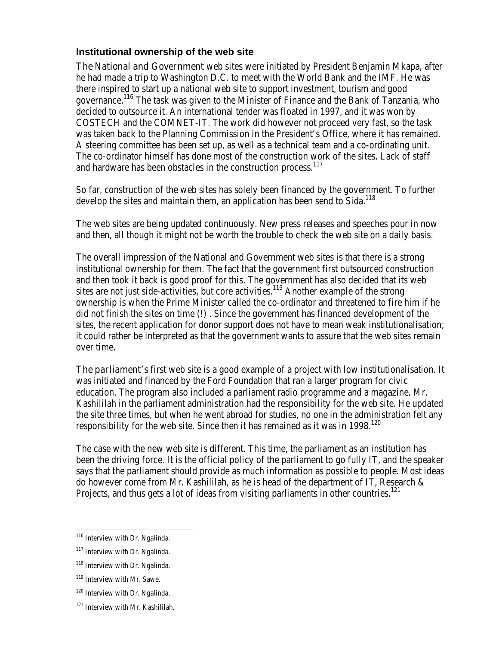**Institutional ownership of the web site**

The National and Government web sites were initiated by President Benjamin Mkapa, after he had made a trip to Washington D.C. to meet with the World Bank and the IMF. He was there inspired to start up a national web site to support investment, tourism and good governance.<sup>116</sup> The task was given to the Minister of Finance and the Bank of Tanzania, who decided to outsource it. An international tender was floated in 1997, and it was won by COSTECH and the COMNET-IT. The work did however not proceed very fast, so the task was taken back to the Planning Commission in the President's Office, where it has remained. A steering committee has been set up, as well as a technical team and a co-ordinating unit. The co-ordinator himself has done most of the construction work of the sites. Lack of staff and hardware has been obstacles in the construction process.<sup>117</sup>

So far, construction of the web sites has solely been financed by the government. To further develop the sites and maintain them, an application has been send to Sida.<sup>118</sup>

The web sites are being updated continuously. New press releases and speeches pour in now and then, all though it might not be worth the trouble to check the web site on a daily basis.

The overall impression of the National and Government web sites is that there is a strong institutional ownership for them. The fact that the government first outsourced construction and then took it back is good proof for this. The government has also decided that its web sites are not just side-activities, but core activities.<sup>119</sup> Another example of the strong ownership is when the Prime Minister called the co-ordinator and threatened to fire him if he did not finish the sites on time (!) . Since the government has financed development of the sites, the recent application for donor support does not have to mean weak institutionalisation; it could rather be interpreted as that the government wants to assure that the web sites remain over time.

The parliament's first web site is a good example of a project with low institutionalisation. It was initiated and financed by the Ford Foundation that ran a larger program for civic education. The program also included a parliament radio programme and a magazine. Mr. Kashililah in the parliament administration had the responsibility for the web site. He updated the site three times, but when he went abroad for studies, no one in the administration felt any responsibility for the web site. Since then it has remained as it was in  $1998$ <sup>120</sup>

The case with the new web site is different. This time, the parliament as an institution has been the driving force. It is the official policy of the parliament to go fully IT, and the speaker says that the parliament should provide as much information as possible to people. Most ideas do however come from Mr. Kashililah, as he is head of the department of IT, Research & Projects, and thus gets a lot of ideas from visiting parliaments in other countries.<sup>121</sup>

<sup>&</sup>lt;sup>116</sup> Interview with Dr. Ngalinda.

<sup>&</sup>lt;sup>117</sup> Interview with Dr. Ngalinda.

<sup>118</sup> Interview with Dr. Ngalinda.

<sup>119</sup> Interview with Mr. Sawe.

<sup>120</sup> Interview with Dr. Ngalinda.

<sup>121</sup> Interview with Mr. Kashililah.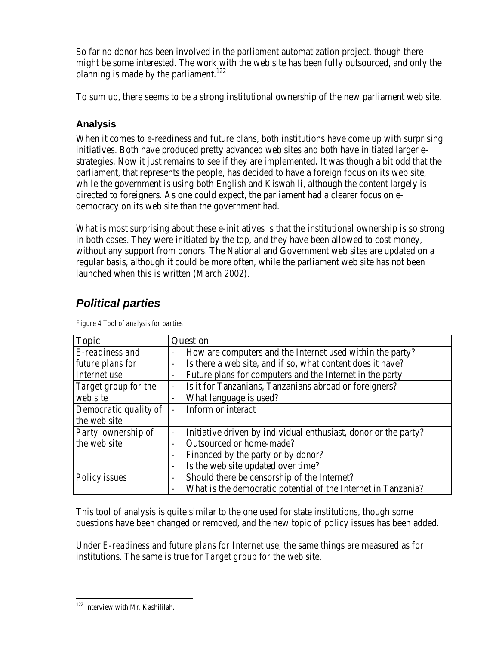So far no donor has been involved in the parliament automatization project, though there might be some interested. The work with the web site has been fully outsourced, and only the planning is made by the parliament.<sup>122</sup>

To sum up, there seems to be a strong institutional ownership of the new parliament web site.

### **Analysis**

When it comes to e-readiness and future plans, both institutions have come up with surprising initiatives. Both have produced pretty advanced web sites and both have initiated larger estrategies. Now it just remains to see if they are implemented. It was though a bit odd that the parliament, that represents the people, has decided to have a foreign focus on its web site, while the government is using both English and Kiswahili, although the content largely is directed to foreigners. As one could expect, the parliament had a clearer focus on edemocracy on its web site than the government had.

What is most surprising about these e-initiatives is that the institutional ownership is so strong in both cases. They were initiated by the top, and they have been allowed to cost money, without any support from donors. The National and Government web sites are updated on a regular basis, although it could be more often, while the parliament web site has not been launched when this is written (March 2002).

# *Political parties*

| <b>Topic</b>          | Question                                                                     |  |
|-----------------------|------------------------------------------------------------------------------|--|
| E-readiness and       | How are computers and the Internet used within the party?                    |  |
| future plans for      | Is there a web site, and if so, what content does it have?<br>$\blacksquare$ |  |
| Internet use          | Future plans for computers and the Internet in the party                     |  |
| Target group for the  | Is it for Tanzanians, Tanzanians abroad or foreigners?                       |  |
| web site              | What language is used?<br>$\blacksquare$                                     |  |
| Democratic quality of | Inform or interact                                                           |  |
| the web site          |                                                                              |  |
| Party ownership of    | Initiative driven by individual enthusiast, donor or the party?              |  |
| the web site          | <b>Outsourced or home-made?</b>                                              |  |
|                       | Financed by the party or by donor?                                           |  |
|                       | Is the web site updated over time?                                           |  |
| Policy issues         | Should there be censorship of the Internet?<br>$\qquad \qquad \blacksquare$  |  |
|                       | What is the democratic potential of the Internet in Tanzania?                |  |

*Figure 4 Tool of analysis for parties*

This tool of analysis is quite similar to the one used for state institutions, though some questions have been changed or removed, and the new topic of policy issues has been added.

Under *E-readiness and future plans for Internet use,* the same things are measured as for institutions. The same is true for *Target group for the web site*.

 $\overline{a}$ <sup>122</sup> Interview with Mr. Kashililah.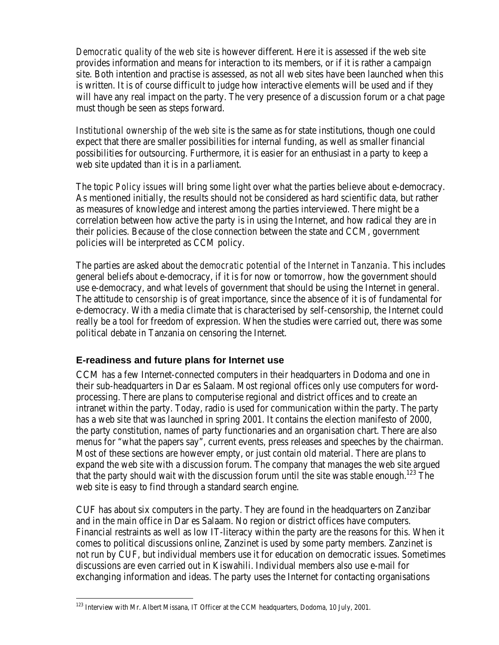*Democratic quality of the web site* is however different. Here it is assessed if the web site provides information and means for interaction to its members, or if it is rather a campaign site. Both intention and practise is assessed, as not all web sites have been launched when this is written. It is of course difficult to judge how interactive elements will be used and if they will have any real impact on the party. The very presence of a discussion forum or a chat page must though be seen as steps forward.

*Institutional ownership of the web site* is the same as for state institutions, though one could expect that there are smaller possibilities for internal funding, as well as smaller financial possibilities for outsourcing. Furthermore, it is easier for an enthusiast in a party to keep a web site updated than it is in a parliament.

The topic *Policy issues* will bring some light over what the parties believe about e-democracy. As mentioned initially, the results should not be considered as hard scientific data, but rather as measures of knowledge and interest among the parties interviewed. There might be a correlation between how active the party is in using the Internet, and how radical they are in their policies. Because of the close connection between the state and CCM, government policies will be interpreted as CCM policy.

The parties are asked about the *democratic potential of the Internet in Tanzania.* This includes general beliefs about e-democracy, if it is for now or tomorrow, how the government should use e-democracy, and what levels of government that should be using the Internet in general. The attitude to *censorship* is of great importance, since the absence of it is of fundamental for e-democracy. With a media climate that is characterised by self-censorship, the Internet could really be a tool for freedom of expression. When the studies were carried out, there was some political debate in Tanzania on censoring the Internet.

### **E-readiness and future plans for Internet use**

CCM has a few Internet-connected computers in their headquarters in Dodoma and one in their sub-headquarters in Dar es Salaam. Most regional offices only use computers for wordprocessing. There are plans to computerise regional and district offices and to create an intranet within the party. Today, radio is used for communication within the party. The party has a web site that was launched in spring 2001. It contains the election manifesto of 2000, the party constitution, names of party functionaries and an organisation chart. There are also menus for "what the papers say", current events, press releases and speeches by the chairman. Most of these sections are however empty, or just contain old material. There are plans to expand the web site with a discussion forum. The company that manages the web site argued that the party should wait with the discussion forum until the site was stable enough.<sup>123</sup> The web site is easy to find through a standard search engine.

CUF has about six computers in the party. They are found in the headquarters on Zanzibar and in the main office in Dar es Salaam. No region or district offices have computers. Financial restraints as well as low IT-literacy within the party are the reasons for this. When it comes to political discussions online, Zanzinet is used by some party members. Zanzinet is not run by CUF, but individual members use it for education on democratic issues. Sometimes discussions are even carried out in Kiswahili. Individual members also use e-mail for exchanging information and ideas. The party uses the Internet for contacting organisations

<sup>&</sup>lt;sup>123</sup> Interview with Mr. Albert Missana, IT Officer at the CCM headquarters, Dodoma, 10 July, 2001.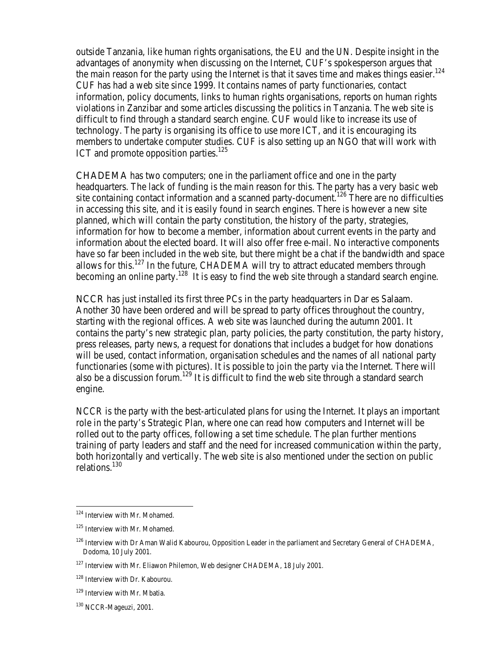outside Tanzania, like human rights organisations, the EU and the UN. Despite insight in the advantages of anonymity when discussing on the Internet, CUF's spokesperson argues that the main reason for the party using the Internet is that it saves time and makes things easier.<sup>124</sup> CUF has had a web site since 1999. It contains names of party functionaries, contact information, policy documents, links to human rights organisations, reports on human rights violations in Zanzibar and some articles discussing the politics in Tanzania. The web site is difficult to find through a standard search engine. CUF would like to increase its use of technology. The party is organising its office to use more ICT, and it is encouraging its members to undertake computer studies. CUF is also setting up an NGO that will work with ICT and promote opposition parties.<sup>125</sup>

CHADEMA has two computers; one in the parliament office and one in the party headquarters. The lack of funding is the main reason for this. The party has a very basic web site containing contact information and a scanned party-document.<sup>126</sup> There are no difficulties in accessing this site, and it is easily found in search engines. There is however a new site planned, which will contain the party constitution, the history of the party, strategies, information for how to become a member, information about current events in the party and information about the elected board. It will also offer free e-mail. No interactive components have so far been included in the web site, but there might be a chat if the bandwidth and space allows for this.<sup>127</sup> In the future, CHADEMA will try to attract educated members through becoming an online party.<sup>128</sup> It is easy to find the web site through a standard search engine.

NCCR has just installed its first three PCs in the party headquarters in Dar es Salaam. Another 30 have been ordered and will be spread to party offices throughout the country, starting with the regional offices. A web site was launched during the autumn 2001. It contains the party's new strategic plan, party policies, the party constitution, the party history, press releases, party news, a request for donations that includes a budget for how donations will be used, contact information, organisation schedules and the names of all national party functionaries (some with pictures). It is possible to join the party via the Internet. There will also be a discussion forum.<sup>129</sup> It is difficult to find the web site through a standard search engine.

NCCR is the party with the best-articulated plans for using the Internet. It plays an important role in the party's Strategic Plan, where one can read how computers and Internet will be rolled out to the party offices, following a set time schedule. The plan further mentions training of party leaders and staff and the need for increased communication within the party, both horizontally and vertically. The web site is also mentioned under the section on public relations.<sup>130</sup>

<sup>124</sup> Interview with Mr. Mohamed.

<sup>&</sup>lt;sup>125</sup> Interview with Mr. Mohamed.

<sup>&</sup>lt;sup>126</sup> Interview with Dr Aman Walid Kabourou, Opposition Leader in the parliament and Secretary General of CHADEMA, Dodoma, 10 July 2001.

<sup>&</sup>lt;sup>127</sup> Interview with Mr. Eliawon Philemon, Web designer CHADEMA, 18 July 2001.

<sup>128</sup> Interview with Dr. Kabourou.

<sup>129</sup> Interview with Mr. Mbatia.

<sup>130</sup> NCCR-Mageuzi, 2001.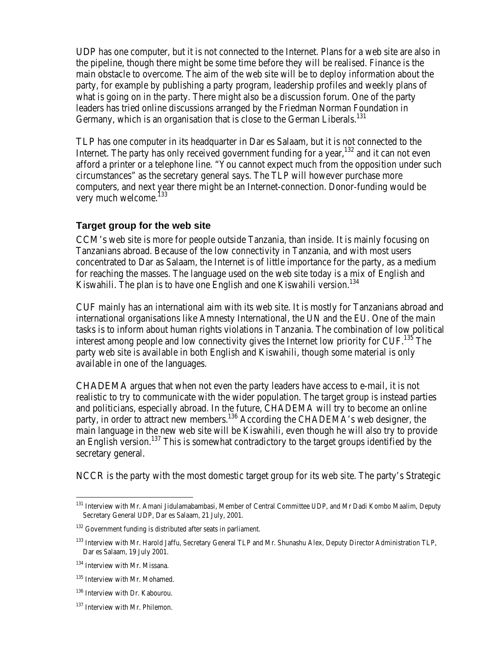UDP has one computer, but it is not connected to the Internet. Plans for a web site are also in the pipeline, though there might be some time before they will be realised. Finance is the main obstacle to overcome. The aim of the web site will be to deploy information about the party, for example by publishing a party program, leadership profiles and weekly plans of what is going on in the party. There might also be a discussion forum. One of the party leaders has tried online discussions arranged by the Friedman Norman Foundation in Germany, which is an organisation that is close to the German Liberals.<sup>131</sup>

TLP has one computer in its headquarter in Dar es Salaam, but it is not connected to the Internet. The party has only received government funding for a year,  $132$  and it can not even afford a printer or a telephone line. "You cannot expect much from the opposition under such circumstances" as the secretary general says. The TLP will however purchase more computers, and next year there might be an Internet-connection. Donor-funding would be very much welcome.<sup>133</sup>

#### **Target group for the web site**

CCM's web site is more for people outside Tanzania, than inside. It is mainly focusing on Tanzanians abroad. Because of the low connectivity in Tanzania, and with most users concentrated to Dar as Salaam, the Internet is of little importance for the party, as a medium for reaching the masses. The language used on the web site today is a mix of English and Kiswahili. The plan is to have one English and one Kiswahili version.<sup>134</sup>

CUF mainly has an international aim with its web site. It is mostly for Tanzanians abroad and international organisations like Amnesty International, the UN and the EU. One of the main tasks is to inform about human rights violations in Tanzania. The combination of low political interest among people and low connectivity gives the Internet low priority for  $CUF<sup>135</sup>$ . The party web site is available in both English and Kiswahili, though some material is only available in one of the languages.

CHADEMA argues that when not even the party leaders have access to e-mail, it is not realistic to try to communicate with the wider population. The target group is instead parties and politicians, especially abroad. In the future, CHADEMA will try to become an online party, in order to attract new members.<sup>136</sup> According the CHADEMA's web designer, the main language in the new web site will be Kiswahili, even though he will also try to provide an English version.<sup>137</sup> This is somewhat contradictory to the target groups identified by the secretary general.

NCCR is the party with the most domestic target group for its web site. The party's Strategic

<sup>&</sup>lt;sup>131</sup> Interview with Mr. Amani Jidulamabambasi, Member of Central Committee UDP, and Mr Dadi Kombo Maalim, Deputy Secretary General UDP, Dar es Salaam, 21 July, 2001.

<sup>&</sup>lt;sup>132</sup> Government funding is distributed after seats in parliament.

<sup>&</sup>lt;sup>133</sup> Interview with Mr. Harold Jaffu, Secretary General TLP and Mr. Shunashu Alex, Deputy Director Administration TLP, Dar es Salaam, 19 July 2001.

<sup>134</sup> Interview with Mr. Missana.

<sup>&</sup>lt;sup>135</sup> Interview with Mr. Mohamed.

<sup>136</sup> Interview with Dr. Kabourou.

<sup>137</sup> Interview with Mr. Philemon.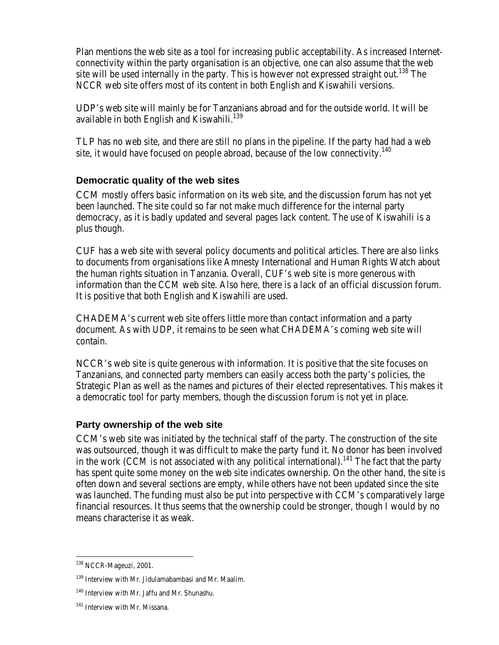Plan mentions the web site as a tool for increasing public acceptability. As increased Internetconnectivity within the party organisation is an objective, one can also assume that the web site will be used internally in the party. This is however not expressed straight out.<sup>138</sup> The NCCR web site offers most of its content in both English and Kiswahili versions.

UDP's web site will mainly be for Tanzanians abroad and for the outside world. It will be available in both English and Kiswahili.<sup>139</sup>

TLP has no web site, and there are still no plans in the pipeline. If the party had had a web site, it would have focused on people abroad, because of the low connectivity.<sup>140</sup>

**Democratic quality of the web sites**

CCM mostly offers basic information on its web site, and the discussion forum has not yet been launched. The site could so far not make much difference for the internal party democracy, as it is badly updated and several pages lack content. The use of Kiswahili is a plus though.

CUF has a web site with several policy documents and political articles. There are also links to documents from organisations like Amnesty International and Human Rights Watch about the human rights situation in Tanzania. Overall, CUF's web site is more generous with information than the CCM web site. Also here, there is a lack of an official discussion forum. It is positive that both English and Kiswahili are used.

CHADEMA's current web site offers little more than contact information and a party document. As with UDP, it remains to be seen what CHADEMA's coming web site will contain.

NCCR's web site is quite generous with information. It is positive that the site focuses on Tanzanians, and connected party members can easily access both the party's policies, the Strategic Plan as well as the names and pictures of their elected representatives. This makes it a democratic tool for party members, though the discussion forum is not yet in place.

### **Party ownership of the web site**

CCM's web site was initiated by the technical staff of the party. The construction of the site was outsourced, though it was difficult to make the party fund it. No donor has been involved in the work (CCM is not associated with any political international).<sup>141</sup> The fact that the party has spent quite some money on the web site indicates ownership. On the other hand, the site is often down and several sections are empty, while others have not been updated since the site was launched. The funding must also be put into perspective with CCM's comparatively large financial resources. It thus seems that the ownership could be stronger, though I would by no means characterise it as weak.

<sup>&</sup>lt;sup>138</sup> NCCR-Mageuzi, 2001.

<sup>&</sup>lt;sup>139</sup> Interview with Mr. Jidulamabambasi and Mr. Maalim.

<sup>140</sup> Interview with Mr. Jaffu and Mr. Shunashu.

<sup>141</sup> Interview with Mr. Missana.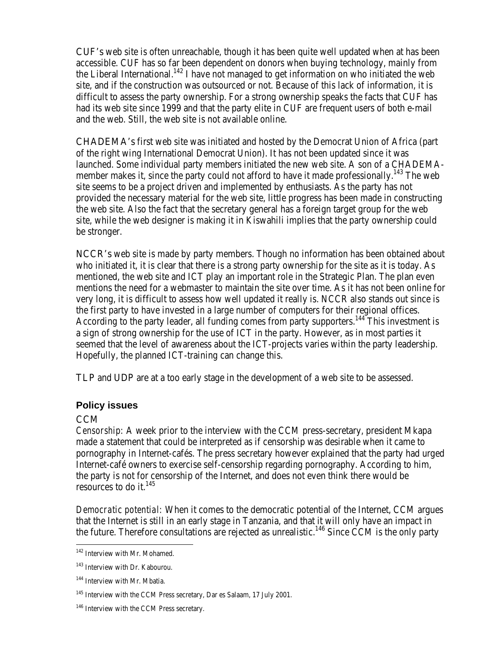CUF's web site is often unreachable, though it has been quite well updated when at has been accessible. CUF has so far been dependent on donors when buying technology, mainly from the Liberal International.<sup>142</sup> I have not managed to get information on who initiated the web site, and if the construction was outsourced or not. Because of this lack of information, it is difficult to assess the party ownership. For a strong ownership speaks the facts that CUF has had its web site since 1999 and that the party elite in CUF are frequent users of both e-mail and the web. Still, the web site is not available online.

CHADEMA's first web site was initiated and hosted by the Democrat Union of Africa (part of the right wing International Democrat Union). It has not been updated since it was launched. Some individual party members initiated the new web site. A son of a CHADEMAmember makes it, since the party could not afford to have it made professionally.<sup>143</sup> The web site seems to be a project driven and implemented by enthusiasts. As the party has not provided the necessary material for the web site, little progress has been made in constructing the web site. Also the fact that the secretary general has a foreign target group for the web site, while the web designer is making it in Kiswahili implies that the party ownership could be stronger.

NCCR's web site is made by party members. Though no information has been obtained about who initiated it, it is clear that there is a strong party ownership for the site as it is today. As mentioned, the web site and ICT play an important role in the Strategic Plan. The plan even mentions the need for a webmaster to maintain the site over time. As it has not been online for very long, it is difficult to assess how well updated it really is. NCCR also stands out since is the first party to have invested in a large number of computers for their regional offices. According to the party leader, all funding comes from party supporters.<sup>144</sup> This investment is a sign of strong ownership for the use of ICT in the party. However, as in most parties it seemed that the level of awareness about the ICT-projects varies within the party leadership. Hopefully, the planned ICT-training can change this.

TLP and UDP are at a too early stage in the development of a web site to be assessed.

### **Policy issues**

### CCM

 $\overline{a}$ 

*Censorship:* A week prior to the interview with the CCM press-secretary, president Mkapa made a statement that could be interpreted as if censorship was desirable when it came to pornography in Internet-cafés. The press secretary however explained that the party had urged Internet-café owners to exercise self-censorship regarding pornography. According to him, the party is not for censorship of the Internet, and does not even think there would be resources to do it.  $145$ 

*Democratic potential:* When it comes to the democratic potential of the Internet, CCM argues that the Internet is still in an early stage in Tanzania, and that it will only have an impact in the future. Therefore consultations are rejected as unrealistic.<sup>146</sup> Since CCM is the only party

<sup>&</sup>lt;sup>142</sup> Interview with Mr. Mohamed.

<sup>143</sup> Interview with Dr. Kabourou.

<sup>144</sup> Interview with Mr. Mbatia.

<sup>&</sup>lt;sup>145</sup> Interview with the CCM Press secretary, Dar es Salaam, 17 July 2001.

<sup>&</sup>lt;sup>146</sup> Interview with the CCM Press secretary.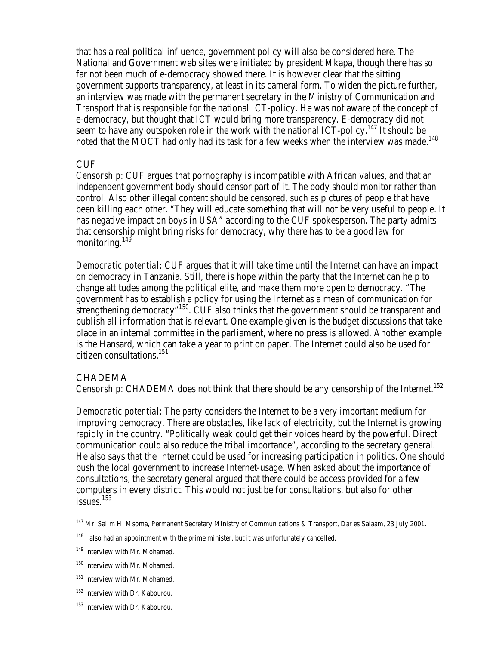that has a real political influence, government policy will also be considered here. The National and Government web sites were initiated by president Mkapa, though there has so far not been much of e-democracy showed there. It is however clear that the sitting government supports transparency, at least in its cameral form. To widen the picture further, an interview was made with the permanent secretary in the Ministry of Communication and Transport that is responsible for the national ICT-policy. He was not aware of the concept of e-democracy, but thought that ICT would bring more transparency. E-democracy did not seem to have any outspoken role in the work with the national  $\text{ICT-policy}$ .<sup>147</sup> It should be noted that the MOCT had only had its task for a few weeks when the interview was made.<sup>148</sup>

#### **CUF**

*Censorship*: CUF argues that pornography is incompatible with African values, and that an independent government body should censor part of it. The body should monitor rather than control. Also other illegal content should be censored, such as pictures of people that have been killing each other. "They will educate something that will not be very useful to people. It has negative impact on boys in USA" according to the CUF spokesperson. The party admits that censorship might bring risks for democracy, why there has to be a good law for monitoring.<sup>149</sup>

*Democratic potential*: CUF argues that it will take time until the Internet can have an impact on democracy in Tanzania. Still, there is hope within the party that the Internet can help to change attitudes among the political elite, and make them more open to democracy. "The government has to establish a policy for using the Internet as a mean of communication for strengthening democracy"<sup>150</sup>. CUF also thinks that the government should be transparent and publish all information that is relevant. One example given is the budget discussions that take place in an internal committee in the parliament, where no press is allowed. Another example is the Hansard, which can take a year to print on paper. The Internet could also be used for citizen consultations.<sup>151</sup>

### **CHADEMA**

 $\overline{a}$ 

*Censorship*: CHADEMA does not think that there should be any censorship of the Internet.<sup>152</sup>

*Democratic potential*: The party considers the Internet to be a very important medium for improving democracy. There are obstacles, like lack of electricity, but the Internet is growing rapidly in the country. "Politically weak could get their voices heard by the powerful. Direct communication could also reduce the tribal importance", according to the secretary general. He also says that the Internet could be used for increasing participation in politics. One should push the local government to increase Internet-usage. When asked about the importance of consultations, the secretary general argued that there could be access provided for a few computers in every district. This would not just be for consultations, but also for other issues.<sup>153</sup>

<sup>&</sup>lt;sup>147</sup> Mr. Salim H. Msoma, Permanent Secretary Ministry of Communications & Transport, Dar es Salaam, 23 July 2001.

<sup>&</sup>lt;sup>148</sup> I also had an appointment with the prime minister, but it was unfortunately cancelled.

<sup>149</sup> Interview with Mr. Mohamed.

<sup>&</sup>lt;sup>150</sup> Interview with Mr. Mohamed.

<sup>&</sup>lt;sup>151</sup> Interview with Mr. Mohamed.

<sup>152</sup> Interview with Dr. Kabourou.

<sup>153</sup> Interview with Dr. Kabourou.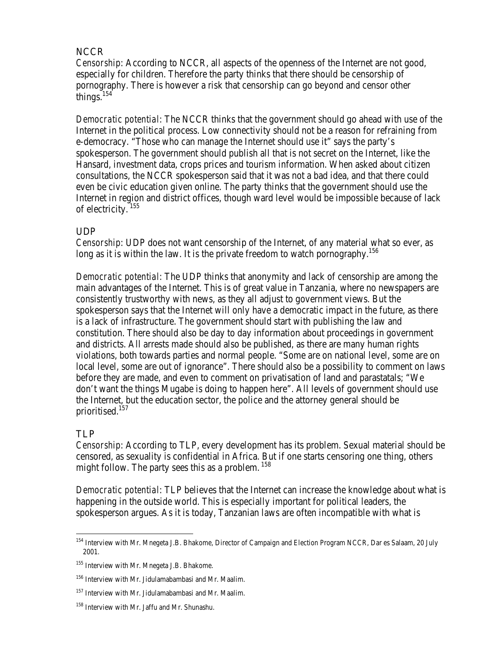### NCCR

*Censorship*: According to NCCR, all aspects of the openness of the Internet are not good, especially for children. Therefore the party thinks that there should be censorship of pornography. There is however a risk that censorship can go beyond and censor other things.<sup>154</sup>

*Democratic potential*: The NCCR thinks that the government should go ahead with use of the Internet in the political process. Low connectivity should not be a reason for refraining from e-democracy. "Those who can manage the Internet should use it" says the party's spokesperson. The government should publish all that is not secret on the Internet, like the Hansard, investment data, crops prices and tourism information. When asked about citizen consultations, the NCCR spokesperson said that it was not a bad idea, and that there could even be civic education given online. The party thinks that the government should use the Internet in region and district offices, though ward level would be impossible because of lack of electricity.<sup>155</sup>

### UDP

*Censorship*: UDP does not want censorship of the Internet, of any material what so ever, as long as it is within the law. It is the private freedom to watch pornography.<sup>156</sup>

*Democratic potential*: The UDP thinks that anonymity and lack of censorship are among the main advantages of the Internet. This is of great value in Tanzania, where no newspapers are consistently trustworthy with news, as they all adjust to government views. But the spokesperson says that the Internet will only have a democratic impact in the future, as there is a lack of infrastructure. The government should start with publishing the law and constitution. There should also be day to day information about proceedings in government and districts. All arrests made should also be published, as there are many human rights violations, both towards parties and normal people. "Some are on national level, some are on local level, some are out of ignorance". There should also be a possibility to comment on laws before they are made, and even to comment on privatisation of land and parastatals; "We don't want the things Mugabe is doing to happen here". All levels of government should use the Internet, but the education sector, the police and the attorney general should be prioritised.<sup>157</sup>

### TLP

 $\overline{a}$ 

*Censorship*: According to TLP, every development has its problem. Sexual material should be censored, as sexuality is confidential in Africa. But if one starts censoring one thing, others might follow. The party sees this as a problem.  $158$ 

*Democratic potential*: TLP believes that the Internet can increase the knowledge about what is happening in the outside world. This is especially important for political leaders, the spokesperson argues. As it is today, Tanzanian laws are often incompatible with what is

<sup>&</sup>lt;sup>154</sup> Interview with Mr. Mnegeta J.B. Bhakome, Director of Campaign and Election Program NCCR, Dar es Salaam, 20 July 2001.

<sup>155</sup> Interview with Mr. Mnegeta J.B. Bhakome.

<sup>156</sup> Interview with Mr. Jidulamabambasi and Mr. Maalim.

<sup>&</sup>lt;sup>157</sup> Interview with Mr. Jidulamabambasi and Mr. Maalim.

<sup>158</sup> Interview with Mr. Jaffu and Mr. Shunashu.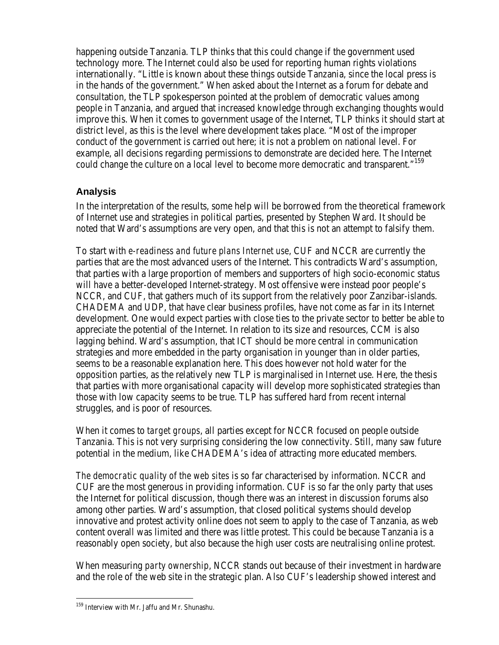happening outside Tanzania. TLP thinks that this could change if the government used technology more. The Internet could also be used for reporting human rights violations internationally. "Little is known about these things outside Tanzania, since the local press is in the hands of the government." When asked about the Internet as a forum for debate and consultation, the TLP spokesperson pointed at the problem of democratic values among people in Tanzania, and argued that increased knowledge through exchanging thoughts would improve this. When it comes to government usage of the Internet, TLP thinks it should start at district level, as this is the level where development takes place. "Most of the improper conduct of the government is carried out here; it is not a problem on national level. For example, all decisions regarding permissions to demonstrate are decided here. The Internet could change the culture on a local level to become more democratic and transparent."<sup>159</sup>

### **Analysis**

In the interpretation of the results, some help will be borrowed from the theoretical framework of Internet use and strategies in political parties, presented by Stephen Ward. It should be noted that Ward's assumptions are very open, and that this is not an attempt to falsify them.

To start with *e-readiness and future plans Internet use*, CUF and NCCR are currently the parties that are the most advanced users of the Internet. This contradicts Ward's assumption, that parties with a large proportion of members and supporters of high socio-economic status will have a better-developed Internet-strategy. Most offensive were instead poor people's NCCR, and CUF, that gathers much of its support from the relatively poor Zanzibar-islands. CHADEMA and UDP, that have clear business profiles, have not come as far in its Internet development. One would expect parties with close ties to the private sector to better be able to appreciate the potential of the Internet. In relation to its size and resources, CCM is also lagging behind. Ward's assumption, that ICT should be more central in communication strategies and more embedded in the party organisation in younger than in older parties, seems to be a reasonable explanation here. This does however not hold water for the opposition parties, as the relatively new TLP is marginalised in Internet use. Here, the thesis that parties with more organisational capacity will develop more sophisticated strategies than those with low capacity seems to be true. TLP has suffered hard from recent internal struggles, and is poor of resources.

When it comes to *target groups*, all parties except for NCCR focused on people outside Tanzania. This is not very surprising considering the low connectivity. Still, many saw future potential in the medium, like CHADEMA's idea of attracting more educated members.

*The democratic quality of the web sites* is so far characterised by information. NCCR and CUF are the most generous in providing information. CUF is so far the only party that uses the Internet for political discussion, though there was an interest in discussion forums also among other parties. Ward's assumption, that closed political systems should develop innovative and protest activity online does not seem to apply to the case of Tanzania, as web content overall was limited and there was little protest. This could be because Tanzania is a reasonably open society, but also because the high user costs are neutralising online protest.

When measuring *party ownership*, NCCR stands out because of their investment in hardware and the role of the web site in the strategic plan. Also CUF's leadership showed interest and

<sup>&</sup>lt;sup>159</sup> Interview with Mr. Jaffu and Mr. Shunashu.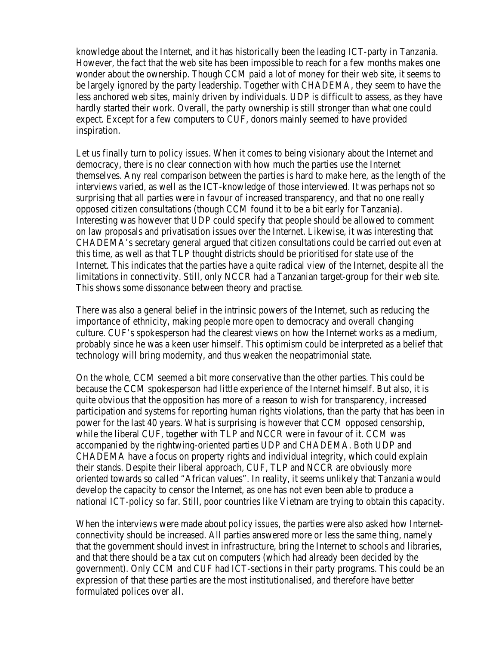knowledge about the Internet, and it has historically been the leading ICT-party in Tanzania. However, the fact that the web site has been impossible to reach for a few months makes one wonder about the ownership. Though CCM paid a lot of money for their web site, it seems to be largely ignored by the party leadership. Together with CHADEMA, they seem to have the less anchored web sites, mainly driven by individuals. UDP is difficult to assess, as they have hardly started their work. Overall, the party ownership is still stronger than what one could expect. Except for a few computers to CUF, donors mainly seemed to have provided inspiration.

Let us finally turn to *policy issues*. When it comes to being visionary about the Internet and democracy, there is no clear connection with how much the parties use the Internet themselves. Any real comparison between the parties is hard to make here, as the length of the interviews varied, as well as the ICT-knowledge of those interviewed. It was perhaps not so surprising that all parties were in favour of increased transparency, and that no one really opposed citizen consultations (though CCM found it to be a bit early for Tanzania). Interesting was however that UDP could specify that people should be allowed to comment on law proposals and privatisation issues over the Internet. Likewise, it was interesting that CHADEMA's secretary general argued that citizen consultations could be carried out even at this time, as well as that TLP thought districts should be prioritised for state use of the Internet. This indicates that the parties have a quite radical view of the Internet, despite all the limitations in connectivity. Still, only NCCR had a Tanzanian target-group for their web site. This shows some dissonance between theory and practise.

There was also a general belief in the intrinsic powers of the Internet, such as reducing the importance of ethnicity, making people more open to democracy and overall changing culture. CUF's spokesperson had the clearest views on how the Internet works as a medium, probably since he was a keen user himself. This optimism could be interpreted as a belief that technology will bring modernity, and thus weaken the neopatrimonial state.

On the whole, CCM seemed a bit more conservative than the other parties. This could be because the CCM spokesperson had little experience of the Internet himself. But also, it is quite obvious that the opposition has more of a reason to wish for transparency, increased participation and systems for reporting human rights violations, than the party that has been in power for the last 40 years. What is surprising is however that CCM opposed censorship, while the liberal CUF, together with TLP and NCCR were in favour of it. CCM was accompanied by the rightwing-oriented parties UDP and CHADEMA. Both UDP and CHADEMA have a focus on property rights and individual integrity, which could explain their stands. Despite their liberal approach, CUF, TLP and NCCR are obviously more oriented towards so called "African values". In reality, it seems unlikely that Tanzania would develop the capacity to censor the Internet, as one has not even been able to produce a national ICT-policy so far. Still, poor countries like Vietnam are trying to obtain this capacity.

When the interviews were made about *policy issues,* the parties were also asked how Internetconnectivity should be increased. All parties answered more or less the same thing, namely that the government should invest in infrastructure, bring the Internet to schools and libraries, and that there should be a tax cut on computers (which had already been decided by the government). Only CCM and CUF had ICT-sections in their party programs. This could be an expression of that these parties are the most institutionalised, and therefore have better formulated polices over all.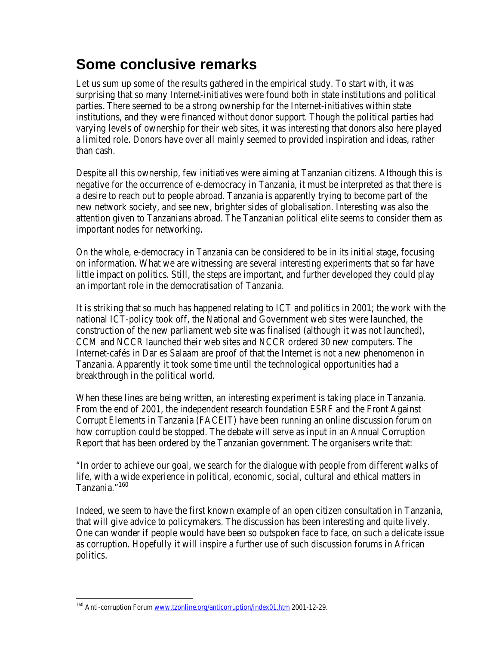# **Some conclusive remarks**

Let us sum up some of the results gathered in the empirical study. To start with, it was surprising that so many Internet-initiatives were found both in state institutions and political parties. There seemed to be a strong ownership for the Internet-initiatives within state institutions, and they were financed without donor support. Though the political parties had varying levels of ownership for their web sites, it was interesting that donors also here played a limited role. Donors have over all mainly seemed to provided inspiration and ideas, rather than cash.

Despite all this ownership, few initiatives were aiming at Tanzanian citizens. Although this is negative for the occurrence of e-democracy in Tanzania, it must be interpreted as that there is a desire to reach out to people abroad. Tanzania is apparently trying to become part of the new network society, and see new, brighter sides of globalisation. Interesting was also the attention given to Tanzanians abroad. The Tanzanian political elite seems to consider them as important nodes for networking.

On the whole, e-democracy in Tanzania can be considered to be in its initial stage, focusing on information. What we are witnessing are several interesting experiments that so far have little impact on politics. Still, the steps are important, and further developed they could play an important role in the democratisation of Tanzania.

It is striking that so much has happened relating to ICT and politics in 2001; the work with the national ICT-policy took off, the National and Government web sites were launched, the construction of the new parliament web site was finalised (although it was not launched), CCM and NCCR launched their web sites and NCCR ordered 30 new computers. The Internet-cafés in Dar es Salaam are proof of that the Internet is not a new phenomenon in Tanzania. Apparently it took some time until the technological opportunities had a breakthrough in the political world.

When these lines are being written, an interesting experiment is taking place in Tanzania. From the end of 2001, the independent research foundation ESRF and the Front Against Corrupt Elements in Tanzania (FACEIT) have been running an online discussion forum on how corruption could be stopped. The debate will serve as input in an Annual Corruption Report that has been ordered by the Tanzanian government. The organisers write that:

"In order to achieve our goal, we search for the dialogue with people from different walks of life, with a wide experience in political, economic, social, cultural and ethical matters in Tanzania."<sup>160</sup>

Indeed, we seem to have the first known example of an open citizen consultation in Tanzania, that will give advice to policymakers. The discussion has been interesting and quite lively. One can wonder if people would have been so outspoken face to face, on such a delicate issue as corruption. Hopefully it will inspire a further use of such discussion forums in African politics.

<sup>&</sup>lt;sup>160</sup> Anti-corruption Forum <u>www.tzonline.org/anticorruption/index01.htm</u> 2001-12-29.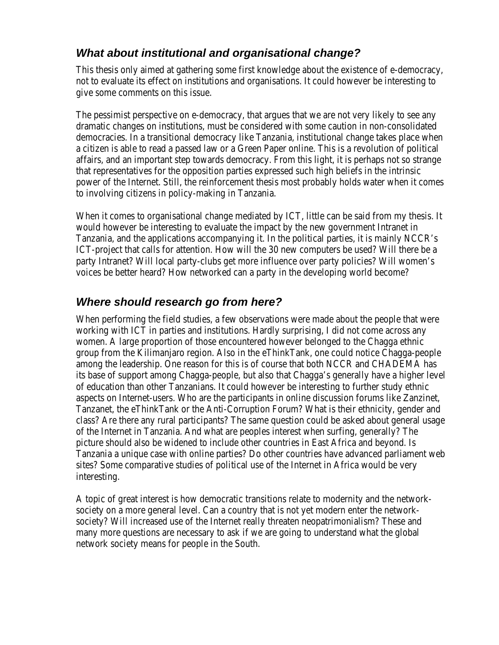# *What about institutional and organisational change?*

This thesis only aimed at gathering some first knowledge about the existence of e-democracy, not to evaluate its effect on institutions and organisations. It could however be interesting to give some comments on this issue.

The pessimist perspective on e-democracy, that argues that we are not very likely to see any dramatic changes on institutions, must be considered with some caution in non-consolidated democracies. In a transitional democracy like Tanzania, institutional change takes place when a citizen is able to read a passed law or a Green Paper online. This is a revolution of political affairs, and an important step towards democracy. From this light, it is perhaps not so strange that representatives for the opposition parties expressed such high beliefs in the intrinsic power of the Internet. Still, the reinforcement thesis most probably holds water when it comes to involving citizens in policy-making in Tanzania.

When it comes to organisational change mediated by ICT, little can be said from my thesis. It would however be interesting to evaluate the impact by the new government Intranet in Tanzania, and the applications accompanying it. In the political parties, it is mainly NCCR's ICT-project that calls for attention. How will the 30 new computers be used? Will there be a party Intranet? Will local party-clubs get more influence over party policies? Will women's voices be better heard? How networked can a party in the developing world become?

## *Where should research go from here?*

When performing the field studies, a few observations were made about the people that were working with ICT in parties and institutions. Hardly surprising, I did not come across any women. A large proportion of those encountered however belonged to the Chagga ethnic group from the Kilimanjaro region. Also in the eThinkTank, one could notice Chagga-people among the leadership. One reason for this is of course that both NCCR and CHADEMA has its base of support among Chagga-people, but also that Chagga's generally have a higher level of education than other Tanzanians. It could however be interesting to further study ethnic aspects on Internet-users. Who are the participants in online discussion forums like Zanzinet, Tanzanet, the eThinkTank or the Anti-Corruption Forum? What is their ethnicity, gender and class? Are there any rural participants? The same question could be asked about general usage of the Internet in Tanzania. And what are peoples interest when surfing, generally? The picture should also be widened to include other countries in East Africa and beyond. Is Tanzania a unique case with online parties? Do other countries have advanced parliament web sites? Some comparative studies of political use of the Internet in Africa would be very interesting.

A topic of great interest is how democratic transitions relate to modernity and the networksociety on a more general level. Can a country that is not yet modern enter the networksociety? Will increased use of the Internet really threaten neopatrimonialism? These and many more questions are necessary to ask if we are going to understand what the global network society means for people in the South.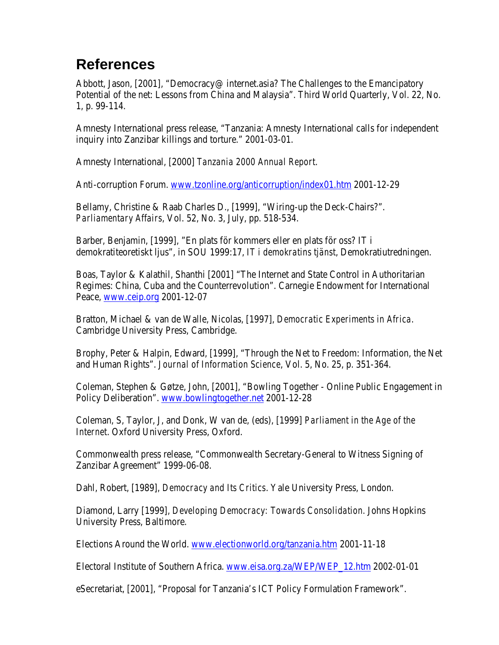# **References**

Abbott, Jason, [2001], "Democracy@ internet.asia? The Challenges to the Emancipatory Potential of the net: Lessons from China and Malaysia". Third World Quarterly, Vol. 22, No. 1, p. 99-114.

Amnesty International press release, "Tanzania: Amnesty International calls for independent inquiry into Zanzibar killings and torture." 2001-03-01.

Amnesty International, [2000] *Tanzania 2000 Annual Report*.

Anti-corruption Forum. www.tzonline.org/anticorruption/index01.htm 2001-12-29

Bellamy, Christine & Raab Charles D., [1999], "Wiring-up the Deck-Chairs?". *Parliamentary Affairs*, Vol. 52, No. 3, July, pp. 518-534.

Barber, Benjamin, [1999], "En plats för kommers eller en plats för oss? IT i demokratiteoretiskt ljus", in SOU 1999:17, *IT i demokratins tjänst*, Demokratiutredningen.

Boas, Taylor & Kalathil, Shanthi [2001] "The Internet and State Control in Authoritarian Regimes: China, Cuba and the Counterrevolution". Carnegie Endowment for International Peace, www.ceip.org 2001-12-07

Bratton, Michael & van de Walle, Nicolas, [1997], *Democratic Experiments in Africa*. Cambridge University Press, Cambridge.

Brophy, Peter & Halpin, Edward, [1999], "Through the Net to Freedom: Information, the Net and Human Rights". *Journal of Information Science*, Vol. 5, No. 25, p. 351-364.

Coleman, Stephen & Gøtze, John, [2001], "Bowling Together - Online Public Engagement in Policy Deliberation". www.bowlingtogether.net 2001-12-28

Coleman, S, Taylor, J, and Donk, W van de, (eds), [1999] *Parliament in the Age of the Internet*. Oxford University Press, Oxford.

Commonwealth press release, "Commonwealth Secretary-General to Witness Signing of Zanzibar Agreement" 1999-06-08.

Dahl, Robert, [1989], *Democracy and Its Critics*. Yale University Press, London.

Diamond, Larry [1999], *Developing Democracy: Towards Consolidation.* Johns Hopkins University Press, Baltimore.

Elections Around the World. www.electionworld.org/tanzania.htm 2001-11-18

Electoral Institute of Southern Africa. www.eisa.org.za/WEP/WEP\_12.htm 2002-01-01

eSecretariat, [2001], "Proposal for Tanzania's ICT Policy Formulation Framework".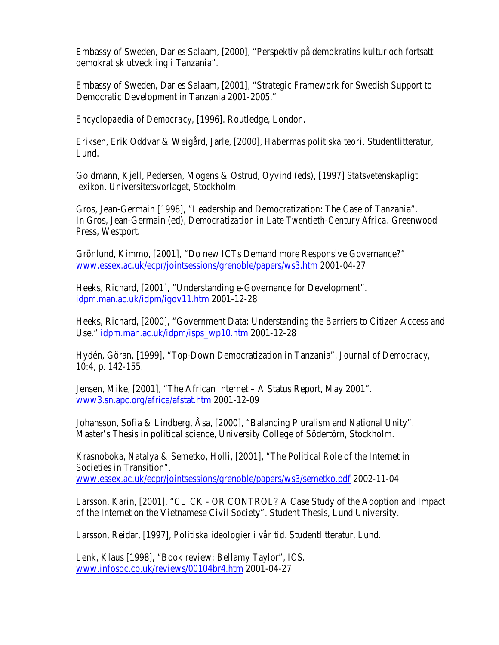Embassy of Sweden, Dar es Salaam, [2000], "Perspektiv på demokratins kultur och fortsatt demokratisk utveckling i Tanzania".

Embassy of Sweden, Dar es Salaam, [2001], "Strategic Framework for Swedish Support to Democratic Development in Tanzania 2001-2005."

*Encyclopaedia of Democracy*, [1996]. Routledge, London.

Eriksen, Erik Oddvar & Weigård, Jarle, [2000], *Habermas politiska teori*. Studentlitteratur, Lund.

Goldmann, Kjell, Pedersen, Mogens & Ostrud, Oyvind (eds), [1997] *Statsvetenskapligt lexikon*. Universitetsvorlaget, Stockholm.

Gros, Jean-Germain [1998], "Leadership and Democratization: The Case of Tanzania". In Gros, Jean-Germain (ed), *Democratization in Late Twentieth-Century Africa*. Greenwood Press, Westport.

Grönlund, Kimmo, [2001], "Do new ICTs Demand more Responsive Governance?" www.essex.ac.uk/ecpr/jointsessions/grenoble/papers/ws3.htm 2001-04-27

Heeks, Richard, [2001], "Understanding e-Governance for Development". idpm.man.ac.uk/idpm/igov11.htm 2001-12-28

Heeks, Richard, [2000], "Government Data: Understanding the Barriers to Citizen Access and Use." idpm.man.ac.uk/idpm/isps\_wp10.htm 2001-12-28

Hydén, Göran, [1999], "Top-Down Democratization in Tanzania". *Journal of Democracy*, 10:4, p. 142-155.

Jensen, Mike, [2001], "The African Internet – A Status Report, May 2001". www3.sn.apc.org/africa/afstat.htm 2001-12-09

Johansson, Sofia & Lindberg, Åsa, [2000], "Balancing Pluralism and National Unity". Master's Thesis in political science, University College of Södertörn, Stockholm.

Krasnoboka, Natalya & Semetko, Holli, [2001], "The Political Role of the Internet in Societies in Transition". www.essex.ac.uk/ecpr/jointsessions/grenoble/papers/ws3/semetko.pdf 2002-11-04

Larsson, Karin, [2001], "CLICK - OR CONTROL? A Case Study of the Adoption and Impact of the Internet on the Vietnamese Civil Society". Student Thesis, Lund University.

Larsson, Reidar, [1997], *Politiska ideologier i vår tid*. Studentlitteratur, Lund.

Lenk, Klaus [1998], "Book review: Bellamy Taylor", *ICS*. www.infosoc.co.uk/reviews/00104br4.htm 2001-04-27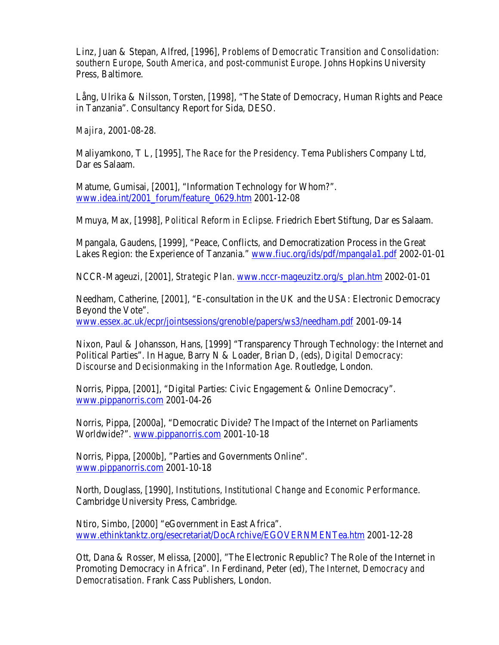Linz, Juan & Stepan, Alfred, [1996], *Problems of Democratic Transition and Consolidation: southern Europe, South America, and post-communist Europe*. Johns Hopkins University Press, Baltimore.

Lång, Ulrika & Nilsson, Torsten, [1998], "The State of Democracy, Human Rights and Peace in Tanzania". Consultancy Report for Sida, DESO.

*Majira*, 2001-08-28.

Maliyamkono, T L, [1995], *The Race for the Presidency*. Tema Publishers Company Ltd, Dar es Salaam.

Matume, Gumisai, [2001], "Information Technology for Whom?". www.idea.int/2001\_forum/feature\_0629.htm 2001-12-08

Mmuya, Max, [1998], *Political Reform in Eclipse*. Friedrich Ebert Stiftung, Dar es Salaam.

Mpangala, Gaudens, [1999], "Peace, Conflicts, and Democratization Process in the Great Lakes Region: the Experience of Tanzania." www.fiuc.org/ids/pdf/mpangala1.pdf 2002-01-01

NCCR-Mageuzi, [2001], *Strategic Plan*. www.nccr-mageuzitz.org/s\_plan.htm 2002-01-01

Needham, Catherine, [2001], "E-consultation in the UK and the USA: Electronic Democracy Beyond the Vote".

www.essex.ac.uk/ecpr/jointsessions/grenoble/papers/ws3/needham.pdf 2001-09-14

Nixon, Paul & Johansson, Hans, [1999] "Transparency Through Technology: the Internet and Political Parties". In Hague, Barry N & Loader, Brian D, (eds), *Digital Democracy: Discourse and Decisionmaking in the Information Age*. Routledge, London.

Norris, Pippa, [2001], "Digital Parties: Civic Engagement & Online Democracy". www.pippanorris.com 2001-04-26

Norris, Pippa, [2000a], "Democratic Divide? The Impact of the Internet on Parliaments Worldwide?". www.pippanorris.com 2001-10-18

Norris, Pippa, [2000b], "Parties and Governments Online". www.pippanorris.com 2001-10-18

North, Douglass, [1990], *Institutions, Institutional Change and Economic Performance*. Cambridge University Press, Cambridge.

Ntiro, Simbo, [2000] "eGovernment in East Africa". www.ethinktanktz.org/esecretariat/DocArchive/EGOVERNMENTea.htm 2001-12-28

Ott, Dana & Rosser, Melissa, [2000], "The Electronic Republic? The Role of the Internet in Promoting Democracy in Africa". In Ferdinand, Peter (ed), *The Internet, Democracy and Democratisation*. Frank Cass Publishers, London.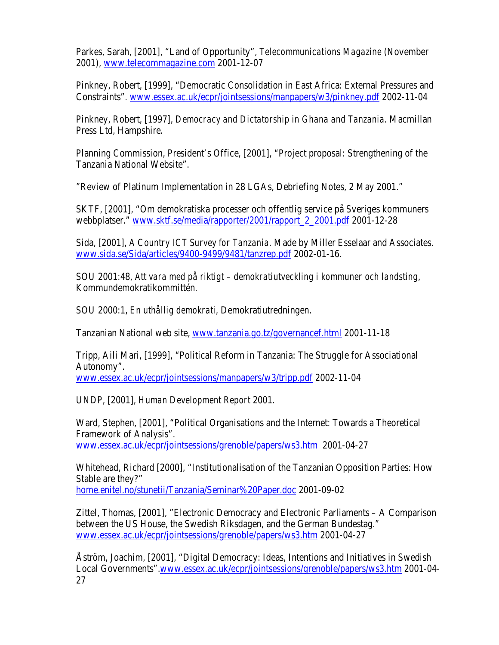Parkes, Sarah, [2001], "Land of Opportunity", *Telecommunications Magazine* (November 2001), www.telecommagazine.com 2001-12-07

Pinkney, Robert, [1999], "Democratic Consolidation in East Africa: External Pressures and Constraints". www.essex.ac.uk/ecpr/jointsessions/manpapers/w3/pinkney.pdf 2002-11-04

Pinkney, Robert, [1997], *Democracy and Dictatorship in Ghana and Tanzania*. Macmillan Press Ltd, Hampshire.

Planning Commission, President's Office, [2001], "Project proposal: Strengthening of the Tanzania National Website".

"Review of Platinum Implementation in 28 LGAs, Debriefing Notes, 2 May 2001."

SKTF, [2001], "Om demokratiska processer och offentlig service på Sveriges kommuners webbplatser." www.sktf.se/media/rapporter/2001/rapport\_2\_2001.pdf 2001-12-28

Sida, [2001], *A Country ICT Survey for Tanzania*. Made by Miller Esselaar and Associates. www.sida.se/Sida/articles/9400-9499/9481/tanzrep.pdf 2002-01-16.

SOU 2001:48, *Att vara med på riktigt – demokratiutveckling i kommuner och landsting*, Kommundemokratikommittén.

SOU 2000:1, *En uthållig demokrati,* Demokratiutredningen.

Tanzanian National web site, www.tanzania.go.tz/governancef.html 2001-11-18

Tripp, Aili Mari, [1999], "Political Reform in Tanzania: The Struggle for Associational Autonomy".

www.essex.ac.uk/ecpr/jointsessions/manpapers/w3/tripp.pdf 2002-11-04

UNDP, [2001], *Human Development Report* 2001.

Ward, Stephen, [2001], "Political Organisations and the Internet: Towards a Theoretical Framework of Analysis".

www.essex.ac.uk/ecpr/jointsessions/grenoble/papers/ws3.htm 2001-04-27

Whitehead, Richard [2000], "Institutionalisation of the Tanzanian Opposition Parties: How Stable are they?"

home.enitel.no/stunetii/Tanzania/Seminar%20Paper.doc 2001-09-02

Zittel, Thomas, [2001], "Electronic Democracy and Electronic Parliaments – A Comparison between the US House, the Swedish Riksdagen, and the German Bundestag." www.essex.ac.uk/ecpr/jointsessions/grenoble/papers/ws3.htm 2001-04-27

Åström, Joachim, [2001], "Digital Democracy: Ideas, Intentions and Initiatives in Swedish Local Governments".www.essex.ac.uk/ecpr/jointsessions/grenoble/papers/ws3.htm 2001-04- 27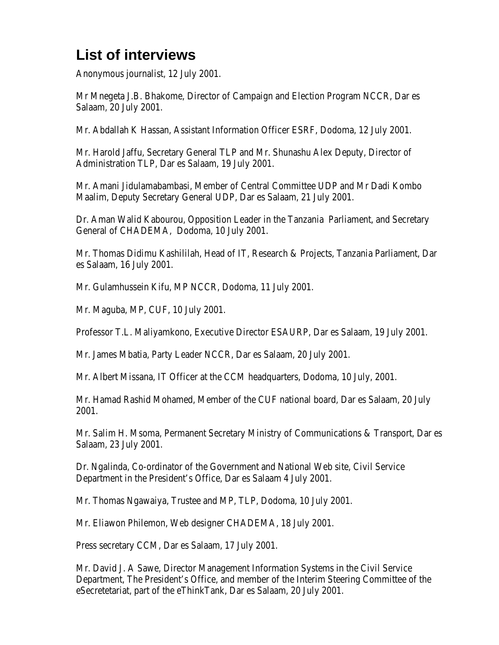# **List of interviews**

Anonymous journalist, 12 July 2001.

Mr Mnegeta J.B. Bhakome, Director of Campaign and Election Program NCCR, Dar es Salaam, 20 July 2001.

Mr. Abdallah K Hassan, Assistant Information Officer ESRF, Dodoma, 12 July 2001.

Mr. Harold Jaffu, Secretary General TLP and Mr. Shunashu Alex Deputy, Director of Administration TLP, Dar es Salaam, 19 July 2001.

Mr. Amani Jidulamabambasi, Member of Central Committee UDP and Mr Dadi Kombo Maalim, Deputy Secretary General UDP, Dar es Salaam, 21 July 2001.

Dr. Aman Walid Kabourou, Opposition Leader in the Tanzania Parliament, and Secretary General of CHADEMA, Dodoma, 10 July 2001.

Mr. Thomas Didimu Kashililah, Head of IT, Research & Projects, Tanzania Parliament, Dar es Salaam, 16 July 2001.

Mr. Gulamhussein Kifu, MP NCCR, Dodoma, 11 July 2001.

Mr. Maguba, MP, CUF, 10 July 2001.

Professor T.L. Maliyamkono, Executive Director ESAURP, Dar es Salaam, 19 July 2001.

Mr. James Mbatia, Party Leader NCCR, Dar es Salaam, 20 July 2001.

Mr. Albert Missana, IT Officer at the CCM headquarters, Dodoma, 10 July, 2001.

Mr. Hamad Rashid Mohamed, Member of the CUF national board, Dar es Salaam, 20 July 2001.

Mr. Salim H. Msoma, Permanent Secretary Ministry of Communications & Transport, Dar es Salaam, 23 July 2001.

Dr. Ngalinda, Co-ordinator of the Government and National Web site, Civil Service Department in the President's Office, Dar es Salaam 4 July 2001.

Mr. Thomas Ngawaiya, Trustee and MP, TLP, Dodoma, 10 July 2001.

Mr. Eliawon Philemon, Web designer CHADEMA, 18 July 2001.

Press secretary CCM, Dar es Salaam, 17 July 2001.

Mr. David J. A Sawe, Director Management Information Systems in the Civil Service Department, The President's Office, and member of the Interim Steering Committee of the eSecretetariat, part of the eThinkTank, Dar es Salaam, 20 July 2001.